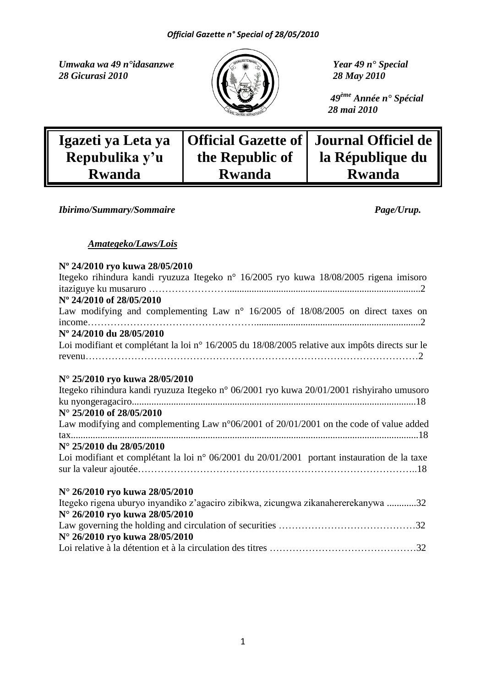*Umwaka wa 49 n°idasanzwe Year 49 n° Special*<br>28 Gicurasi 2010 28 May 2010 *28 Gicurasi 2010 28 May 2010*



 *49ème Année n° Spécial 28 mai 2010*

| Igazeti ya Leta ya |                 | Official Gazette of   Journal Officiel de |
|--------------------|-----------------|-------------------------------------------|
| Repubulika y'u     | the Republic of | la République du                          |
| <b>Rwanda</b>      | <b>Rwanda</b>   | <b>Rwanda</b>                             |

*Ibirimo/Summary/Sommaire Page/Urup.* 

## *Amategeko/Laws/Lois*

# **Nº 24/2010 ryo kuwa 28/05/2010**

| Itegeko rihindura kandi ryuzuza Itegeko n° 16/2005 ryo kuwa 18/08/2005 rigena imisoro             |
|---------------------------------------------------------------------------------------------------|
| N° 24/2010 of 28/05/2010                                                                          |
| Law modifying and complementing Law $n^{\circ}$ 16/2005 of 18/08/2005 on direct taxes on          |
| Nº 24/2010 du 28/05/2010                                                                          |
| Loi modifiant et complétant la loi n° 16/2005 du 18/08/2005 relative aux impôts directs sur le    |
| N° 25/2010 ryo kuwa 28/05/2010                                                                    |
| Itegeko rihindura kandi ryuzuza Itegeko n° 06/2001 ryo kuwa 20/01/2001 rishyiraho umusoro         |
| $N^{\circ}$ 25/2010 of 28/05/2010                                                                 |
| Law modifying and complementing Law $n^{\circ}06/2001$ of $20/01/2001$ on the code of value added |
|                                                                                                   |
| $N^{\circ}$ 25/2010 du 28/05/2010                                                                 |
| Loi modifiant et complétant la loi n° 06/2001 du 20/01/2001 portant instauration de la taxe       |

## **N° 26/2010 ryo kuwa 28/05/2010**

| Itegeko rigena uburyo inyandiko z'agaciro zibikwa, zicungwa zikanahererekanywa 32 |  |
|-----------------------------------------------------------------------------------|--|
| N° 26/2010 ryo kuwa 28/05/2010                                                    |  |
|                                                                                   |  |
| N° 26/2010 ryo kuwa 28/05/2010                                                    |  |
|                                                                                   |  |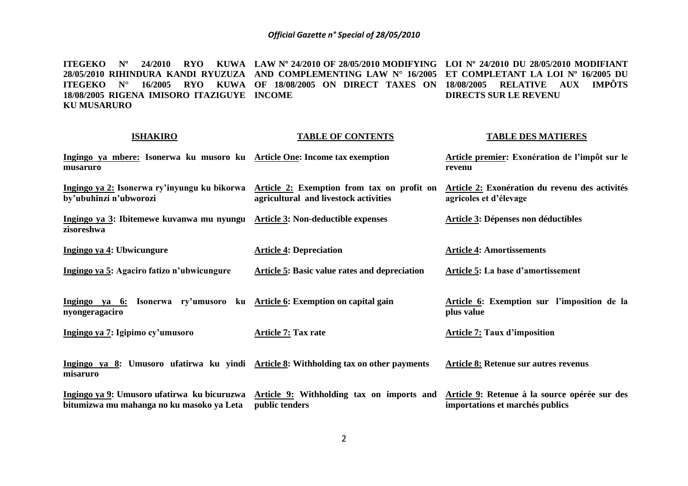**ITEGEKO Nº 24/2010 RYO KUWA LAW Nº 24/2010 OF 28/05/2010 MODIFYING LOI Nº 24/2010 DU 28/05/2010 MODIFIANT 28/05/2010 RIHINDURA KANDI RYUZUZA AND COMPLEMENTING LAW N° 16/2005 ET COMPLETANT LA LOI Nº 16/2005 DU ITEGEKO N° 16/2005 RYO KUWA OF 18/08/2005 ON DIRECT TAXES ON 18/08/2005 RELATIVE AUX IMPÔTS 18/08/2005 RIGENA IMISORO ITAZIGUYE INCOME KU MUSARURO DIRECTS SUR LE REVENU**

| <b>ISHAKIRO</b>                                                                                  | <b>TABLE OF CONTENTS</b>                                                                                                         | <b>TABLE DES MATIERES</b>                                                        |
|--------------------------------------------------------------------------------------------------|----------------------------------------------------------------------------------------------------------------------------------|----------------------------------------------------------------------------------|
| Ingingo ya mbere: Isonerwa ku musoro ku Article One: Income tax exemption<br>musaruro            |                                                                                                                                  | Article premier: Exonération de l'impôt sur le<br>revenu                         |
| by'ubuhinzi n'ubworozi                                                                           | Ingingo ya 2: Isonerwa ry'inyungu ku bikorwa Article 2: Exemption from tax on profit on<br>agricultural and livestock activities | Article 2: Exonération du revenu des activités<br>agricoles et d'élevage         |
| Ingingo ya 3: Ibitemewe kuvanwa mu nyungu Article 3: Non-deductible expenses<br>zisoreshwa       |                                                                                                                                  | Article 3: Dépenses non déductibles                                              |
| Ingingo ya 4: Ubwicungure                                                                        | <b>Article 4: Depreciation</b>                                                                                                   | <b>Article 4: Amortissements</b>                                                 |
| Ingingo ya 5: Agaciro fatizo n'ubwicungure                                                       | Article 5: Basic value rates and depreciation                                                                                    | Article 5: La base d'amortissement                                               |
| Ingingo ya 6: Isonerwa ry'umusoro ku Article 6: Exemption on capital gain<br>nyongeragaciro      |                                                                                                                                  | Article 6: Exemption sur l'imposition de la<br>plus value                        |
| Ingingo ya 7: Igipimo cy'umusoro                                                                 | <b>Article 7: Tax rate</b>                                                                                                       | <b>Article 7: Taux d'imposition</b>                                              |
| Ingingo ya 8: Umusoro ufatirwa ku yindi Article 8: Withholding tax on other payments<br>misaruro |                                                                                                                                  | Article 8: Retenue sur autres revenus                                            |
| bitumizwa mu mahanga no ku masoko ya Leta                                                        | Ingingo ya 9: Umusoro ufatirwa ku bicuruzwa Article 9: Withholding tax on imports and<br>public tenders                          | Article 9: Retenue à la source opérée sur des<br>importations et marchés publics |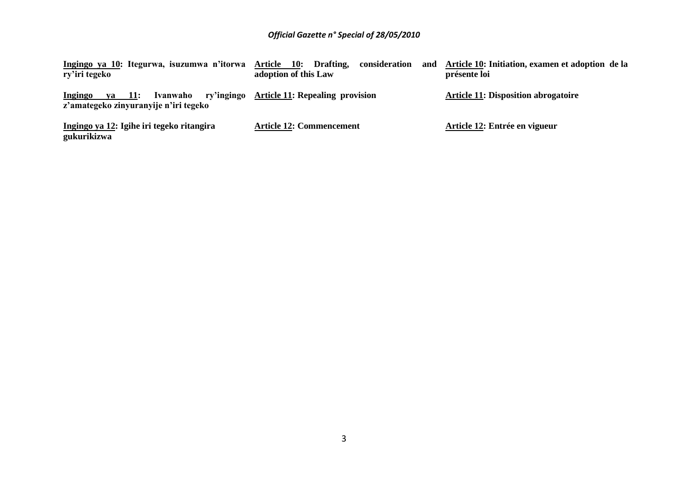| Ingingo ya 10: Itegurwa, isuzumwa n'itorwa<br>ry'iri tegeko  | Drafting,<br>consideration<br>Article 10:<br>and<br>adoption of this Law | Article 10: Initiation, examen et adoption de la<br>présente loi |
|--------------------------------------------------------------|--------------------------------------------------------------------------|------------------------------------------------------------------|
| $ya$ 11:<br>Ingingo<br>z'amategeko zinyuranyije n'iri tegeko | Ivanwaho ry'ingingo Article 11: Repealing provision                      | <b>Article 11: Disposition abrogatoire</b>                       |
| Ingingo ya 12: Igihe iri tegeko ritangira<br>gukurikizwa     | <b>Article 12: Commencement</b>                                          | Article 12: Entrée en vigueur                                    |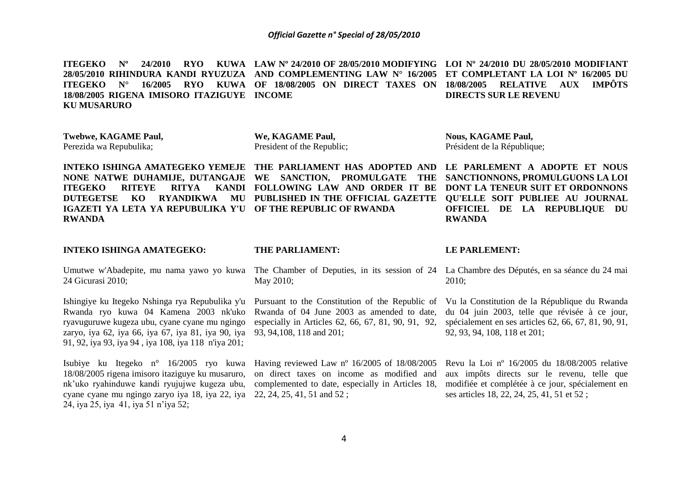**ITEGEKO Nº 24/2010 RYO KUWA LAW Nº 24/2010 OF 28/05/2010 MODIFYING LOI Nº 24/2010 DU 28/05/2010 MODIFIANT 28/05/2010 RIHINDURA KANDI RYUZUZA AND COMPLEMENTING LAW N° 16/2005 ET COMPLETANT LA LOI Nº 16/2005 DU ITEGEKO N° 16/2005 RYO KUWA OF 18/08/2005 ON DIRECT TAXES ON 18/08/2005 RELATIVE AUX IMPÔTS 18/08/2005 RIGENA IMISORO ITAZIGUYE INCOME KU MUSARURO DIRECTS SUR LE REVENU**

**Twebwe, KAGAME Paul,** Perezida wa Repubulika;

**We, KAGAME Paul,** President of the Republic; **Nous, KAGAME Paul,** Président de la République;

**INTEKO ISHINGA AMATEGEKO YEMEJE THE PARLIAMENT HAS ADOPTED AND LE PARLEMENT A ADOPTE ET NOUS NONE NATWE DUHAMIJE, DUTANGAJE WE SANCTION, PROMULGATE THE ITEGEKO RITEYE RITYA DUTEGETSE KO RYANDIKWA MU PUBLISHED IN THE OFFICIAL GAZETTE IGAZETI YA LETA YA REPUBULIKA Y'U OF THE REPUBLIC OF RWANDA RWANDA FOLLOWING LAW AND ORDER IT BE** 

#### **INTEKO ISHINGA AMATEGEKO:**

24 Gicurasi 2010;

Ishingiye ku Itegeko Nshinga rya Repubulika y'u Pursuant to the Constitution of the Republic of Rwanda ryo kuwa 04 Kamena 2003 nk'uko ryavuguruwe kugeza ubu, cyane cyane mu ngingo zaryo, iya 62, iya 66, iya 67, iya 81, iya 90, iya 93, 94,108, 118 and 201; 91, 92, iya 93, iya 94 , iya 108, iya 118 n'iya 201;

Isubiye ku Itegeko n° 16/2005 ryo kuwa Having reviewed Law nº 16/2005 of 18/08/2005 18/08/2005 rigena imisoro itaziguye ku musaruro, nk"uko ryahinduwe kandi ryujujwe kugeza ubu, cyane cyane mu ngingo zaryo iya 18, iya 22, iya 22, 24, 25, 41, 51 and 52 ; 24, iya 25, iya 41, iya 51 n"iya 52;

#### **THE PARLIAMENT:**

May 2010;

Rwanda of 04 June 2003 as amended to date, especially in Articles 62, 66, 67, 81, 90, 91, 92,

on direct taxes on income as modified and complemented to date, especially in Articles 18,

#### **LE PARLEMENT:**

**RWANDA**

Umutwe w'Abadepite, mu nama yawo yo kuwa The Chamber of Deputies, in its session of 24 La Chambre des Députés, en sa séance du 24 mai 2010;

**SANCTIONNONS, PROMULGUONS LA LOI DONT LA TENEUR SUIT ET ORDONNONS QU'ELLE SOIT PUBLIEE AU JOURNAL OFFICIEL DE LA REPUBLIQUE DU** 

Vu la Constitution de la République du Rwanda du 04 juin 2003, telle que révisée à ce jour, spécialement en ses articles 62, 66, 67, 81, 90, 91, 92, 93, 94, 108, 118 et 201;

Revu la Loi nº 16/2005 du 18/08/2005 relative aux impôts directs sur le revenu, telle que modifiée et complétée à ce jour, spécialement en ses articles 18, 22, 24, 25, 41, 51 et 52 ;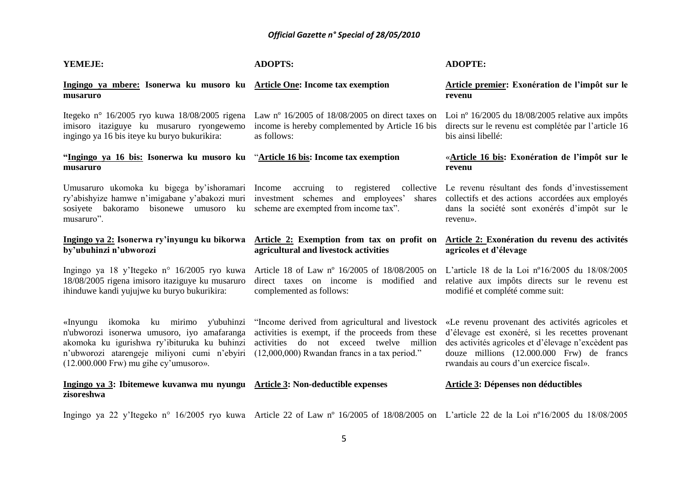| YEMEJE:                                                                                                                                                                                                                         | <b>ADOPTS:</b>                                                                                                                                                                                                                                                               | <b>ADOPTE:</b>                                                                                                                                                                                                                                      |
|---------------------------------------------------------------------------------------------------------------------------------------------------------------------------------------------------------------------------------|------------------------------------------------------------------------------------------------------------------------------------------------------------------------------------------------------------------------------------------------------------------------------|-----------------------------------------------------------------------------------------------------------------------------------------------------------------------------------------------------------------------------------------------------|
| Ingingo ya mbere: Isonerwa ku musoro ku Article One: Income tax exemption<br>musaruro                                                                                                                                           |                                                                                                                                                                                                                                                                              | Article premier: Exonération de l'impôt sur le<br>revenu                                                                                                                                                                                            |
| imisoro itaziguye ku musaruro ryongewemo<br>ingingo ya 16 bis iteye ku buryo bukurikira:                                                                                                                                        | Itegeko nº 16/2005 ryo kuwa 18/08/2005 rigena Law nº 16/2005 of 18/08/2005 on direct taxes on Loi nº 16/2005 du 18/08/2005 relative aux impôts<br>income is hereby complemented by Article 16 bis<br>as follows:                                                             | directs sur le revenu est complétée par l'article 16<br>bis ainsi libellé:                                                                                                                                                                          |
| "Ingingo ya 16 bis: Isonerwa ku musoro ku "Article 16 bis: Income tax exemption<br>musaruro                                                                                                                                     |                                                                                                                                                                                                                                                                              | «Article 16 bis: Exonération de l'impôt sur le<br>revenu                                                                                                                                                                                            |
| sosiyete bakoramo bisonewe umusoro ku scheme are exempted from income tax".<br>musaruro".                                                                                                                                       | Umusaruro ukomoka ku bigega by'ishoramari Income accruing to registered collective Le revenu résultant des fonds d'investissement<br>ry'abishyize hamwe n'imigabane y'abakozi muri investment schemes and employees' shares collectifs et des actions accordées aux employés | dans la société sont exonérés d'impôt sur le<br>revenu».                                                                                                                                                                                            |
| Ingingo ya 2: Isonerwa ry'inyungu ku bikorwa<br>by'ubuhinzi n'ubworozi                                                                                                                                                          | Article 2: Exemption from tax on profit on<br>agricultural and livestock activities                                                                                                                                                                                          | Article 2: Exonération du revenu des activités<br>agricoles et d'élevage                                                                                                                                                                            |
| Ingingo ya 18 y'Itegeko n° 16/2005 ryo kuwa<br>18/08/2005 rigena imisoro itaziguye ku musaruro<br>ihinduwe kandi yujujwe ku buryo bukurikira:                                                                                   | Article 18 of Law nº 16/2005 of 18/08/2005 on<br>direct taxes on income is modified and relative aux impôts directs sur le revenu est<br>complemented as follows:                                                                                                            | L'article 18 de la Loi $n^{\circ}16/2005$ du $18/08/2005$<br>modifié et complété comme suit:                                                                                                                                                        |
| «Inyungu ikomoka ku mirimo y'ubuhinzi<br>n'ubworozi isonerwa umusoro, iyo amafaranga<br>akomoka ku igurishwa ry'ibituruka ku buhinzi<br>n'ubworozi atarengeje miliyoni cumi n'ebyiri<br>$(12.000.000$ Frw) mu gihe cy'umusoro». | "Income derived from agricultural and livestock<br>activities is exempt, if the proceeds from these<br>activities do not exceed twelve million<br>$(12,000,000)$ Rwandan francs in a tax period."                                                                            | «Le revenu provenant des activités agricoles et<br>d'élevage est exonéré, si les recettes provenant<br>des activités agricoles et d'élevage n'excèdent pas<br>douze millions (12.000.000 Frw) de francs<br>rwandais au cours d'un exercice fiscal». |
| Ingingo ya 3: Ibitemewe kuvanwa mu nyungu Article 3: Non-deductible expenses<br>zisoreshwa                                                                                                                                      |                                                                                                                                                                                                                                                                              | <b>Article 3: Dépenses non déductibles</b>                                                                                                                                                                                                          |
|                                                                                                                                                                                                                                 | Ingingo ya 22 y'Itegeko n° 16/2005 ryo kuwa Article 22 of Law n° 16/2005 of 18/08/2005 on L'article 22 de la Loi n°16/2005 du 18/08/2005                                                                                                                                     |                                                                                                                                                                                                                                                     |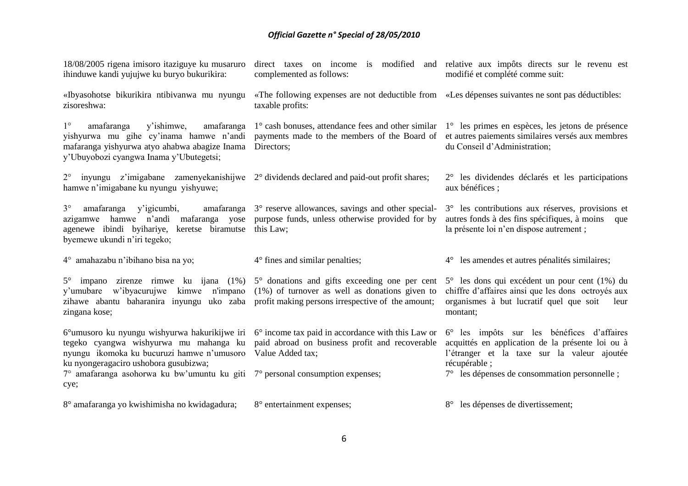| 18/08/2005 rigena imisoro itaziguye ku musaruro<br>ihinduwe kandi yujujwe ku buryo bukurikira:                                                                                                                                           | direct taxes on income is modified and relative aux impôts directs sur le revenu est<br>complemented as follows:                                                                         | modifié et complété comme suit:                                                                                                                                                                                       |
|------------------------------------------------------------------------------------------------------------------------------------------------------------------------------------------------------------------------------------------|------------------------------------------------------------------------------------------------------------------------------------------------------------------------------------------|-----------------------------------------------------------------------------------------------------------------------------------------------------------------------------------------------------------------------|
| zisoreshwa:                                                                                                                                                                                                                              | «Ibyasohotse bikurikira ntibivanwa mu nyungu «The following expenses are not deductible from «Les dépenses suivantes ne sont pas déductibles:<br>taxable profits:                        |                                                                                                                                                                                                                       |
| $1^{\circ}$<br>y'ishimwe,<br>amafaranga<br>amafaranga<br>yishyurwa mu gihe cy'inama hamwe n'andi<br>mafaranga yishyurwa atyo ahabwa abagize Inama<br>y'Ubuyobozi cyangwa Inama y'Ubutegetsi;                                             | 1° cash bonuses, attendance fees and other similar 1° les primes en espèces, les jetons de présence<br>payments made to the members of the Board of<br>Directors;                        | et autres paiements similaires versés aux membres<br>du Conseil d'Administration;                                                                                                                                     |
| $2^{\circ}$<br>hamwe n'imigabane ku nyungu yishyuwe;                                                                                                                                                                                     | inyungu $z'$ imigabane zamenyekanishijwe $2^{\circ}$ dividends declared and paid-out profit shares;                                                                                      | 2° les dividendes déclarés et les participations<br>aux bénéfices ;                                                                                                                                                   |
| $3^\circ$<br>y'igicumbi,<br>amafaranga<br>azigamwe hamwe n'andi<br>agenewe ibindi byihariye, keretse biramutse<br>byemewe ukundi n'iri tegeko;                                                                                           | amafaranga 3° reserve allowances, savings and other special-<br>mafaranga yose purpose funds, unless otherwise provided for by<br>this Law;                                              | 3° les contributions aux réserves, provisions et<br>autres fonds à des fins spécifiques, à moins que<br>la présente loi n'en dispose autrement ;                                                                      |
| 4° amahazabu n'ibihano bisa na yo;                                                                                                                                                                                                       | 4° fines and similar penalties;                                                                                                                                                          | 4° les amendes et autres pénalités similaires;                                                                                                                                                                        |
| n'impano<br>y'umubare w'ibyacurujwe<br>kimwe<br>zihawe abantu baharanira inyungu uko zaba profit making persons irrespective of the amount;<br>zingana kose;                                                                             | $5^{\circ}$ impano zirenze rimwe ku ijana (1%) $5^{\circ}$ donations and gifts exceeding one per cent<br>$(1%)$ of turnover as well as donations given to                                | 5° les dons qui excédent un pour cent (1%) du<br>chiffre d'affaires ainsi que les dons octroyés aux<br>organismes à but lucratif quel que soit<br>leur<br>montant;                                                    |
| tegeko cyangwa wishyurwa mu mahanga ku<br>nyungu ikomoka ku bucuruzi hamwe n'umusoro<br>ku nyongeragaciro ushobora gusubizwa;<br>$7^{\circ}$ amafaranga asohorwa ku bw'umuntu ku giti $7^{\circ}$ personal consumption expenses;<br>cye; | $6^{\circ}$ umusoro ku nyungu wishyurwa hakurikijwe iri $6^{\circ}$ income tax paid in accordance with this Law or<br>paid abroad on business profit and recoverable<br>Value Added tax; | 6° les impôts sur les bénéfices d'affaires<br>acquittés en application de la présente loi ou à<br>l'étranger et la taxe sur la valeur ajoutée<br>récupérable;<br>$7^\circ$ les dépenses de consommation personnelle ; |
| 8° amafaranga yo kwishimisha no kwidagadura;                                                                                                                                                                                             | 8° entertainment expenses;                                                                                                                                                               | 8° les dépenses de divertissement;                                                                                                                                                                                    |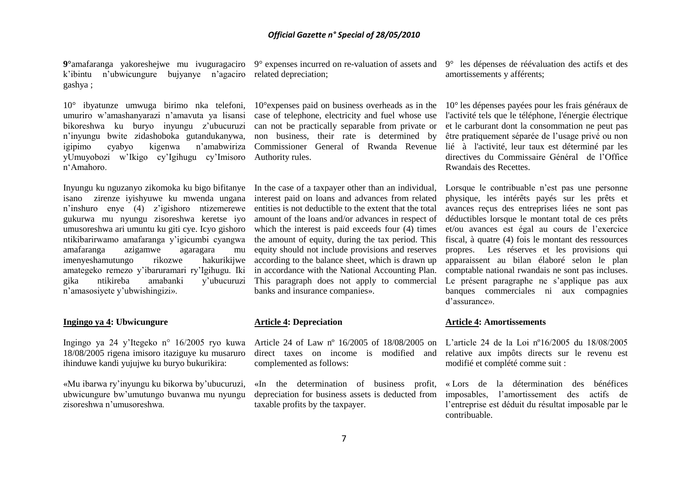k'ibintu n'ubwicungure bujyanye n'agaciro related-depreciation; gashya ;

10° ibyatunze umwuga birimo nka telefoni, umuriro w"amashanyarazi n"amavuta ya lisansi bikoreshwa ku buryo inyungu z"ubucuruzi n"inyungu bwite zidashoboka gutandukanywa, igipimo cyabyo kigenwa n"amabwiriza yUmuyobozi w"Ikigo cy"Igihugu cy"Imisoro n"Amahoro.

Inyungu ku nguzanyo zikomoka ku bigo bifitanye In the case of a taxpayer other than an individual, isano zirenze iyishyuwe ku mwenda ungana n"inshuro enye (4) z"igishoro ntizemerewe gukurwa mu nyungu zisoreshwa keretse iyo umusoreshwa ari umuntu ku giti cye. Icyo gishoro ntikibarirwamo amafaranga y"igicumbi cyangwa amafaranga azigamwe agaragara mu imenyeshamutungo rikozwe hakurikijwe amategeko remezo y"ibaruramari ry"Igihugu. Iki gika ntikireba amabanki y"ubucuruzi n"amasosiyete y"ubwishingizi».

#### **Ingingo ya 4: Ubwicungure**

Ingingo ya 24 y"Itegeko n° 16/2005 ryo kuwa Article 24 of Law nº 16/2005 of 18/08/2005 on L"article 24 de la Loi nº16/2005 du 18/08/2005 18/08/2005 rigena imisoro itaziguye ku musaruro ihinduwe kandi yujujwe ku buryo bukurikira:

«Mu ibarwa ry"inyungu ku bikorwa by"ubucuruzi, ubwicungure bw"umutungo buvanwa mu nyungu zisoreshwa n"umusoreshwa.

**9°**amafaranga yakoreshejwe mu ivuguragaciro 9° expenses incurred on re-valuation of assets and

10°expenses paid on business overheads as in the case of telephone, electricity and fuel whose use can not be practically separable from private or non business, their rate is determined by Authority rules.

interest paid on loans and advances from related entities is not deductible to the extent that the total amount of the loans and/or advances in respect of which the interest is paid exceeds four  $(4)$  times the amount of equity, during the tax period. This equity should not include provisions and reserves according to the balance sheet, which is drawn up in accordance with the National Accounting Plan. This paragraph does not apply to commercial banks and insurance companies».

#### **Article 4: Depreciation**

complemented as follows:

«In the determination of business profit, depreciation for business assets is deducted from taxable profits by the taxpayer.

9° les dépenses de réévaluation des actifs et des amortissements y afférents;

Commissioner General of Rwanda Revenue lié à l'activité, leur taux est déterminé par les 10° les dépenses payées pour les frais généraux de l'activité tels que le téléphone, l'énergie électrique et le carburant dont la consommation ne peut pas être pratiquement séparée de l"usage privé ou non directives du Commissaire Général de l"Office Rwandais des Recettes.

> Lorsque le contribuable n'est pas une personne physique, les intérêts payés sur les prêts et avances reçus des entreprises liées ne sont pas déductibles lorsque le montant total de ces prêts et/ou avances est égal au cours de l"exercice fiscal, à quatre (4) fois le montant des ressources propres. Les réserves et les provisions qui apparaissent au bilan élaboré selon le plan comptable national rwandais ne sont pas incluses. Le présent paragraphe ne s'applique pas aux banques commerciales ni aux compagnies d"assurance».

#### **Article 4: Amortissements**

direct taxes on income is modified and relative aux impôts directs sur le revenu est modifié et complété comme suit :

> « Lors de la détermination des bénéfices imposables, l"amortissement des actifs de l"entreprise est déduit du résultat imposable par le contribuable.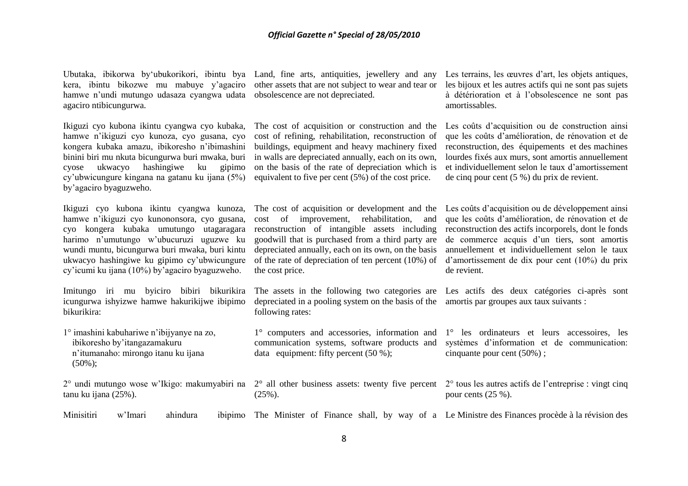kera, ibintu bikozwe mu mabuye y"agaciro other assets that are not subject to wear and tear or hamwe n'undi mutungo udasaza cyangwa udata obsolescence are not depreciated. agaciro ntibicungurwa.

Ikiguzi cyo kubona ikintu cyangwa cyo kubaka, hamwe n"ikiguzi cyo kunoza, cyo gusana, cyo kongera kubaka amazu, ibikoresho n"ibimashini binini biri mu nkuta bicungurwa buri mwaka, buri cyose ukwacyo hashingiwe ku gipimo cy"ubwicungure kingana na gatanu ku ijana (5%) by"agaciro byaguzweho.

Ikiguzi cyo kubona ikintu cyangwa kunoza, hamwe n"ikiguzi cyo kunononsora, cyo gusana, cyo kongera kubaka umutungo utagaragara harimo n"umutungo w"ubucuruzi uguzwe ku wundi muntu, bicungurwa buri mwaka, buri kintu ukwacyo hashingiwe ku gipimo cy"ubwicungure cy"icumi ku ijana (10%) by"agaciro byaguzweho.

Imitungo iri mu byiciro bibiri bikurikira icungurwa ishyizwe hamwe hakurikijwe ibipimo bikurikira:

1° imashini kabuhariwe n"ibijyanye na zo, ibikoresho by"itangazamakuru n"itumanaho: mirongo itanu ku ijana (50%);

2° undi mutungo wose w"Ikigo: makumyabiri na 2° all other business assets: twenty five percent 2° tous les autres actifs de l"entreprise : vingt cinq tanu ku ijana (25%).

Ubutaka, ibikorwa by"ubukorikori, ibintu bya Land, fine arts, antiquities, jewellery and any

The cost of acquisition or construction and the cost of refining, rehabilitation, reconstruction of buildings, equipment and heavy machinery fixed in walls are depreciated annually, each on its own, on the basis of the rate of depreciation which is equivalent to five per cent (5%) of the cost price.

Les terrains, les œuvres d'art, les objets antiques, les bijoux et les autres actifs qui ne sont pas sujets à détérioration et à l"obsolescence ne sont pas amortissables.

Les coûts d"acquisition ou de construction ainsi que les coûts d"amélioration, de rénovation et de reconstruction, des équipements et des machines lourdes fixés aux murs, sont amortis annuellement et individuellement selon le taux d"amortissement de cinq pour cent (5 %) du prix de revient.

The cost of acquisition or development and the cost of improvement, rehabilitation, and reconstruction of intangible assets including goodwill that is purchased from a third party are depreciated annually, each on its own, on the basis the cost price.

depreciated in a pooling system on the basis of the amortis par groupes aux taux suivants : following rates:

1° computers and accessories, information and data equipment: fifty percent (50 %);

of the rate of depreciation of ten percent (10%) of d"amortissement de dix pour cent (10%) du prix Les coûts d'acquisition ou de développement ainsi que les coûts d"amélioration, de rénovation et de reconstruction des actifs incorporels, dont le fonds de commerce acquis d"un tiers, sont amortis annuellement et individuellement selon le taux de revient.

The assets in the following two categories are Les actifs des deux catégories ci-après sont

communication systems, software products and systèmes d"information et de communication: 1° les ordinateurs et leurs accessoires, les cinquante pour cent (50%) ;

pour cents (25 %).

Minisitiri w'Imari ahindura The Minister of Finance shall, by way of a Le Ministre des Finances procède à la révision des

(25%).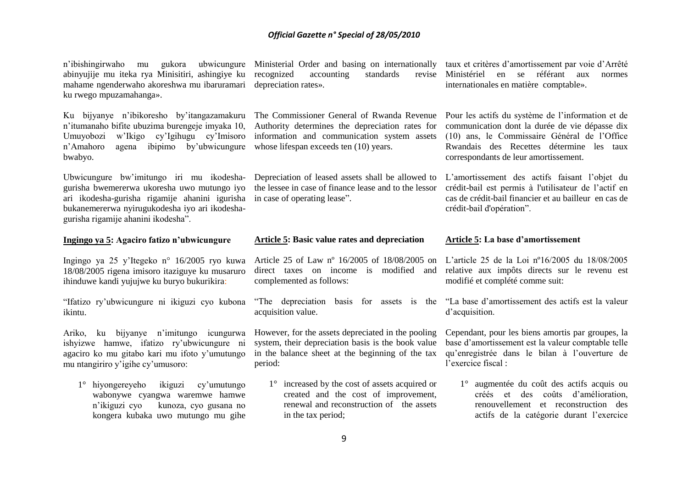| n'ibishingirwaho mu gukora ubwicungure           |  |
|--------------------------------------------------|--|
| abinyujije mu iteka rya Minisitiri, ashingiye ku |  |
| mahame ngenderwaho akoreshwa mu ibaruramari      |  |
| ku rwego mpuzamahanga».                          |  |

Ku bijyanye n"ibikoresho by"itangazamakuru n"itumanaho bifite ubuzima burengeje imyaka 10, Umuyobozi w"Ikigo cy"Igihugu cy"Imisoro n"Amahoro agena ibipimo by"ubwicungure bwabyo.

Ubwicungure bw"imitungo iri mu ikodeshagurisha bwemererwa ukoresha uwo mutungo iyo ari ikodesha-gurisha rigamije ahanini igurisha bukanemererwa nyirugukodesha iyo ari ikodeshagurisha rigamije ahanini ikodesha".

#### **Ingingo ya 5: Agaciro fatizo n'ubwicungure**

Ingingo ya 25 y"Itegeko n° 16/2005 ryo kuwa 18/08/2005 rigena imisoro itaziguye ku musaruro ihinduwe kandi yujujwe ku buryo bukurikira:

"Ifatizo ry"ubwicungure ni ikiguzi cyo kubona ikintu.

Ariko, ku bijyanye n"imitungo icungurwa ishyizwe hamwe, ifatizo ry"ubwicungure ni agaciro ko mu gitabo kari mu ifoto y"umutungo mu ntangiriro y"igihe cy"umusoro:

1° hiyongereyeho ikiguzi cy"umutungo wabonywe cyangwa waremwe hamwe n"ikiguzi cyo kunoza, cyo gusana no kongera kubaka uwo mutungo mu gihe

Ministerial Order and basing on internationally taux et critères d'amortissement par voie d'Arrêté recognized accounting standards depreciation rates».

The Commissioner General of Rwanda Revenue Authority determines the depreciation rates for information and communication system assets whose lifespan exceeds ten  $(10)$  years.

the lessee in case of finance lease and to the lessor in case of operating lease".

#### **Article 5: Basic value rates and depreciation**

direct taxes on income is modified and complemented as follows:

acquisition value.

However, for the assets depreciated in the pooling system, their depreciation basis is the book value in the balance sheet at the beginning of the tax period:

1° increased by the cost of assets acquired or created and the cost of improvement, renewal and reconstruction of the assets in the tax period;

Ministériel en se référant aux normes internationales en matière comptable».

> Pour les actifs du système de l"information et de communication dont la durée de vie dépasse dix (10) ans, le Commissaire Général de l"Office Rwandais des Recettes détermine les taux correspondants de leur amortissement.

Depreciation of leased assets shall be allowed to L'amortissement des actifs faisant l'objet du crédit-bail est permis à l'utilisateur de l"actif en cas de crédit-bail financier et au bailleur en cas de crédit-bail d'opération".

#### **Article 5: La base d'amortissement**

Article 25 of Law nº 16/2005 of 18/08/2005 on L"article 25 de la Loi nº16/2005 du 18/08/2005 relative aux impôts directs sur le revenu est modifié et complété comme suit:

"The depreciation basis for assets is the "La base d"amortissement des actifs est la valeur d"acquisition.

> Cependant, pour les biens amortis par groupes, la base d"amortissement est la valeur comptable telle qu"enregistrée dans le bilan à l"ouverture de l"exercice fiscal :

1° augmentée du coût des actifs acquis ou créés et des coûts d"amélioration, renouvellement et reconstruction des actifs de la catégorie durant l"exercice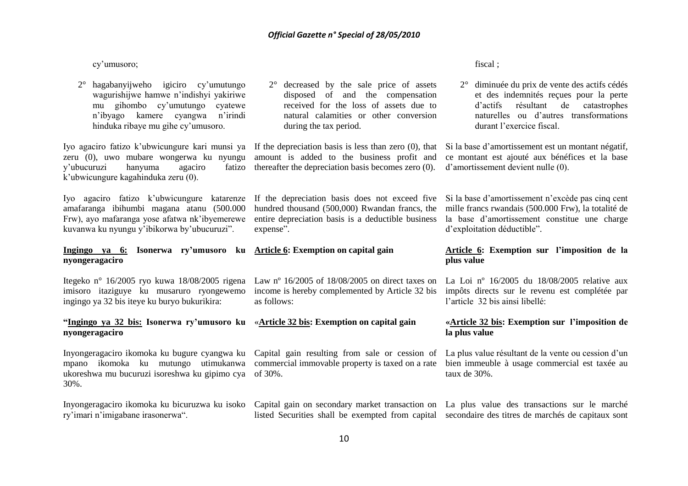cy"umusoro;

2° hagabanyijweho igiciro cy"umutungo wagurishijwe hamwe n"indishyi yakiriwe mu gihombo cy"umutungo cyatewe n"ibyago kamere cyangwa n"irindi hinduka ribaye mu gihe cy"umusoro.

y'ubucuruzi hanyuma agaciro k"ubwicungure kagahinduka zeru (0).

amafaranga ibihumbi magana atanu (500.000 Frw), ayo mafaranga yose afatwa nk"ibyemerewe kuvanwa ku nyungu y"ibikorwa by"ubucuruzi".

#### **Ingingo ya 6: Isonerwa ry'umusoro ku Article 6: Exemption on capital gain nyongeragaciro**

imisoro itaziguye ku musaruro ryongewemo ingingo ya 32 bis iteye ku buryo bukurikira:

#### **"Ingingo ya 32 bis: Isonerwa ry'umusoro ku**  «**Article 32 bis: Exemption on capital gain nyongeragaciro**

ukoreshwa mu bucuruzi isoreshwa ku gipimo cya of 30%. 30%.

ry"imari n"imigabane irasonerwa".

2° decreased by the sale price of assets disposed of and the compensation received for the loss of assets due to natural calamities or other conversion during the tax period.

thereafter the depreciation basis becomes zero (0). d"amortissement devient nulle (0).

hundred thousand (500,000) Rwandan francs, the entire depreciation basis is a deductible business expense".

income is hereby complemented by Article 32 bis impôts directs sur le revenu est complétée par as follows:

fiscal ;

2° diminuée du prix de vente des actifs cédés et des indemnités reçues pour la perte d"actifs résultant de catastrophes naturelles ou d"autres transformations durant l'exercice fiscal.

Iyo agaciro fatizo k'ubwicungure kari munsi ya If the depreciation basis is less than zero (0), that Si la base d'amortissement est un montant négatif, zeru (0), uwo mubare wongerwa ku nyungu amount is added to the business profit and ce montant est ajouté aux bénéfices et la base

Iyo agaciro fatizo k'ubwicungure katarenze If the depreciation basis does not exceed five Si la base d'amortissement n'excède pas cinq cent mille francs rwandais (500.000 Frw), la totalité de la base d"amortissement constitue une charge d"exploitation déductible".

#### **Article 6: Exemption sur l'imposition de la plus value**

Itegeko nº 16/2005 ryo kuwa 18/08/2005 rigena Law nº 16/2005 of 18/08/2005 on direct taxes on La Loi nº 16/2005 du 18/08/2005 relative aux l"article 32 bis ainsi libellé:

#### **«Article 32 bis: Exemption sur l'imposition de la plus value**

Inyongeragaciro ikomoka ku bugure cyangwa ku Capital gain resulting from sale or cession of La plus value résultant de la vente ou cession d'un mpano ikomoka ku mutungo utimukanwa commercial immovable property is taxed on a rate bien immeuble à usage commercial est taxée au taux de 30%.

Inyongeragaciro ikomoka ku bicuruzwa ku isoko Capital gain on secondary market transaction on La plus value des transactions sur le marché listed Securities shall be exempted from capital secondaire des titres de marchés de capitaux sont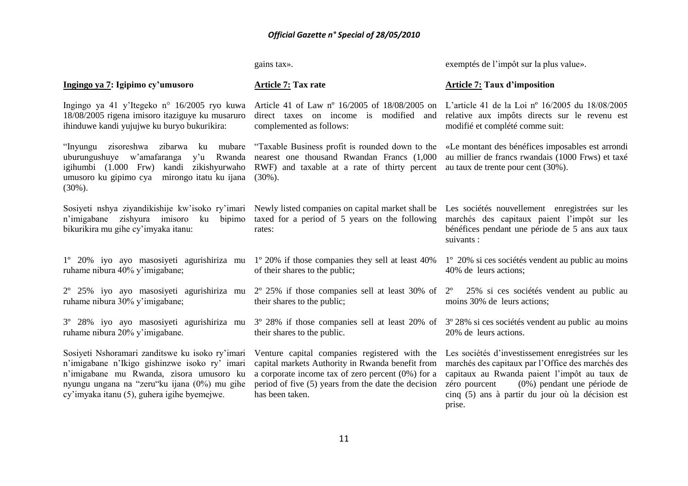**Ingingo ya 7: Igipimo cy'umusoro** Ingingo ya 41 y"Itegeko n° 16/2005 ryo kuwa 18/08/2005 rigena imisoro itaziguye ku musaruro ihinduwe kandi yujujwe ku buryo bukurikira: "Inyungu zisoreshwa zibarwa ku mubare "Taxable Business profit is rounded down to the «Le montant des bénéfices imposables est arrondi uburungushuye w'amafaranga y'u Rwanda nearest one thousand Rwandan Francs (1,000 au millier de francs rwandais (1000 Frws) et taxé igihumbi (1.000 Frw) kandi zikishyurwaho RWF) and taxable at a rate of thirty percent au taux de trente pour cent (30%). umusoro ku gipimo cya mirongo itatu ku ijana (30%).  $(30\%)$ . Sosiyeti nshya ziyandikishije kw'isoko ry'imari Newly listed companies on capital market shall be Les sociétés nouvellement enregistrées sur les n"imigabane zishyura imisoro ku bipimo bikurikira mu gihe cy"imyaka itanu: 1º 20% iyo ayo masosiyeti agurishiriza mu 1º 20% if those companies they sell at least 40% ruhame nibura 40% y"imigabane; 2º 25% iyo ayo masosiyeti agurishiriza mu 2º 25% if those companies sell at least 30% of ruhame nibura 30% y"imigabane; 3º 28% iyo ayo masosiyeti agurishiriza mu ruhame nibura 20% y"imigabane. Sosiyeti Nshoramari zanditswe ku isoko ry"imari n"imigabane n"Ikigo gishinzwe isoko ry" imari n"imigabane mu Rwanda, zisora umusoro ku nyungu ungana na "zeru"ku ijana (0%) mu gihe cy"imyaka itanu (5), guhera igihe byemejwe. gains tax». **Article 7: Tax rate** Article 41 of Law nº 16/2005 of 18/08/2005 on L"article 41 de la Loi nº 16/2005 du 18/08/2005 direct taxes on income is modified and relative aux impôts directs sur le revenu est complemented as follows: taxed for a period of 5 years on the following marchés des capitaux paient l"impôt sur les rates: of their shares to the public; their shares to the public; 3º 28% if those companies sell at least 20% of 3º 28% si ces sociétés vendent au public au moins their shares to the public. Venture capital companies registered with the Les sociétés d'investissement enregistrées sur les capital markets Authority in Rwanda benefit from marchés des capitaux par l"Office des marchés des a corporate income tax of zero percent (0%) for a period of five (5) years from the date the decision has been taken. exemptés de l"impôt sur la plus value». **Article 7: Taux d'imposition** modifié et complété comme suit: bénéfices pendant une période de 5 ans aux taux suivants : 1º 20% si ces sociétés vendent au public au moins 40% de leurs actions; 25% si ces sociétés vendent au public au moins 30% de leurs actions; 20% de leurs actions. capitaux au Rwanda paient l"impôt au taux de zéro pourcent (0%) pendant une période de cinq (5) ans à partir du jour où la décision est prise.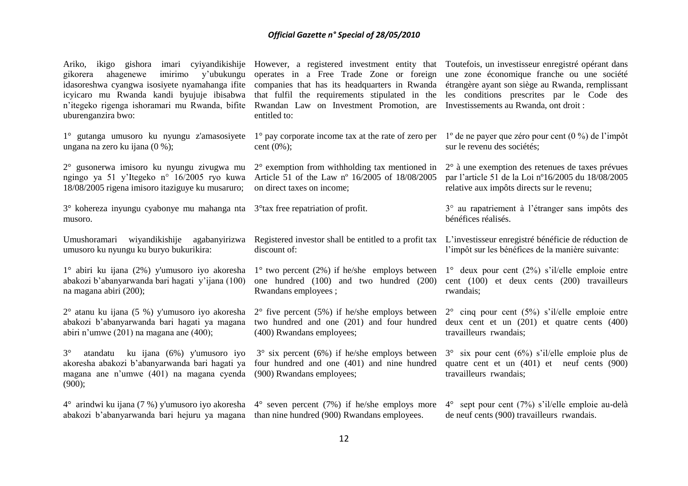| Ariko, ikigo gishora imari cyiyandikishije<br>ahagenewe<br>imirimo y'ubukungu<br>gikorera<br>idasoreshwa cyangwa isosiyete nyamahanga ifite<br>icyicaro mu Rwanda kandi byujuje ibisabwa<br>n'itegeko rigenga ishoramari mu Rwanda, bifite<br>uburenganzira bwo: | However, a registered investment entity that<br>operates in a Free Trade Zone or foreign<br>companies that has its headquarters in Rwanda<br>that fulfil the requirements stipulated in the<br>Rwandan Law on Investment Promotion, are<br>entitled to: | Toutefois, un investisseur enregistré opérant dans<br>une zone économique franche ou une société<br>étrangère ayant son siège au Rwanda, remplissant<br>les conditions prescrites par le Code des<br>Investissements au Rwanda, ont droit : |
|------------------------------------------------------------------------------------------------------------------------------------------------------------------------------------------------------------------------------------------------------------------|---------------------------------------------------------------------------------------------------------------------------------------------------------------------------------------------------------------------------------------------------------|---------------------------------------------------------------------------------------------------------------------------------------------------------------------------------------------------------------------------------------------|
| 1° gutanga umusoro ku nyungu z'amasosiyete                                                                                                                                                                                                                       | $1^\circ$ pay corporate income tax at the rate of zero per                                                                                                                                                                                              | $1^{\circ}$ de ne payer que zéro pour cent (0 %) de l'impôt                                                                                                                                                                                 |
| ungana na zero ku ijana (0 %);                                                                                                                                                                                                                                   | cent $(0\%)$ ;                                                                                                                                                                                                                                          | sur le revenu des sociétés;                                                                                                                                                                                                                 |
| 2° gusonerwa imisoro ku nyungu zivugwa mu                                                                                                                                                                                                                        | $2^{\circ}$ exemption from withholding tax mentioned in                                                                                                                                                                                                 | $2^{\circ}$ à une exemption des retenues de taxes prévues                                                                                                                                                                                   |
| ngingo ya 51 y'Itegeko n° 16/2005 ryo kuwa                                                                                                                                                                                                                       | Article 51 of the Law nº 16/2005 of 18/08/2005                                                                                                                                                                                                          | par l'article 51 de la Loi nº16/2005 du 18/08/2005                                                                                                                                                                                          |
| 18/08/2005 rigena imisoro itaziguye ku musaruro;                                                                                                                                                                                                                 | on direct taxes on income;                                                                                                                                                                                                                              | relative aux impôts directs sur le revenu;                                                                                                                                                                                                  |
| $3^\circ$ kohereza inyungu cyabonye mu mahanga nta $3^\circ$ tax free repatriation of profit.<br>musoro.                                                                                                                                                         |                                                                                                                                                                                                                                                         | 3° au rapatriement à l'étranger sans impôts des<br>bénéfices réalisés.                                                                                                                                                                      |
| Umushoramari wiyandikishije agabanyirizwa                                                                                                                                                                                                                        | Registered investor shall be entitled to a profit tax                                                                                                                                                                                                   | L'investisseur enregistré bénéficie de réduction de                                                                                                                                                                                         |
| umusoro ku nyungu ku buryo bukurikira:                                                                                                                                                                                                                           | discount of:                                                                                                                                                                                                                                            | l'impôt sur les bénéfices de la manière suivante:                                                                                                                                                                                           |
| 1° abiri ku ijana (2%) y'umusoro iyo akoresha                                                                                                                                                                                                                    | $1^{\circ}$ two percent (2%) if he/she employs between                                                                                                                                                                                                  | $1^{\circ}$ deux pour cent (2%) s'il/elle emploie entre                                                                                                                                                                                     |
| abakozi b'abanyarwanda bari hagati y'ijana (100)                                                                                                                                                                                                                 | one hundred (100) and two hundred (200)                                                                                                                                                                                                                 | cent (100) et deux cents (200) travailleurs                                                                                                                                                                                                 |
| na magana abiri (200);                                                                                                                                                                                                                                           | Rwandans employees;                                                                                                                                                                                                                                     | rwandais;                                                                                                                                                                                                                                   |
| $2^{\circ}$ atanu ku ijana (5 %) y'umusoro iyo akoresha                                                                                                                                                                                                          | $2^{\circ}$ five percent (5%) if he/she employs between                                                                                                                                                                                                 | $2^{\circ}$ cinq pour cent (5%) s'il/elle emploie entre                                                                                                                                                                                     |
| abakozi b'abanyarwanda bari hagati ya magana                                                                                                                                                                                                                     | two hundred and one (201) and four hundred                                                                                                                                                                                                              | deux cent et un $(201)$ et quatre cents $(400)$                                                                                                                                                                                             |
| abiri n'umwe $(201)$ na magana ane $(400)$ ;                                                                                                                                                                                                                     | (400) Rwandans employees;                                                                                                                                                                                                                               | travailleurs rwandais;                                                                                                                                                                                                                      |
| $3^\circ$<br>atandatu ku ijana (6%) y'umusoro iyo<br>akoresha abakozi b'abanyarwanda bari hagati ya<br>magana ane n'umwe (401) na magana cyenda<br>(900);                                                                                                        | $3^{\circ}$ six percent (6%) if he/she employs between<br>four hundred and one (401) and nine hundred<br>(900) Rwandans employees;                                                                                                                      | $3^{\circ}$ six pour cent (6%) s'il/elle emploie plus de<br>quatre cent et un $(401)$ et neuf cents $(900)$<br>travailleurs rwandais;                                                                                                       |
| $4^{\circ}$ arindwi ku ijana (7 %) y'umusoro iyo akoresha $4^{\circ}$ seven percent (7%) if he/she employs more<br>abakozi b'abanyarwanda bari hejuru ya magana than nine hundred (900) Rwandans employees.                                                      |                                                                                                                                                                                                                                                         | $4^{\circ}$ sept pour cent (7%) s'il/elle emploie au-delà<br>de neuf cents (900) travailleurs rwandais.                                                                                                                                     |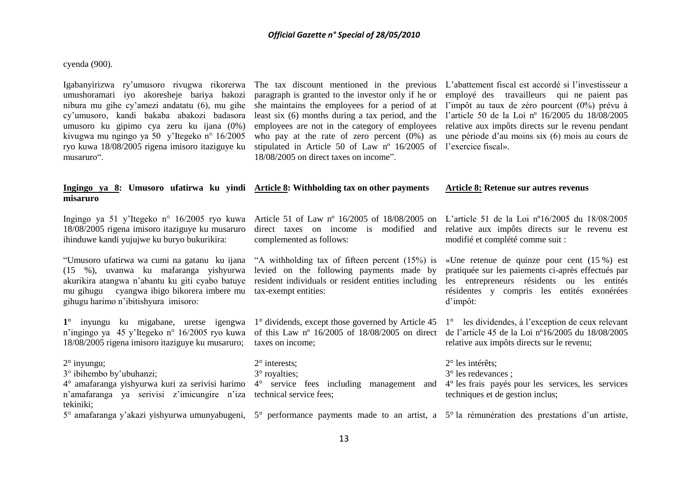#### cyenda (900).

umushoramari iyo akoresheje bariya bakozi nibura mu gihe cy"amezi andatatu (6), mu gihe cy"umusoro, kandi bakaba abakozi badasora umusoro ku gipimo cya zeru ku ijana (0%) kivugwa mu ngingo ya 50 y"Itegeko n° 16/2005 ryo kuwa 18/08/2005 rigena imisoro itaziguye ku musaruro".

stipulated in Article 50 of Law n° 16/2005 of l'exercice fiscal». 18/08/2005 on direct taxes on income".

Igabanyirizwa ry'umusoro rivugwa rikorerwa The tax discount mentioned in the previous L'abattement fiscal est accordé si l'investisseur a paragraph is granted to the investor only if he or employé des travailleurs qui ne paient pas she maintains the employees for a period of at l"impôt au taux de zéro pourcent (0%) prévu à least six (6) months during a tax period, and the l"article 50 de la Loi nº 16/2005 du 18/08/2005 employees are not in the category of employees relative aux impôts directs sur le revenu pendant who pay at the rate of zero percent (0%) as une période d'au moins six (6) mois au cours de

#### **Ingingo ya 8: Umusoro ufatirwa ku yindi Article 8: Withholding tax on other payments misaruro Article 8: Retenue sur autres revenus**

18/08/2005 rigena imisoro itaziguye ku musaruro ihinduwe kandi yujujwe ku buryo bukurikira:

(15 %), uvanwa ku mafaranga yishyurwa levied on the following payments made by akurikira atangwa n"abantu ku giti cyabo batuye resident individuals or resident entities including mu gihugu cyangwa ibigo bikorera imbere mu tax-exempt entities: gihugu harimo n"ibitishyura imisoro:

**1°** inyungu ku migabane, uretse igengwa 1° dividends, except those governed by Article 45 1° les dividendes, à l"exception de ceux relevant 18/08/2005 rigena imisoro itaziguye ku musaruro; taxes on income;

"Umusoro ufatirwa wa cumi na gatanu ku ijana "A withholding tax of fifteen percent (15%) is «Une retenue de quinze pour cent (15 %) est complemented as follows:

n'ingingo ya 45 y'Itegeko n° 16/2005 ryo kuwa of this Law n° 16/2005 of 18/08/2005 on direct de l'article 45 de la Loi n°16/2005 du 18/08/2005

Ingingo ya 51 y"Itegeko n° 16/2005 ryo kuwa Article 51 of Law nº 16/2005 of 18/08/2005 on L"article 51 de la Loi nº16/2005 du 18/08/2005 direct taxes on income is modified and relative aux impôts directs sur le revenu est modifié et complété comme suit :

> pratiquée sur les paiements ci-après effectués par les entrepreneurs résidents ou les entités résidentes y compris les entités exonérées d"impôt:

relative aux impôts directs sur le revenu;

2° inyungu; 3° ibihembo by"ubuhanzi; 4° amafaranga yishyurwa kuri za serivisi harimo 4° service fees including management and 4° les frais payés pour les services, les services n'amafaranga ya serivisi z'imicungire n'iza technical service fees; tekiniki; 2° interests; 3° royalties; 2° les intérêts; 3° les redevances ; techniques et de gestion inclus;

5° amafaranga y'akazi yishyurwa umunyabugeni, 5° performance payments made to an artist, a 5° la rémunération des prestations d'un artiste,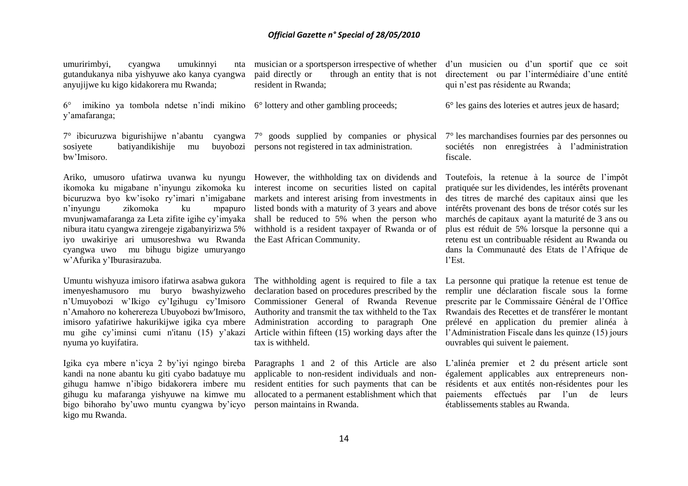umuririmbyi, cyangwa umukinnyi nta gutandukanya niba yishyuwe ako kanya cyangwa anyujijwe ku kigo kidakorera mu Rwanda;

6° imikino ya tombola ndetse n"indi mikino 6° lottery and other gambling proceeds; y"amafaranga;

sosiyete batiyandikishije mu bw"Imisoro.

Ariko, umusoro ufatirwa uvanwa ku nyungu However, the withholding tax on dividends and ikomoka ku migabane n"inyungu zikomoka ku interest income on securities listed on capital bicuruzwa byo kw"isoko ry"imari n"imigabane n"inyungu zikomoka ku mpapuro mvunjwamafaranga za Leta zifite igihe cy"imyaka nibura itatu cyangwa zirengeje zigabanyirizwa 5% iyo uwakiriye ari umusoreshwa wu Rwanda cyangwa uwo mu bihugu bigize umuryango w"Afurika y"Iburasirazuba.

Umuntu wishyuza imisoro ifatirwa asabwa gukora imenyeshamusoro mu buryo bwashyizweho n"Umuyobozi w"Ikigo cy"Igihugu cy"Imisoro n"Amahoro no koherereza Ubuyobozi bw'Imisoro, imisoro yafatiriwe hakurikijwe igika cya mbere mu gihe cy"iminsi cumi n'itanu (15) y"akazi nyuma yo kuyifatira.

Igika cya mbere n"icya 2 by"iyi ngingo bireba kandi na none abantu ku giti cyabo badatuye mu gihugu hamwe n"ibigo bidakorera imbere mu gihugu ku mafaranga yishyuwe na kimwe mu bigo bihoraho by"uwo muntu cyangwa by"icyo kigo mu Rwanda.

resident in Rwanda;

7° ibicuruzwa bigurishijwe n"abantu cyangwa 7° goods supplied by companies or physical 7° les marchandises fournies par des personnes ou persons not registered in tax administration.

> markets and interest arising from investments in listed bonds with a maturity of 3 years and above shall be reduced to 5% when the person who withhold is a resident taxpayer of Rwanda or of the East African Community.

The withholding agent is required to file a tax declaration based on procedures prescribed by the Commissioner General of Rwanda Revenue Administration according to paragraph One tax is withheld.

applicable to non-resident individuals and nonresident entities for such payments that can be person maintains in Rwanda.

musician or a sportsperson irrespective of whether d'un musicien ou d'un sportif que ce soit paid directly or through an entity that is not directement ou par l'intermédiaire d'une entité qui n"est pas résidente au Rwanda;

6° les gains des loteries et autres jeux de hasard;

sociétés non enregistrées à l"administration fiscale.

Toutefois, la retenue à la source de l"impôt pratiquée sur les dividendes, les intérêts provenant des titres de marché des capitaux ainsi que les intérêts provenant des bons de trésor cotés sur les marchés de capitaux ayant la maturité de 3 ans ou plus est réduit de 5% lorsque la personne qui a retenu est un contribuable résident au Rwanda ou dans la Communauté des Etats de l"Afrique de l"Est.

Authority and transmit the tax withheld to the Tax Rwandais des Recettes et de transférer le montant Article within fifteen (15) working days after the l"Administration Fiscale dans les quinze (15) jours La personne qui pratique la retenue est tenue de remplir une déclaration fiscale sous la forme prescrite par le Commissaire Général de l"Office prélevé en application du premier alinéa à ouvrables qui suivent le paiement.

Paragraphs 1 and 2 of this Article are also L"alinéa premier et 2 du présent article sont allocated to a permanent establishment which that paiements effectués par l"un de leurs également applicables aux entrepreneurs nonrésidents et aux entités non-résidentes pour les établissements stables au Rwanda.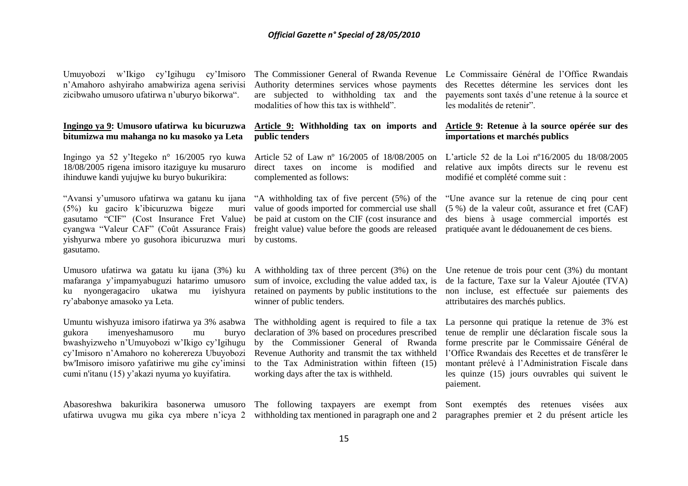Umuyobozi w"Ikigo cy"Igihugu cy"Imisoro n"Amahoro ashyiraho amabwiriza agena serivisi zicibwaho umusoro ufatirwa n'uburyo bikorwa".

#### **Ingingo ya 9: Umusoro ufatirwa ku bicuruzwa bitumizwa mu mahanga no ku masoko ya Leta**

Ingingo ya 52 y"Itegeko n° 16/2005 ryo kuwa 18/08/2005 rigena imisoro itaziguye ku musaruro ihinduwe kandi yujujwe ku buryo bukurikira:

"Avansi y"umusoro ufatirwa wa gatanu ku ijana (5%) ku gaciro k"ibicuruzwa bigeze muri gasutamo "CIF" (Cost Insurance Fret Value) cyangwa "Valeur CAF" (Coût Assurance Frais) yishyurwa mbere yo gusohora ibicuruzwa muri by customs. gasutamo.

mafaranga y"impamyabuguzi hatarimo umusoro ku nyongeragaciro ukatwa mu iyishyura ry"ababonye amasoko ya Leta.

gukora imenyeshamusoro mu buryo cy"Imisoro n"Amahoro no koherereza Ubuyobozi bw'Imisoro imisoro yafatiriwe mu gihe cy"iminsi cumi n'itanu (15) y"akazi nyuma yo kuyifatira.

Authority determines services whose payments are subjected to withholding tax and the modalities of how this tax is withheld".

#### **Article 9: Withholding tax on imports and public tenders**

direct taxes on income is modified and complemented as follows:

"A withholding tax of five percent (5%) of the value of goods imported for commercial use shall be paid at custom on the CIF (cost insurance and freight value) value before the goods are released

sum of invoice, excluding the value added tax, is winner of public tenders.

declaration of 3% based on procedures prescribed Revenue Authority and transmit the tax withheld to the Tax Administration within fifteen (15) working days after the tax is withheld.

The Commissioner General of Rwanda Revenue Le Commissaire Général de l"Office Rwandais des Recettes détermine les services dont les payements sont taxés d"une retenue à la source et les modalités de retenir".

#### **Article 9: Retenue à la source opérée sur des importations et marchés publics**

Article 52 of Law nº 16/2005 of 18/08/2005 on L"article 52 de la Loi nº16/2005 du 18/08/2005 relative aux impôts directs sur le revenu est modifié et complété comme suit :

> "Une avance sur la retenue de cinq pour cent (5 %) de la valeur coût, assurance et fret (CAF) des biens à usage commercial importés est pratiquée avant le dédouanement de ces biens.

Umusoro ufatirwa wa gatatu ku ijana (3%) ku A withholding tax of three percent (3%) on the Une retenue de trois pour cent (3%) du montant retained on payments by public institutions to the non incluse, est effectuée sur paiements des de la facture, Taxe sur la Valeur Ajoutée (TVA) attributaires des marchés publics.

Umuntu wishyuza imisoro ifatirwa ya 3% asabwa The withholding agent is required to file a tax La personne qui pratique la retenue de 3% est bwashyizweho n"Umuyobozi w"Ikigo cy"Igihugu by the Commissioner General of Rwanda forme prescrite par le Commissaire Général de tenue de remplir une déclaration fiscale sous la l"Office Rwandais des Recettes et de transférer le montant prélevé à l"Administration Fiscale dans les quinze (15) jours ouvrables qui suivent le paiement.

Abasoreshwa bakurikira basonerwa umusoro The following taxpayers are exempt from Sont exemptés des retenues visées aux

ufatirwa uvugwa mu gika cya mbere n"icya 2 withholding tax mentioned in paragraph one and 2 paragraphes premier et 2 du présent article les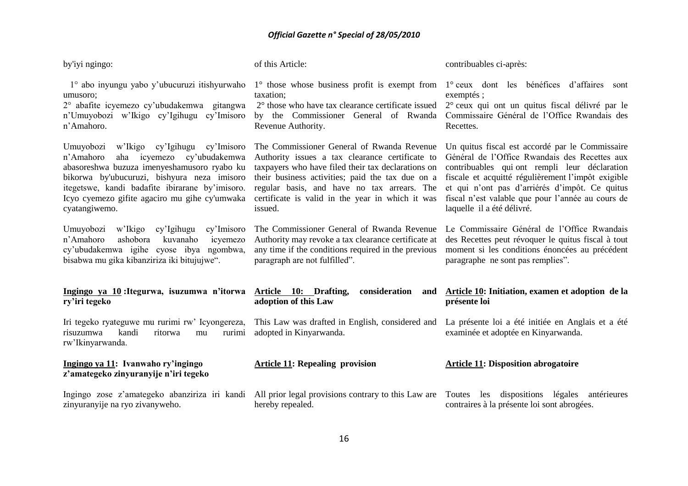| by'iyi ngingo:                                                                                                                                                                                                                                                                                           | of this Article:                                                                                                                                                                                                                                                                                                      | contribuables ci-après:                                                                                                                                                                                                                                                                                                                      |
|----------------------------------------------------------------------------------------------------------------------------------------------------------------------------------------------------------------------------------------------------------------------------------------------------------|-----------------------------------------------------------------------------------------------------------------------------------------------------------------------------------------------------------------------------------------------------------------------------------------------------------------------|----------------------------------------------------------------------------------------------------------------------------------------------------------------------------------------------------------------------------------------------------------------------------------------------------------------------------------------------|
| 1° abo inyungu yabo y'ubucuruzi itishyurwaho<br>umusoro;<br>2° abafite icyemezo cy'ubudakemwa gitangwa<br>n'Umuyobozi w'Ikigo cy'Igihugu cy'Imisoro<br>n'Amahoro.                                                                                                                                        | $1^\circ$ those whose business profit is exempt from<br>taxation;<br>2° those who have tax clearance certificate issued<br>by the Commissioner General of Rwanda<br>Revenue Authority.                                                                                                                                | 1° ceux dont les bénéfices d'affaires sont<br>exemptés ;<br>2° ceux qui ont un quitus fiscal délivré par le<br>Commissaire Général de l'Office Rwandais des<br>Recettes.                                                                                                                                                                     |
| w'Ikigo cy'Igihugu cy'Imisoro<br>Umuyobozi<br>n'Amahoro<br>aha icyemezo cy'ubudakemwa<br>abasoreshwa buzuza imenyeshamusoro ryabo ku<br>bikorwa by'ubucuruzi, bishyura neza imisoro<br>itegetswe, kandi badafite ibirarane by'imisoro.<br>Icyo cyemezo gifite agaciro mu gihe cy'umwaka<br>cyatangiwemo. | The Commissioner General of Rwanda Revenue<br>Authority issues a tax clearance certificate to<br>taxpayers who have filed their tax declarations on<br>their business activities; paid the tax due on a<br>regular basis, and have no tax arrears. The<br>certificate is valid in the year in which it was<br>issued. | Un quitus fiscal est accordé par le Commissaire<br>Général de l'Office Rwandais des Recettes aux<br>contribuables qui ont rempli leur déclaration<br>fiscale et acquitté régulièrement l'impôt exigible<br>et qui n'ont pas d'arriérés d'impôt. Ce quitus<br>fiscal n'est valable que pour l'année au cours de<br>laquelle il a été délivré. |
| cy'Imisoro<br>Umuyobozi<br>w'Ikigo<br>cy'Igihugu<br>n'Amahoro<br>ashobora<br>kuvanaho<br>icyemezo<br>cy'ubudakemwa igihe cyose ibya ngombwa,<br>bisabwa mu gika kibanziriza iki bitujujwe".                                                                                                              | The Commissioner General of Rwanda Revenue<br>Authority may revoke a tax clearance certificate at<br>any time if the conditions required in the previous<br>paragraph are not fulfilled".                                                                                                                             | Le Commissaire Général de l'Office Rwandais<br>des Recettes peut révoquer le quitus fiscal à tout<br>moment si les conditions énoncées au précédent<br>paragraphe ne sont pas remplies".                                                                                                                                                     |
| Ingingo ya 10: Itegurwa, isuzumwa n'itorwa Article 10: Drafting,<br>ry'iri tegeko                                                                                                                                                                                                                        | consideration<br>and<br>adoption of this Law                                                                                                                                                                                                                                                                          | Article 10: Initiation, examen et adoption de la<br>présente loi                                                                                                                                                                                                                                                                             |
| Iri tegeko ryateguwe mu rurimi rw' Icyongereza,<br>kandi<br>risuzumwa<br>ritorwa<br>rurimi<br>mu<br>rw'Ikinyarwanda.                                                                                                                                                                                     | This Law was drafted in English, considered and<br>adopted in Kinyarwanda.                                                                                                                                                                                                                                            | La présente loi a été initiée en Anglais et a été<br>examinée et adoptée en Kinyarwanda.                                                                                                                                                                                                                                                     |
| Ingingo ya 11: Ivanwaho ry'ingingo<br>z'amategeko zinyuranyije n'iri tegeko                                                                                                                                                                                                                              | <b>Article 11: Repealing provision</b>                                                                                                                                                                                                                                                                                | <b>Article 11: Disposition abrogatoire</b>                                                                                                                                                                                                                                                                                                   |
| Ingingo zose z'amategeko abanziriza iri kandi<br>zinyuranyije na ryo zivanyweho.                                                                                                                                                                                                                         | All prior legal provisions contrary to this Law are<br>hereby repealed.                                                                                                                                                                                                                                               | les dispositions<br>légales<br>antérieures<br>Toutes<br>contraires à la présente loi sont abrogées.                                                                                                                                                                                                                                          |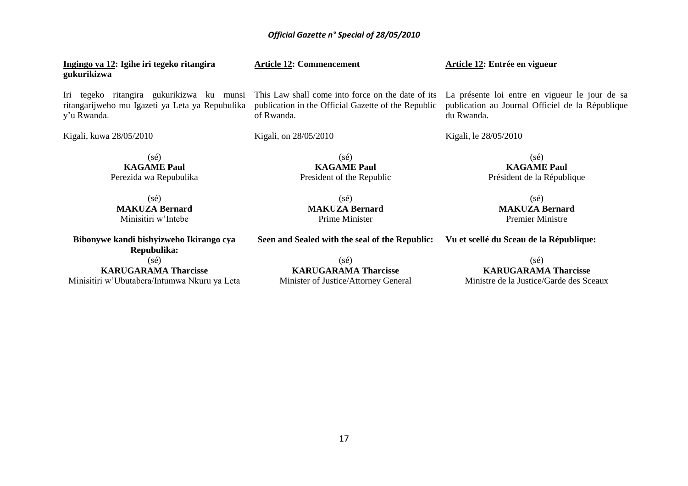**Ingingo ya 12: Igihe iri tegeko ritangira gukurikizwa** 

Iri tegeko ritangira gukurikizwa ku munsi ritangarijweho mu Igazeti ya Leta ya Repubulika y"u Rwanda.

Kigali, kuwa 28/05/2010

of Rwanda.

**Article 12: Commencement** 

Kigali, on 28/05/2010

**KAGAME Paul** President of the Republic

(sé) **MAKUZA Bernard** Prime Minister

Président de la République  $(s\acute{e})$ 

(sé) **KAGAME Paul**

**MAKUZA Bernard** Premier Ministre

**Bibonywe kandi bishyizweho Ikirango cya Repubulika:**  $(s<sub>é</sub>)$ 

(sé) **MAKUZA Bernard** Minisitiri w"Intebe

**KARUGARAMA Tharcisse** Minisitiri w"Ubutabera/Intumwa Nkuru ya Leta

(sé) **KARUGARAMA Tharcisse** Minister of Justice/Attorney General

**Seen and Sealed with the seal of the Republic: Vu et scellé du Sceau de la République:**

(sé) **KARUGARAMA Tharcisse** Ministre de la Justice/Garde des Sceaux

This Law shall come into force on the date of its La présente loi entre en vigueur le jour de sa publication au Journal Officiel de la République du Rwanda.

Kigali, le 28/05/2010

**Article 12: Entrée en vigueur**

(sé) **KAGAME Paul** Perezida wa Repubulika (sé)

publication in the Official Gazette of the Republic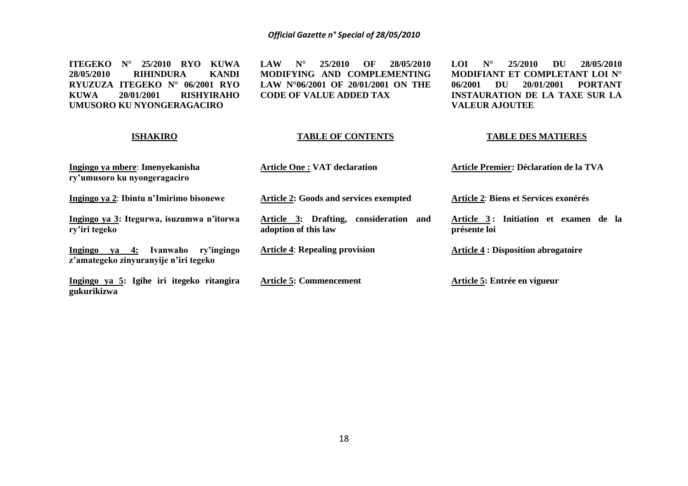**ITEGEKO N° 25/2010 RYO KUWA 28/05/2010 RIHINDURA KANDI RYUZUZA ITEGEKO N° 06/2001 RYO KUWA 20/01/2001 RISHYIRAHO UMUSORO KU NYONGERAGACIRO**

**LAW N° 25/2010 OF 28/05/2010 MODIFYING AND COMPLEMENTING LAW N°06/2001 OF 20/01/2001 ON THE CODE OF VALUE ADDED TAX**

**LOI N° 25/2010 DU 28/05/2010 MODIFIANT ET COMPLETANT LOI N° 06/2001 DU 20/01/2001 PORTANT INSTAURATION DE LA TAXE SUR LA VALEUR AJOUTEE**

#### **ISHAKIRO Ingingo ya mbere**: **Imenyekanisha ry'umusoro ku nyongeragaciro Ingingo ya 2**: **Ibintu n'Imirimo bisonewe Ingingo ya 3: Itegurwa, isuzumwa n'itorwa ry'iri tegeko Ingingo ya 4: Ivanwaho ry'ingingo z'amategeko zinyuranyije n'iri tegeko Ingingo ya 5: Igihe iri itegeko ritangira gukurikizwa TABLE OF CONTENTS Article One : VAT declaration Article 2: Goods and services exempted Article 3: Drafting, consideration and adoption of this law Article 4**: **Repealing provision Article 5: Commencement TABLE DES MATIERES Article Premier: Déclaration de la TVA Article 2**: **Biens et Services exonérés Article 3 : Initiation et examen de la présente loi Article 4 : Disposition abrogatoire Article 5: Entrée en vigueur**

#### 18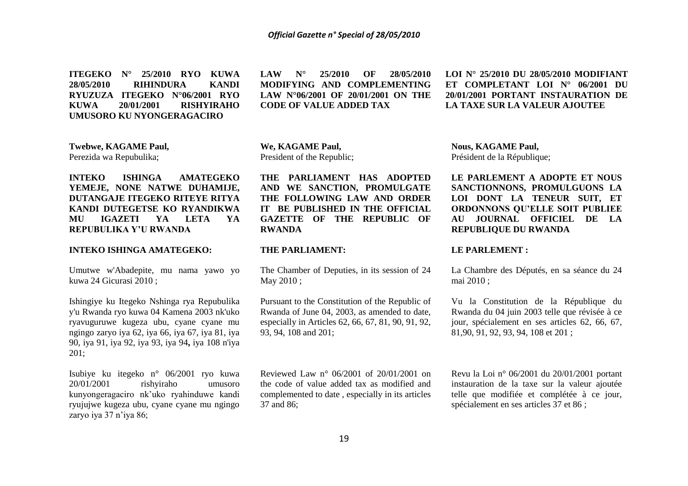**ITEGEKO N° 25/2010 RYO KUWA 28/05/2010 RIHINDURA RYUZUZA ITEGEKO N°06/2001 RYO KUWA 20/01/2001 RISHYIRAHO UMUSORO KU NYONGERAGACIRO**

**LAW N° 25/2010 OF 28/05/2010 MODIFYING AND COMPLEMENTING LAW N°06/2001 OF 20/01/2001 ON THE CODE OF VALUE ADDED TAX**

**LOI N° 25/2010 DU 28/05/2010 MODIFIANT ET COMPLETANT LOI N° 06/2001 DU 20/01/2001 PORTANT INSTAURATION DE LA TAXE SUR LA VALEUR AJOUTEE**

**Twebwe, KAGAME Paul,**

Perezida wa Repubulika;

**INTEKO ISHINGA AMATEGEKO YEMEJE, NONE NATWE DUHAMIJE, DUTANGAJE ITEGEKO RITEYE RITYA KANDI DUTEGETSE KO RYANDIKWA MU IGAZETI YA LETA YA REPUBULIKA Y'U RWANDA**

#### **INTEKO ISHINGA AMATEGEKO:**

Umutwe w'Abadepite, mu nama yawo yo kuwa 24 Gicurasi 2010 ;

Ishingiye ku Itegeko Nshinga rya Repubulika y'u Rwanda ryo kuwa 04 Kamena 2003 nk'uko ryavuguruwe kugeza ubu, cyane cyane mu ngingo zaryo iya 62, iya 66, iya 67, iya 81, iya 90, iya 91, iya 92, iya 93, iya 94**,** iya 108 n'iya 201;

Isubiye ku itegeko n° 06/2001 ryo kuwa 20/01/2001 rishyiraho umusoro kunyongeragaciro nk"uko ryahinduwe kandi ryujujwe kugeza ubu, cyane cyane mu ngingo zaryo iya 37 n'iya 86;

**We, KAGAME Paul,** President of the Republic;

**THE PARLIAMENT HAS ADOPTED AND WE SANCTION, PROMULGATE THE FOLLOWING LAW AND ORDER IT BE PUBLISHED IN THE OFFICIAL GAZETTE OF THE REPUBLIC OF RWANDA**

#### **THE PARLIAMENT:**

The Chamber of Deputies, in its session of 24 May 2010 ;

Pursuant to the Constitution of the Republic of Rwanda of June 04, 2003, as amended to date, especially in Articles 62, 66, 67, 81, 90, 91, 92, 93, 94, 108 and 201;

Reviewed Law n° 06/2001 of 20/01/2001 on the code of value added tax as modified and complemented to date , especially in its articles 37 and 86;

**Nous, KAGAME Paul,** Président de la République;

**LE PARLEMENT A ADOPTE ET NOUS SANCTIONNONS, PROMULGUONS LA LOI DONT LA TENEUR SUIT, ET ORDONNONS QU'ELLE SOIT PUBLIEE AU JOURNAL OFFICIEL DE LA REPUBLIQUE DU RWANDA**

#### **LE PARLEMENT :**

La Chambre des Députés, en sa séance du 24 mai 2010 ;

Vu la Constitution de la République du Rwanda du 04 juin 2003 telle que révisée à ce jour, spécialement en ses articles 62, 66, 67, 81,90, 91, 92, 93, 94, 108 et 201 ;

Revu la Loi n° 06/2001 du 20/01/2001 portant instauration de la taxe sur la valeur ajoutée telle que modifiée et complétée à ce jour, spécialement en ses articles 37 et 86 ;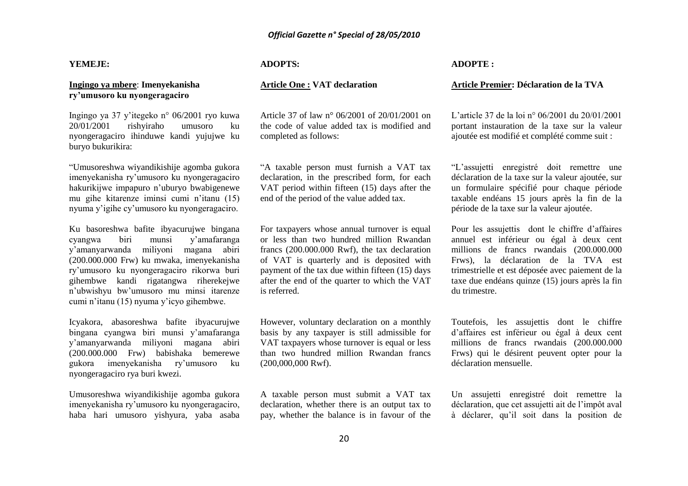#### **YEMEJE:**

#### **Ingingo ya mbere**: **Imenyekanisha ry'umusoro ku nyongeragaciro**

Ingingo ya 37 y"itegeko n° 06/2001 ryo kuwa 20/01/2001 rishyiraho umusoro ku nyongeragaciro ihinduwe kandi yujujwe ku buryo bukurikira:

"Umusoreshwa wiyandikishije agomba gukora imenyekanisha ry"umusoro ku nyongeragaciro hakurikijwe impapuro n"uburyo bwabigenewe mu gihe kitarenze iminsi cumi n"itanu (15) nyuma y"igihe cy"umusoro ku nyongeragaciro.

Ku basoreshwa bafite ibyacurujwe bingana cyangwa biri munsi y"amafaranga y"amanyarwanda miliyoni magana abiri (200.000.000 Frw) ku mwaka, imenyekanisha ry"umusoro ku nyongeragaciro rikorwa buri gihembwe kandi rigatangwa riherekejwe n"ubwishyu bw"umusoro mu minsi itarenze cumi n"itanu (15) nyuma y"icyo gihembwe.

Icyakora, abasoreshwa bafite ibyacurujwe bingana cyangwa biri munsi y"amafaranga y"amanyarwanda miliyoni magana abiri (200.000.000 Frw) babishaka bemerewe gukora imenyekanisha ry"umusoro ku nyongeragaciro rya buri kwezi.

Umusoreshwa wiyandikishije agomba gukora imenyekanisha ry"umusoro ku nyongeragaciro, haba hari umusoro yishyura, yaba asaba

#### **ADOPTS:**

#### **Article One : VAT declaration**

Article 37 of law n° 06/2001 of 20/01/2001 on the code of value added tax is modified and completed as follows:

"A taxable person must furnish a VAT tax declaration, in the prescribed form, for each VAT period within fifteen (15) days after the end of the period of the value added tax.

For taxpayers whose annual turnover is equal or less than two hundred million Rwandan francs (200.000.000 Rwf), the tax declaration of VAT is quarterly and is deposited with payment of the tax due within fifteen (15) days after the end of the quarter to which the VAT is referred.

However, voluntary declaration on a monthly basis by any taxpayer is still admissible for VAT taxpayers whose turnover is equal or less than two hundred million Rwandan francs (200,000,000 Rwf).

A taxable person must submit a VAT tax declaration, whether there is an output tax to pay, whether the balance is in favour of the

#### **ADOPTE :**

#### **Article Premier: Déclaration de la TVA**

L"article 37 de la loi n° 06/2001 du 20/01/2001 portant instauration de la taxe sur la valeur ajoutée est modifié et complété comme suit :

"L"assujetti enregistré doit remettre une déclaration de la taxe sur la valeur ajoutée, sur un formulaire spécifié pour chaque période taxable endéans 15 jours après la fin de la période de la taxe sur la valeur ajoutée.

Pour les assujettis dont le chiffre d"affaires annuel est inférieur ou égal à deux cent millions de francs rwandais (200.000.000 Frws), la déclaration de la TVA est trimestrielle et est déposée avec paiement de la taxe due endéans quinze (15) jours après la fin du trimestre.

Toutefois, les assujettis dont le chiffre d"affaires est inférieur ou égal à deux cent millions de francs rwandais (200.000.000 Frws) qui le désirent peuvent opter pour la déclaration mensuelle.

Un assujetti enregistré doit remettre la déclaration, que cet assujetti ait de l"impôt aval à déclarer, qu"il soit dans la position de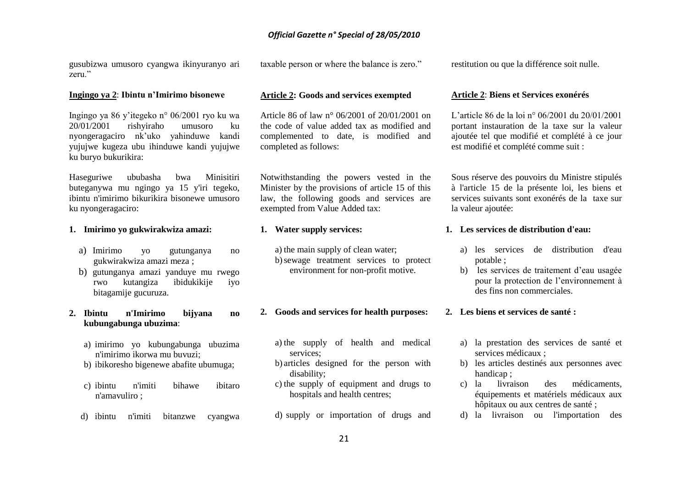gusubizwa umusoro cyangwa ikinyuranyo ari zeru."

taxable person or where the balance is zero."

restitution ou que la différence soit nulle.

#### **Ingingo ya 2**: **Ibintu n'Imirimo bisonewe**

Ingingo ya 86 y"itegeko n° 06/2001 ryo ku wa 20/01/2001 rishyiraho umusoro ku nyongeragaciro nk"uko yahinduwe kandi yujujwe kugeza ubu ihinduwe kandi yujujwe ku buryo bukurikira:

Haseguriwe ububasha bwa Minisitiri buteganywa mu ngingo ya 15 y'iri tegeko, ibintu n'imirimo bikurikira bisonewe umusoro ku nyongeragaciro:

#### **1. Imirimo yo gukwirakwiza amazi:**

- a) Imirimo yo gutunganya no gukwirakwiza amazi meza ;
- b) gutunganya amazi yanduye mu rwego rwo kutangiza ibidukikije iyo bitagamije gucuruza.

#### **2. Ibintu n'Imirimo bijyana no kubungabunga ubuzima**:

- a) imirimo yo kubungabunga ubuzima n'imirimo ikorwa mu buvuzi;
- b) ibikoresho bigenewe abafite ubumuga;
- c) ibintu n'imiti bihawe ibitaro n'amavuliro ;
- d) ibintu n'imiti bitanzwe cyangwa

## **Article 2: Goods and services exempted**

Article 86 of law n° 06/2001 of 20/01/2001 on the code of value added tax as modified and complemented to date, is modified and completed as follows:

Notwithstanding the powers vested in the Minister by the provisions of article 15 of this law, the following goods and services are exempted from Value Added tax:

#### **1. Water supply services:**

a) the main supply of clean water; b)sewage treatment services to protect environment for non-profit motive.

#### **2. Goods and services for health purposes:**

- a) the supply of health and medical services;
- b) articles designed for the person with disability;
- c) the supply of equipment and drugs to hospitals and health centres;
- d) supply or importation of drugs and

#### **Article 2**: **Biens et Services exonérés**

L"article 86 de la loi n° 06/2001 du 20/01/2001 portant instauration de la taxe sur la valeur ajoutée tel que modifié et complété à ce jour est modifié et complété comme suit :

Sous réserve des pouvoirs du Ministre stipulés à l'article 15 de la présente loi, les biens et services suivants sont exonérés de la taxe sur la valeur ajoutée:

#### **1. Les services de distribution d'eau:**

- a) les services de distribution d'eau potable ;
- b) les services de traitement d"eau usagée pour la protection de l"environnement à des fins non commerciales.

#### **2. Les biens et services de santé :**

- a) la prestation des services de santé et services médicaux ;
- b) les articles destinés aux personnes avec handicap ;
- c) la livraison des médicaments, équipements et matériels médicaux aux hôpitaux ou aux centres de santé ;
- d) la livraison ou l'importation des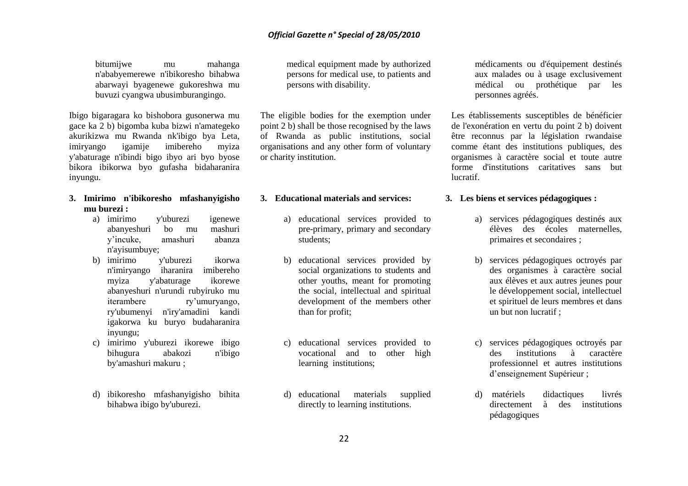bitumijwe mu mahanga n'ababyemerewe n'ibikoresho bihabwa abarwayi byagenewe gukoreshwa mu buvuzi cyangwa ubusimburangingo.

Ibigo bigaragara ko bishobora gusonerwa mu gace ka 2 b) bigomba kuba bizwi n'amategeko akurikizwa mu Rwanda nk'ibigo bya Leta, imiryango igamije imibereho myiza y'abaturage n'ibindi bigo ibyo ari byo byose bikora ibikorwa byo gufasha bidaharanira inyungu.

### **3. Imirimo n'ibikoresho mfashanyigisho mu burezi :**

- a) imirimo y'uburezi igenewe abanyeshuri bo mu mashuri y"incuke, amashuri abanza n'ayisumbuye;
- b) imirimo y'uburezi ikorwa n'imiryango iharanira imibereho myiza y'abaturage ikorewe abanyeshuri n'urundi rubyiruko mu iterambere ry"umuryango, ry'ubumenyi n'iry'amadini kandi igakorwa ku buryo budaharanira inyungu;
- c) imirimo y'uburezi ikorewe ibigo bihugura abakozi n'ibigo by'amashuri makuru ;
- d) ibikoresho mfashanyigisho bihita bihabwa ibigo by'uburezi.

medical equipment made by authorized persons for medical use, to patients and persons with disability.

The eligible bodies for the exemption under point 2 b) shall be those recognised by the laws of Rwanda as public institutions, social organisations and any other form of voluntary or charity institution.

#### **3. Educational materials and services:**

- a) educational services provided to pre-primary, primary and secondary students;
- b) educational services provided by social organizations to students and other youths, meant for promoting the social, intellectual and spiritual development of the members other than for profit;
- c) educational services provided to vocational and to other high learning institutions;
- d) educational materials supplied directly to learning institutions.

médicaments ou d'équipement destinés aux malades ou à usage exclusivement médical ou prothétique par les personnes agréés.

Les établissements susceptibles de bénéficier de l'exonération en vertu du point 2 b) doivent être reconnus par la législation rwandaise comme étant des institutions publiques, des organismes à caractère social et toute autre forme d'institutions caritatives sans but lucratif.

#### **3. Les biens et services pédagogiques :**

- a) services pédagogiques destinés aux élèves des écoles maternelles, primaires et secondaires ;
- b) services pédagogiques octroyés par des organismes à caractère social aux élèves et aux autres jeunes pour le développement social, intellectuel et spirituel de leurs membres et dans un but non lucratif ;
- c) services pédagogiques octroyés par des institutions à caractère professionnel et autres institutions d"enseignement Supérieur ;
- d) matériels didactiques livrés directement à des institutions pédagogiques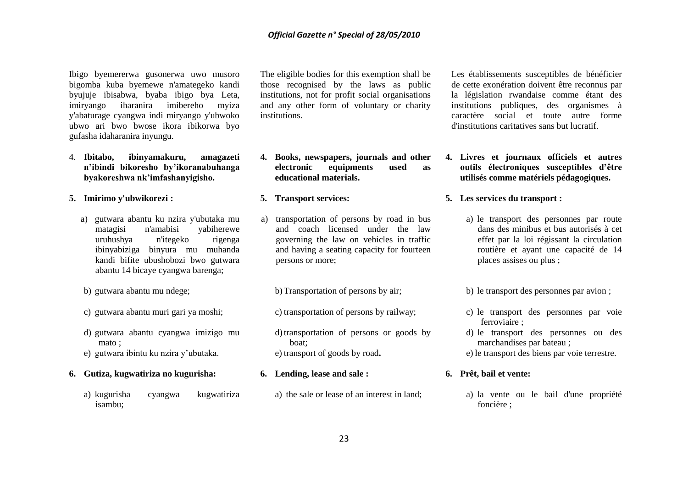Ibigo byemererwa gusonerwa uwo musoro bigomba kuba byemewe n'amategeko kandi byujuje ibisabwa, byaba ibigo bya Leta, imiryango iharanira imibereho myiza y'abaturage cyangwa indi miryango y'ubwoko ubwo ari bwo bwose ikora ibikorwa byo gufasha idaharanira inyungu.

4. **Ibitabo, ibinyamakuru, amagazeti n'ibindi bikoresho by'ikoranabuhanga byakoreshwa nk'imfashanyigisho.**

#### **5. Imirimo y'ubwikorezi :**

- a) gutwara abantu ku nzira y'ubutaka mu matagisi n'amabisi yabiherewe uruhushya n'itegeko rigenga ibinyabiziga binyura mu muhanda kandi bifite ubushobozi bwo gutwara abantu 14 bicaye cyangwa barenga;
- b) gutwara abantu mu ndege;
- c) gutwara abantu muri gari ya moshi;
- d) gutwara abantu cyangwa imizigo mu mato ;
- e) gutwara ibintu ku nzira y"ubutaka.
- **6. Gutiza, kugwatiriza no kugurisha:**
	- a) kugurisha cyangwa kugwatiriza isambu;

The eligible bodies for this exemption shall be those recognised by the laws as public institutions, not for profit social organisations and any other form of voluntary or charity institutions.

- **4. Books, newspapers, journals and other electronic equipments used as educational materials.**
- **5. Transport services:**
- a) transportation of persons by road in bus and coach licensed under the law governing the law on vehicles in traffic and having a seating capacity for fourteen persons or more;
	- b)Transportation of persons by air;
	- c) transportation of persons by railway;

d)transportation of persons or goods by boat; e) transport of goods by road**.**

- **6. Lending, lease and sale :**
	- a) the sale or lease of an interest in land;

Les établissements susceptibles de bénéficier de cette exonération doivent être reconnus par la législation rwandaise comme étant des institutions publiques, des organismes à caractère social et toute autre forme d'institutions caritatives sans but lucratif.

- **4. Livres et journaux officiels et autres outils électroniques susceptibles d'être utilisés comme matériels pédagogiques.**
- **5. Les services du transport :**
	- a) le transport des personnes par route dans des minibus et bus autorisés à cet effet par la loi régissant la circulation routière et ayant une capacité de 14 places assises ou plus ;
	- b) le transport des personnes par avion ;
	- c) le transport des personnes par voie ferroviaire ;
	- d) le transport des personnes ou des marchandises par bateau ;
	- e) le transport des biens par voie terrestre.

## **6. Prêt, bail et vente:**

a) la vente ou le bail d'une propriété foncière ;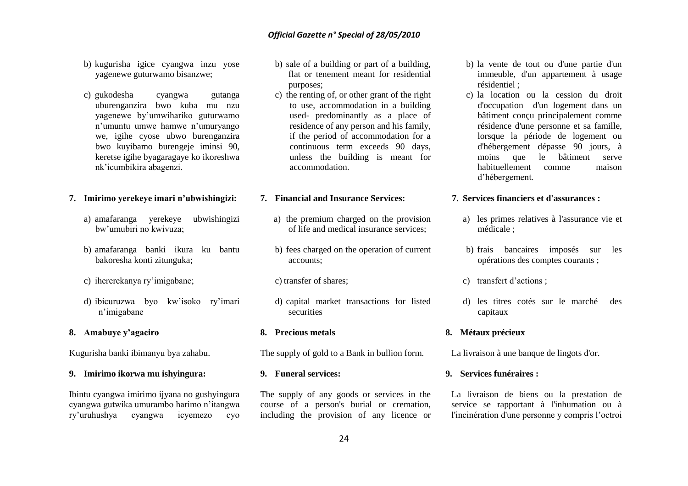- b) kugurisha igice cyangwa inzu yose yagenewe guturwamo bisanzwe;
- c) gukodesha cyangwa gutanga uburenganzira bwo kuba mu nzu yagenewe by"umwihariko guturwamo n"umuntu umwe hamwe n"umuryango we, igihe cyose ubwo burenganzira bwo kuyibamo burengeje iminsi 90, keretse igihe byagaragaye ko ikoreshwa nk"icumbikira abagenzi.

#### **7. Imirimo yerekeye imari n'ubwishingizi:**

- a) amafaranga yerekeye ubwishingizi bw"umubiri no kwivuza;
- b) amafaranga banki ikura ku bantu bakoresha konti zitunguka;
- c) ihererekanya ry"imigabane;
- d) ibicuruzwa byo kw"isoko ry"imari n"imigabane

#### **8. Amabuye y'agaciro**

Kugurisha banki ibimanyu bya zahabu.

#### **9. Imirimo ikorwa mu ishyingura:**

Ibintu cyangwa imirimo ijyana no gushyingura cyangwa gutwika umurambo harimo n"itangwa ry"uruhushya cyangwa icyemezo cyo

- b) sale of a building or part of a building, flat or tenement meant for residential purposes;
- c) the renting of, or other grant of the right to use, accommodation in a building used- predominantly as a place of residence of any person and his family, if the period of accommodation for a continuous term exceeds 90 days, unless the building is meant for accommodation.

#### **7. Financial and Insurance Services:**

- a) the premium charged on the provision of life and medical insurance services;
- b) fees charged on the operation of current accounts;
- c) transfer of shares;
- d) capital market transactions for listed securities

#### **8. Precious metals**

The supply of gold to a Bank in bullion form.

#### **9. Funeral services:**

The supply of any goods or services in the course of a person's burial or cremation, including the provision of any licence or

- b) la vente de tout ou d'une partie d'un immeuble, d'un appartement à usage résidentiel ;
- c) la location ou la cession du droit d'occupation d'un logement dans un bâtiment conçu principalement comme résidence d'une personne et sa famille, lorsque la période de logement ou d'hébergement dépasse 90 jours, à moins que le bâtiment serve habituellement comme maison d"hébergement.

#### **7. Services financiers et d'assurances :**

- a) les primes relatives à l'assurance vie et médicale ;
- b) frais bancaires imposés sur les opérations des comptes courants ;
- c) transfert d"actions ;
- d) les titres cotés sur le marché des capitaux

#### **8. Métaux précieux**

La livraison à une banque de lingots d'or.

#### **9. Services funéraires :**

La livraison de biens ou la prestation de service se rapportant à l'inhumation ou à l'incinération d'une personne y compris l"octroi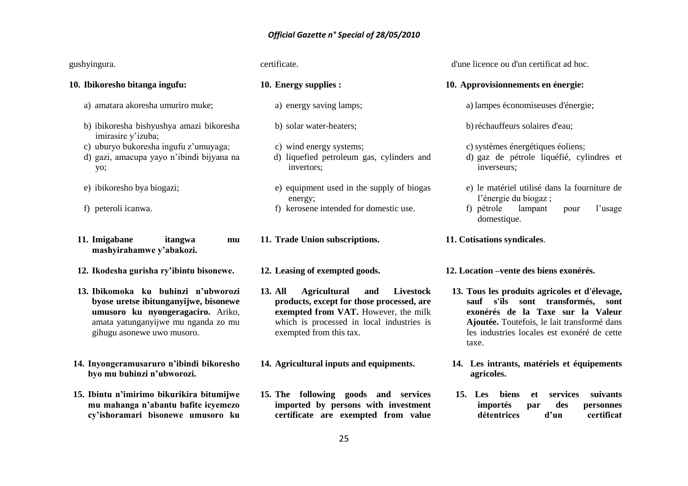| gushyingura.                                                                                                                                                                           | certificate.                                                                                                                                                                                                           | d'une licence ou d'un certificat ad hoc.                                                                                                                                                                                          |
|----------------------------------------------------------------------------------------------------------------------------------------------------------------------------------------|------------------------------------------------------------------------------------------------------------------------------------------------------------------------------------------------------------------------|-----------------------------------------------------------------------------------------------------------------------------------------------------------------------------------------------------------------------------------|
| 10. Ibikoresho bitanga ingufu:                                                                                                                                                         | 10. Energy supplies :                                                                                                                                                                                                  | 10. Approvisionnements en énergie:                                                                                                                                                                                                |
| a) amatara akoresha umuriro muke;                                                                                                                                                      | a) energy saving lamps;                                                                                                                                                                                                | a) lampes économiseuses d'énergie;                                                                                                                                                                                                |
| b) ibikoresha bishyushya amazi bikoresha<br>imirasire y'izuba;                                                                                                                         | b) solar water-heaters;                                                                                                                                                                                                | b) réchauffeurs solaires d'eau;                                                                                                                                                                                                   |
| c) uburyo bukoresha ingufu z'umuyaga;<br>d) gazi, amacupa yayo n'ibindi bijyana na<br>yo;                                                                                              | c) wind energy systems;<br>d) liquefied petroleum gas, cylinders and<br>invertors;                                                                                                                                     | c) systèmes énergétiques éoliens;<br>d) gaz de pétrole liquéfié, cylindres et<br>inverseurs;                                                                                                                                      |
| e) ibikoresho bya biogazi;                                                                                                                                                             | e) equipment used in the supply of biogas<br>energy;                                                                                                                                                                   | e) le matériel utilisé dans la fourniture de<br>l'énergie du biogaz;                                                                                                                                                              |
| f) peteroli icanwa.                                                                                                                                                                    | f) kerosene intended for domestic use.                                                                                                                                                                                 | f) pétrole<br>lampant<br>l'usage<br>pour<br>domestique.                                                                                                                                                                           |
| 11. Imigabane<br>itangwa<br>mu<br>mashyirahamwe y'abakozi.                                                                                                                             | 11. Trade Union subscriptions.                                                                                                                                                                                         | 11. Cotisations syndicales.                                                                                                                                                                                                       |
| 12. Ikodesha gurisha ry'ibintu bisonewe.                                                                                                                                               | 12. Leasing of exempted goods.                                                                                                                                                                                         | 12. Location –vente des biens exonérés.                                                                                                                                                                                           |
| 13. Ibikomoka ku buhinzi n'ubworozi<br>byose uretse ibitunganyijwe, bisonewe<br>umusoro ku nyongeragaciro. Ariko,<br>amata yatunganyijwe mu nganda zo mu<br>gihugu asonewe uwo musoro. | <b>13. All</b><br><b>Agricultural</b><br>Livestock<br>and<br>products, except for those processed, are<br>exempted from VAT. However, the milk<br>which is processed in local industries is<br>exempted from this tax. | 13. Tous les produits agricoles et d'élevage,<br>sauf s'ils sont transformés,<br>sont<br>exonérés de la Taxe sur la Valeur<br>Ajoutée. Toutefois, le lait transformé dans<br>les industries locales est exonéré de cette<br>taxe. |
| 14. Inyongeramusaruro n'ibindi bikoresho<br>byo mu buhinzi n'ubworozi.                                                                                                                 | 14. Agricultural inputs and equipments.                                                                                                                                                                                | 14. Les intrants, matériels et équipements<br>agricoles.                                                                                                                                                                          |
| 15. Ibintu n'imirimo bikurikira bitumijwe<br>mu mahanga n'abantu bafite icyemezo<br>cy'ishoramari bisonewe umusoro ku                                                                  | 15. The following goods and services<br>imported by persons with investment<br>certificate are exempted from value                                                                                                     | biens<br>suivants<br>15. Les<br>services<br>et<br>importés<br>des<br>personnes<br>par<br>certificat<br>détentrices<br>d'un                                                                                                        |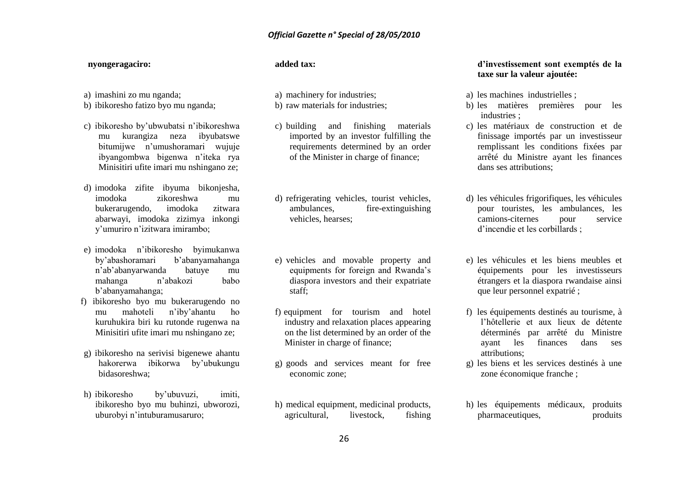#### **nyongeragaciro:**

- a) imashini zo mu nganda;
- b) ibikoresho fatizo byo mu nganda;
- c) ibikoresho by"ubwubatsi n"ibikoreshwa mu kurangiza neza ibyubatswe bitumijwe n"umushoramari wujuje ibyangombwa bigenwa n"iteka rya Minisitiri ufite imari mu nshingano ze;
- d) imodoka zifite ibyuma bikonjesha, imodoka zikoreshwa mu bukerarugendo, imodoka zitwara abarwayi, imodoka zizimya inkongi y"umuriro n"izitwara imirambo;
- e) imodoka n"ibikoresho byimukanwa by"abashoramari b"abanyamahanga n"ab"abanyarwanda batuye mu mahanga n"abakozi babo b"abanyamahanga;
- f) ibikoresho byo mu bukerarugendo no mu mahoteli n"iby"ahantu ho kuruhukira biri ku rutonde rugenwa na Minisitiri ufite imari mu nshingano ze;
- g) ibikoresho na serivisi bigenewe ahantu hakorerwa ibikorwa by"ubukungu bidasoreshwa;
- h) ibikoresho by"ubuvuzi, imiti, ibikoresho byo mu buhinzi, ubworozi, uburobyi n"intuburamusaruro;

#### **added tax:**

- a) machinery for industries;
- b) raw materials for industries;
- c) building and finishing materials imported by an investor fulfilling the requirements determined by an order of the Minister in charge of finance;
- d) refrigerating vehicles, tourist vehicles, ambulances, fire-extinguishing vehicles, hearses;
- e) vehicles and movable property and equipments for foreign and Rwanda"s diaspora investors and their expatriate staff;
- f) equipment for tourism and hotel industry and relaxation places appearing on the list determined by an order of the Minister in charge of finance;
- g) goods and services meant for free economic zone;
- h) medical equipment, medicinal products, agricultural, livestock, fishing

#### **d'investissement sont exemptés de la taxe sur la valeur ajoutée:**

- a) les machines industrielles ;
- b) les matières premières pour les industries ;
- c) les matériaux de construction et de finissage importés par un investisseur remplissant les conditions fixées par arrêté du Ministre ayant les finances dans ses attributions;
- d) les véhicules frigorifiques, les véhicules pour touristes, les ambulances, les camions-citernes pour service d"incendie et les corbillards ;
- e) les véhicules et les biens meubles et équipements pour les investisseurs étrangers et la diaspora rwandaise ainsi que leur personnel expatrié ;
- f) les équipements destinés au tourisme, à l"hôtellerie et aux lieux de détente déterminés par arrêté du Ministre ayant les finances dans ses attributions;
- g) les biens et les services destinés à une zone économique franche ;
- h) les équipements médicaux, produits pharmaceutiques, produits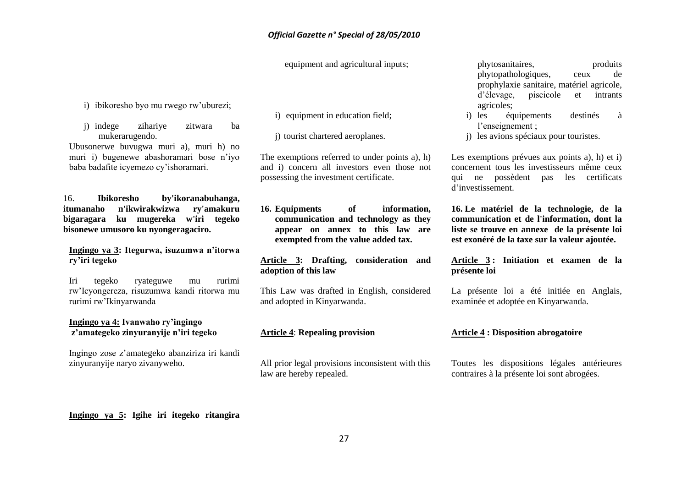equipment and agricultural inputs;

- i) ibikoresho byo mu rwego rw"uburezi;
- j) indege zihariye zitwara ba mukerarugendo.

Ubusonerwe buvugwa muri a), muri h) no muri i) bugenewe abashoramari bose n'ivo baba badafite icyemezo cy"ishoramari.

16. **Ibikoresho by'ikoranabuhanga, itumanaho n'ikwirakwizwa ry'amakuru bigaragara ku mugereka w'iri tegeko bisonewe umusoro ku nyongeragaciro.**

#### **Ingingo ya 3: Itegurwa, isuzumwa n'itorwa ry'iri tegeko**

Iri tegeko ryateguwe mu rurimi rw"Icyongereza, risuzumwa kandi ritorwa mu rurimi rw"Ikinyarwanda

#### **Ingingo ya 4: Ivanwaho ry'ingingo z'amategeko zinyuranyije n'iri tegeko**

Ingingo zose z"amategeko abanziriza iri kandi zinyuranyije naryo zivanyweho.

i) equipment in education field;

j) tourist chartered aeroplanes.

The exemptions referred to under points a), h) and i) concern all investors even those not possessing the investment certificate.

**16. Equipments of information, communication and technology as they appear on annex to this law are exempted from the value added tax.**

**Article 3: Drafting, consideration and adoption of this law**

This Law was drafted in English, considered and adopted in Kinyarwanda.

#### **Article 4**: **Repealing provision**

All prior legal provisions inconsistent with this law are hereby repealed.

phytosanitaires, produits phytopathologiques, ceux de prophylaxie sanitaire, matériel agricole, d"élevage, piscicole et intrants agricoles;

- i) les équipements destinés à l"enseignement ;
- j) les avions spéciaux pour touristes.

Les exemptions prévues aux points a), h) et i) concernent tous les investisseurs même ceux qui ne possèdent pas les certificats d"investissement.

**16. Le matériel de la technologie, de la communication et de l'information, dont la liste se trouve en annexe de la présente loi est exonéré de la taxe sur la valeur ajoutée.**

**Article 3 : Initiation et examen de la présente loi**

La présente loi a été initiée en Anglais, examinée et adoptée en Kinyarwanda.

#### **Article 4 : Disposition abrogatoire**

Toutes les dispositions légales antérieures contraires à la présente loi sont abrogées.

**Ingingo ya 5: Igihe iri itegeko ritangira**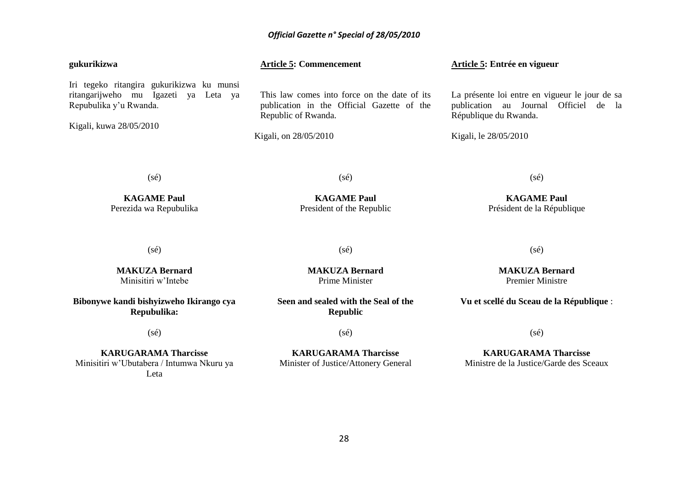| gukurikizwa                                                                                                                            | <b>Article 5: Commencement</b>                                                                                                             | Article 5: Entrée en vigueur                                                                                                              |
|----------------------------------------------------------------------------------------------------------------------------------------|--------------------------------------------------------------------------------------------------------------------------------------------|-------------------------------------------------------------------------------------------------------------------------------------------|
| Iri tegeko ritangira gukurikizwa ku munsi<br>ritangarijweho mu Igazeti ya Leta ya<br>Repubulika y'u Rwanda.<br>Kigali, kuwa 28/05/2010 | This law comes into force on the date of its<br>publication in the Official Gazette of the<br>Republic of Rwanda.<br>Kigali, on 28/05/2010 | La présente loi entre en vigueur le jour de sa<br>publication au Journal Officiel de la<br>République du Rwanda.<br>Kigali, le 28/05/2010 |
| $(s\acute{e})$                                                                                                                         | $(s\acute{e})$                                                                                                                             | $(s\acute{e})$                                                                                                                            |
| <b>KAGAME Paul</b><br>Perezida wa Repubulika                                                                                           | <b>KAGAME Paul</b><br>President of the Republic                                                                                            | <b>KAGAME Paul</b><br>Président de la République                                                                                          |
| $(s\acute{e})$                                                                                                                         | $(s\acute{e})$                                                                                                                             | $(s\acute{e})$                                                                                                                            |
| <b>MAKUZA Bernard</b><br>Minisitiri w'Intebe                                                                                           | <b>MAKUZA Bernard</b><br>Prime Minister                                                                                                    | <b>MAKUZA Bernard</b><br><b>Premier Ministre</b>                                                                                          |
| Bibonywe kandi bishyizweho Ikirango cya<br>Repubulika:                                                                                 | Seen and sealed with the Seal of the<br><b>Republic</b>                                                                                    | Vu et scellé du Sceau de la République :                                                                                                  |
| $(s\acute{e})$                                                                                                                         | $(s\acute{e})$                                                                                                                             | $(s\acute{e})$                                                                                                                            |
| <b>KARUGARAMA Tharcisse</b><br>Minisitiri w'Ubutabera / Intumwa Nkuru ya                                                               | <b>KARUGARAMA Tharcisse</b><br>Minister of Justice/Attonery General                                                                        | <b>KARUGARAMA Tharcisse</b><br>Ministre de la Justice/Garde des Sceaux                                                                    |

Leta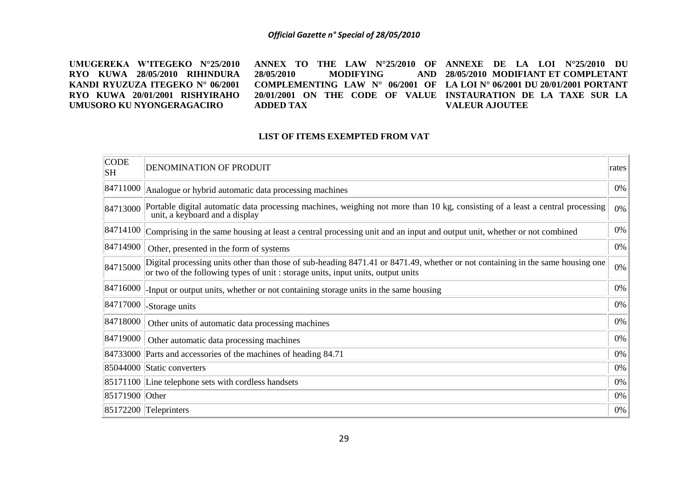**UMUGEREKA W'ITEGEKO N°25/2010 RYO KUWA 28/05/2010 RIHINDURA KANDI RYUZUZA ITEGEKO N° 06/2001 RYO KUWA 20/01/2001 RISHYIRAHO UMUSORO KU NYONGERAGACIRO ANNEX TO THE LAW N°25/2010 OF ANNEXE DE LA LOI N°25/2010 DU 28/05/2010 MODIFYING COMPLEMENTING LAW N° 06/2001 OF LA LOI N° 06/2001 DU 20/01/2001 PORTANT 20/01/2001 ON THE CODE OF VALUE INSTAURATION DE LA TAXE SUR LA ADDED TAX 28/05/2010 MODIFIANT ET COMPLETANT VALEUR AJOUTEE**

#### **LIST OF ITEMS EXEMPTED FROM VAT**

| <b>CODE</b><br>SH | <b>DENOMINATION OF PRODUIT</b>                                                                                                                                                                                    | rates |
|-------------------|-------------------------------------------------------------------------------------------------------------------------------------------------------------------------------------------------------------------|-------|
| 84711000          | Analogue or hybrid automatic data processing machines                                                                                                                                                             | 0%    |
| 84713000          | Portable digital automatic data processing machines, weighing not more than 10 kg, consisting of a least a central processing<br>unit, a keyboard and a display                                                   | $0\%$ |
| 84714100          | Comprising in the same housing at least a central processing unit and an input and output unit, whether or not combined                                                                                           | $0\%$ |
| 84714900          | Other, presented in the form of systems                                                                                                                                                                           | 0%    |
| 84715000          | Digital processing units other than those of sub-heading 8471.41 or 8471.49, whether or not containing in the same housing one<br>or two of the following types of unit: storage units, input units, output units | $0\%$ |
| 84716000          | -Input or output units, whether or not containing storage units in the same housing                                                                                                                               | 0%    |
| 84717000          | -Storage units                                                                                                                                                                                                    | 0%    |
| 84718000          | Other units of automatic data processing machines                                                                                                                                                                 | 0%    |
| 84719000          | Other automatic data processing machines                                                                                                                                                                          | 0%    |
|                   | 84733000 Parts and accessories of the machines of heading 84.71                                                                                                                                                   | 0%    |
|                   | 85044000 Static converters                                                                                                                                                                                        | 0%    |
|                   | 85171100 Line telephone sets with cordless handsets                                                                                                                                                               | 0%    |
| 85171900 Other    |                                                                                                                                                                                                                   | 0%    |
|                   | $ 85172200 $ Teleprinters                                                                                                                                                                                         | 0%    |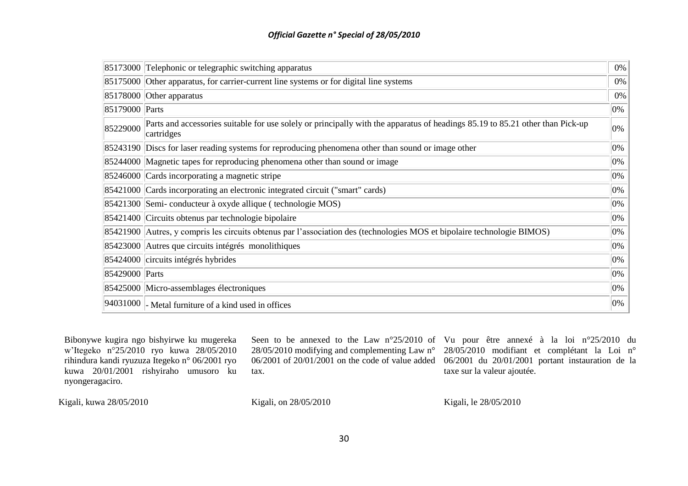|                | 85173000 Telephonic or telegraphic switching apparatus                                                                                      | $0\%$ |
|----------------|---------------------------------------------------------------------------------------------------------------------------------------------|-------|
|                | 85175000 Other apparatus, for carrier-current line systems or for digital line systems                                                      | 0%    |
|                | 85178000 Other apparatus                                                                                                                    | 0%    |
| 85179000 Parts |                                                                                                                                             | 0%    |
| 85229000       | Parts and accessories suitable for use solely or principally with the apparatus of headings 85.19 to 85.21 other than Pick-up<br>cartridges | 0%    |
|                | 85243190 Discs for laser reading systems for reproducing phenomena other than sound or image other                                          | 0%    |
|                | 85244000 Magnetic tapes for reproducing phenomena other than sound or image                                                                 | 0%    |
|                | 85246000 Cards incorporating a magnetic stripe                                                                                              | 0%    |
|                | 85421000 Cards incorporating an electronic integrated circuit ("smart" cards)                                                               | 0%    |
|                | 85421300 Semi-conducteur à oxyde allique (technologie MOS)                                                                                  | 0%    |
|                | 85421400 Circuits obtenus par technologie bipolaire                                                                                         | 0%    |
|                | 85421900 Autres, y compris les circuits obtenus par l'association des (technologies MOS et bipolaire technologie BIMOS)                     | 0%    |
|                | 85423000 Autres que circuits intégrés monolithiques                                                                                         | 0%    |
|                | 85424000 circuits intégrés hybrides                                                                                                         | 0%    |
| 85429000 Parts |                                                                                                                                             | 0%    |
|                | 85425000 Micro-assemblages électroniques                                                                                                    | 0%    |
|                | $ 94031000 $ Metal furniture of a kind used in offices                                                                                      | 0%    |

Bibonywe kugira ngo bishyirwe ku mugereka w"Itegeko n°25/2010 ryo kuwa 28/05/2010 rihindura kandi ryuzuza Itegeko n° 06/2001 ryo kuwa 20/01/2001 rishyiraho umusoro ku nyongeragaciro.

tax.

Seen to be annexed to the Law n°25/2010 of Vu pour être annexé à la loi n°25/2010 du 28/05/2010 modifying and complementing Law n° 28/05/2010 modifiant et complétant la Loi n° 06/2001 of 20/01/2001 on the code of value added 06/2001 du 20/01/2001 portant instauration de la taxe sur la valeur ajoutée.

Kigali, kuwa 28/05/2010

Kigali, on 28/05/2010

Kigali, le 28/05/2010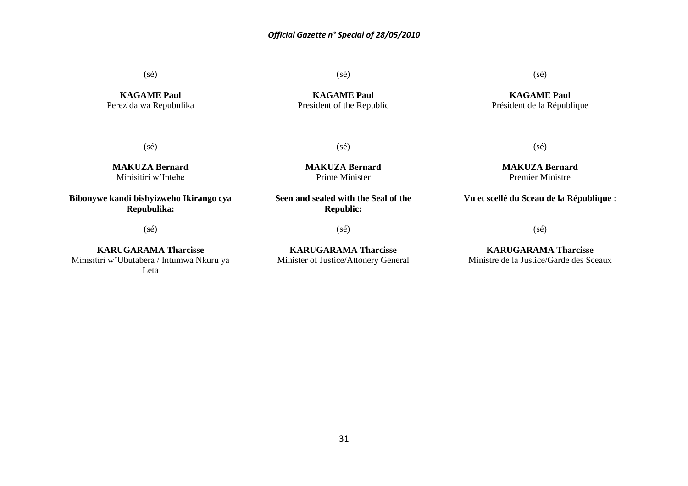(sé)

**KAGAME Paul** Perezida wa Repubulika (sé)

**KAGAME Paul** President of the Republic

(sé)

(sé)

**MAKUZA Bernard** Prime Minister

**MAKUZA Bernard** Minisitiri w"Intebe

**Bibonywe kandi bishyizweho Ikirango cya Repubulika:**

(sé)

**KARUGARAMA Tharcisse** Minisitiri w"Ubutabera / Intumwa Nkuru ya Leta

**Seen and sealed with the Seal of the Republic:**

(sé)

**KARUGARAMA Tharcisse** Minister of Justice/Attonery General

(sé)

**KAGAME Paul** Président de la République

> **MAKUZA Bernard** Premier Ministre

(sé)

**Vu et scellé du Sceau de la République** :

(sé)

**KARUGARAMA Tharcisse** Ministre de la Justice/Garde des Sceaux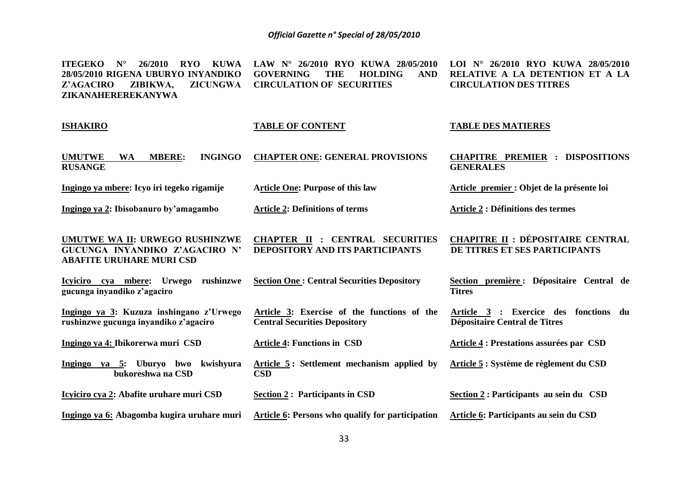**ITEGEKO N° 26/2010 RYO KUWA LAW N° 26/2010 RYO KUWA 28/05/2010 LOI N° 26/2010 RYO KUWA 28/05/2010 28/05/2010 RIGENA UBURYO INYANDIKO GOVERNING THE HOLDING AND RELATIVE A LA DETENTION ET A LA Z'AGACIRO ZIBIKWA, ZICUNGWA CIRCULATION OF SECURITIES ZIKANAHEREREKANYWA CIRCULATION DES TITRES** 

| <b>ISHAKIRO</b>                                                                                     | <b>TABLE OF CONTENT</b>                                                             | <b>TABLE DES MATIERES</b>                                                 |
|-----------------------------------------------------------------------------------------------------|-------------------------------------------------------------------------------------|---------------------------------------------------------------------------|
| <b>UMUTWE</b><br><b>INGINGO</b><br><b>WA</b><br><b>MBERE:</b><br><b>RUSANGE</b>                     | <b>CHAPTER ONE: GENERAL PROVISIONS</b>                                              | <b>CHAPITRE PREMIER : DISPOSITIONS</b><br><b>GENERALES</b>                |
| Ingingo ya mbere: Icyo iri tegeko rigamije                                                          | <b>Article One: Purpose of this law</b>                                             | Article premier : Objet de la présente loi                                |
| Ingingo ya 2: Ibisobanuro by'amagambo                                                               | <b>Article 2: Definitions of terms</b>                                              | <b>Article 2 : Définitions des termes</b>                                 |
| UMUTWE WA II: URWEGO RUSHINZWE<br>GUCUNGA INYANDIKO Z'AGACIRO N'<br><b>ABAFITE URUHARE MURI CSD</b> | <b>CHAPTER II : CENTRAL SECURITIES</b><br><b>DEPOSITORY AND ITS PARTICIPANTS</b>    | <b>CHAPITRE II : DÉPOSITAIRE CENTRAL</b><br>DE TITRES ET SES PARTICIPANTS |
| Icyiciro cya mbere:<br>Urwego rushinzwe<br>gucunga inyandiko z'agaciro                              | <b>Section One: Central Securities Depository</b>                                   | Section première : Dépositaire Central de<br><b>Titres</b>                |
| Ingingo ya 3: Kuzuza inshingano z'Urwego<br>rushinzwe gucunga inyandiko z'agaciro                   | Article 3: Exercise of the functions of the<br><b>Central Securities Depository</b> | Article 3 : Exercice des fonctions du<br>Dépositaire Central de Titres    |
| Ingingo ya 4: Ibikorerwa muri CSD                                                                   | <b>Article 4: Functions in CSD</b>                                                  | <b>Article 4: Prestations assurées par CSD</b>                            |
| Ingingo ya 5: Uburyo bwo kwishyura<br>bukoreshwa na CSD                                             | Article 5: Settlement mechanism applied by<br><b>CSD</b>                            | Article 5 : Système de règlement du CSD                                   |
| Icyiciro cya 2: Abafite uruhare muri CSD                                                            | <b>Section 2: Participants in CSD</b>                                               | Section 2 : Participants au sein du CSD                                   |
| Ingingo ya 6: Abagomba kugira uruhare muri                                                          | <b>Article 6: Persons who qualify for participation</b>                             | Article 6: Participants au sein du CSD                                    |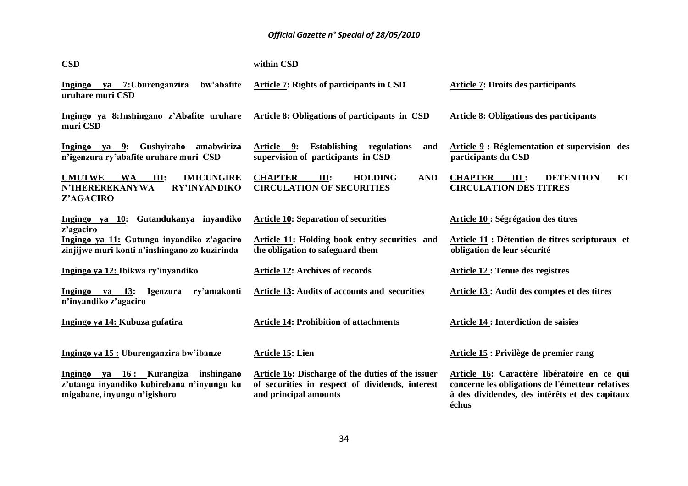| <b>CSD</b>                                                                                                            | within CSD                                                                                                                           |                                                                                                                                                            |
|-----------------------------------------------------------------------------------------------------------------------|--------------------------------------------------------------------------------------------------------------------------------------|------------------------------------------------------------------------------------------------------------------------------------------------------------|
| ya 7:Uburenganzira<br>bw'abafite<br><b>Ingingo</b><br>uruhare muri CSD                                                | Article 7: Rights of participants in CSD                                                                                             | <b>Article 7: Droits des participants</b>                                                                                                                  |
| Ingingo ya 8: Inshingano z'Abafite uruhare<br>muri CSD                                                                | Article 8: Obligations of participants in CSD                                                                                        | <b>Article 8: Obligations des participants</b>                                                                                                             |
| Ingingo ya 9: Gushyiraho<br>amabwiriza<br>n'igenzura ry'abafite uruhare muri CSD                                      | Article 9:<br><b>Establishing</b><br>regulations<br>and<br>supervision of participants in CSD                                        | Article 9 : Réglementation et supervision des<br>participants du CSD                                                                                       |
| <b>UMUTWE</b><br><b>IMICUNGIRE</b><br><b>WA</b><br>III:<br><b>N'IHEREREKANYWA</b><br><b>RY'INYANDIKO</b><br>Z'AGACIRO | <b>CHAPTER</b><br><b>AND</b><br>III:<br><b>HOLDING</b><br><b>CIRCULATION OF SECURITIES</b>                                           | <b>CHAPTER</b><br><b>DETENTION</b><br>III:<br>ET<br><b>CIRCULATION DES TITRES</b>                                                                          |
| Ingingo ya 10: Gutandukanya inyandiko<br>z'agaciro                                                                    | <b>Article 10: Separation of securities</b>                                                                                          | Article 10 : Ségrégation des titres                                                                                                                        |
| Ingingo ya 11: Gutunga inyandiko z'agaciro<br>zinjijwe muri konti n'inshingano zo kuzirinda                           | Article 11: Holding book entry securities and<br>the obligation to safeguard them                                                    | Article 11 : Détention de titres scripturaux et<br>obligation de leur sécurité                                                                             |
| Ingingo ya 12: Ibikwa ry'inyandiko                                                                                    | <b>Article 12: Archives of records</b>                                                                                               | <b>Article 12: Tenue des registres</b>                                                                                                                     |
| Ingingo ya 13:<br><b>Igenzura</b><br>ry'amakonti<br>n'inyandiko z'agaciro                                             | <b>Article 13: Audits of accounts and securities</b>                                                                                 | Article 13 : Audit des comptes et des titres                                                                                                               |
| Ingingo ya 14: Kubuza gufatira                                                                                        | <b>Article 14: Prohibition of attachments</b>                                                                                        | <b>Article 14 : Interdiction de saisies</b>                                                                                                                |
| Ingingo ya 15 : Uburenganzira bw'ibanze                                                                               | <b>Article 15: Lien</b>                                                                                                              | Article 15 : Privilège de premier rang                                                                                                                     |
| Ingingo ya 16: Kurangiza<br>inshingano<br>z'utanga inyandiko kubirebana n'inyungu ku<br>migabane, inyungu n'igishoro  | <b>Article 16: Discharge of the duties of the issuer</b><br>of securities in respect of dividends, interest<br>and principal amounts | Article 16: Caractère libératoire en ce qui<br>concerne les obligations de l'émetteur relatives<br>à des dividendes, des intérêts et des capitaux<br>échus |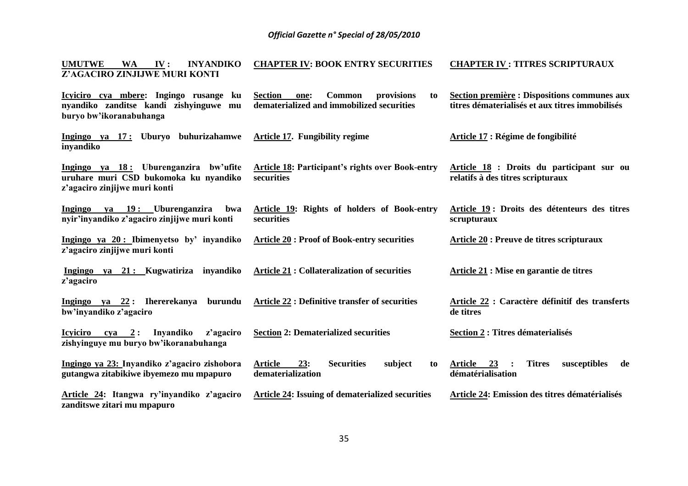| UMUTWE WA IV:                 |  | INYANDIKO CHAPTER IV: BOOK ENTRY SECURITIES | <b>CHAPTER IV : TITRES SCRIPTURAUX</b> |
|-------------------------------|--|---------------------------------------------|----------------------------------------|
| Z'AGACIRO ZINJIJWE MURI KONTI |  |                                             |                                        |

**Icyiciro cya mbere: Ingingo rusange ku nyandiko zanditse kandi zishyinguwe mu buryo bw'ikoranabuhanga Section one: Common provisions to dematerialized and immobilized securities Section première : Dispositions communes aux titres dématerialisés et aux titres immobilisés** 

**Article 18 : Droits du participant sur ou** 

**relatifs à des titres scripturaux** 

**Article 21 : Mise en garantie de titres** 

**Section 2 : Titres dématerialisés**

**de titres** 

**Article 22 : Caractère définitif des transferts** 

**Ingingo ya 17 : Uburyo buhurizahamwe inyandiko Article 17. Fungibility regime Article 17 : Régime de fongibilité**

**Ingingo ya 18 : Uburenganzira bw'ufite uruhare muri CSD bukomoka ku nyandiko z'agaciro zinjijwe muri konti Article 18: Participant's rights over Book-entry securities** 

**Ingingo ya 19 : Uburenganzira bwa nyir'inyandiko z'agaciro zinjijwe muri konti Article 19: Rights of holders of Book-entry securities Article 19 : Droits des détenteurs des titres scrupturaux** 

**Ingingo ya 20 : Ibimenyetso by' inyandiko z'agaciro zinjijwe muri konti Article 20 : Proof of Book-entry securities Article 20 : Preuve de titres scripturaux**

**Ingingo ya 21 : Kugwatiriza inyandiko z'agaciro Article 21 : Collateralization of securities**

**Ingingo ya 22 : Ihererekanya burundu bw'inyandiko z'agaciro Article 22 : Definitive transfer of securities** 

**Icyiciro cya 2 : Inyandiko z'agaciro Section 2: Dematerialized securities**

**Ingingo ya 23: Inyandiko z'agaciro zishobora gutangwa zitabikiwe ibyemezo mu mpapuro Article 24: Itangwa ry'inyandiko z'agaciro Article 23: Securities subject to dematerialization Article 24: Issuing of dematerialized securities Article 23 : Titres susceptibles de dématérialisation Article 24: Emission des titres dématérialisés**

**zanditswe zitari mu mpapuro**

**zishyinguye mu buryo bw'ikoranabuhanga**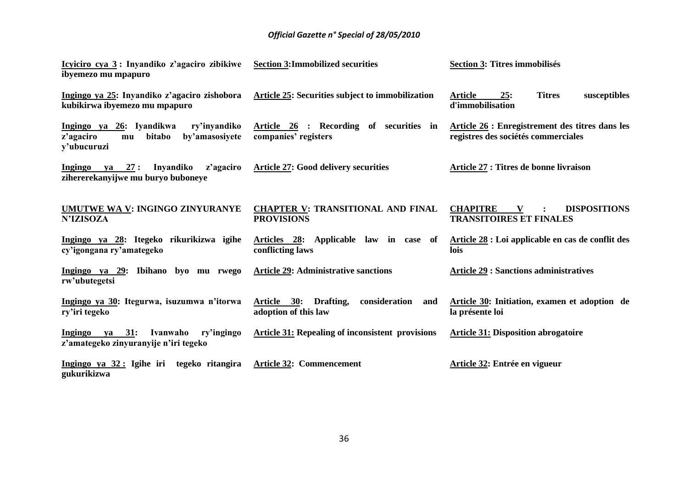| Icyiciro cya 3: Inyandiko z'agaciro zibikiwe<br>ibyemezo mu mpapuro                                    | <b>Section 3:Immobilized securities</b>                                  | <b>Section 3: Titres immobilisés</b>                                                   |
|--------------------------------------------------------------------------------------------------------|--------------------------------------------------------------------------|----------------------------------------------------------------------------------------|
| Ingingo ya 25: Inyandiko z'agaciro zishobora<br>kubikirwa ibyemezo mu mpapuro                          | Article 25: Securities subject to immobilization                         | <b>Titres</b><br><b>Article</b><br>susceptibles<br>25:<br>d'immobilisation             |
| Ingingo ya 26: Iyandikwa<br>ry'inyandiko<br>z'agaciro<br>bitabo<br>by'amasosiyete<br>mu<br>y'ubucuruzi | Article 26 : Recording of securities in<br>companies' registers          | Article 26 : Enregistrement des titres dans les<br>registres des sociétés commerciales |
| Ingingo<br>Inyandiko<br>z'agaciro<br>ya 27:<br>zihererekanyijwe mu buryo buboneye                      | <b>Article 27: Good delivery securities</b>                              | Article 27 : Titres de bonne livraison                                                 |
| <b>UMUTWE WA V: INGINGO ZINYURANYE</b><br><b>N'IZISOZA</b>                                             | <b>CHAPTER V: TRANSITIONAL AND FINAL</b><br><b>PROVISIONS</b>            | <b>CHAPITRE</b><br>V<br><b>DISPOSITIONS</b><br><b>TRANSITOIRES ET FINALES</b>          |
| Ingingo ya 28: Itegeko rikurikizwa igihe<br>cy'igongana ry'amategeko                                   | Articles 28: Applicable law in case of<br>conflicting laws               | Article 28 : Loi applicable en cas de conflit des<br>lois                              |
| Ingingo ya 29: Ibihano byo mu rwego<br>rw'ubutegetsi                                                   | <b>Article 29: Administrative sanctions</b>                              | <b>Article 29 : Sanctions administratives</b>                                          |
| Ingingo ya 30: Itegurwa, isuzumwa n'itorwa<br>ry'iri tegeko                                            | consideration<br>Article 30:<br>Drafting,<br>and<br>adoption of this law | Article 30: Initiation, examen et adoption de<br>la présente loi                       |
| ya 31:<br>Ivanwaho<br>ry'ingingo<br>Ingingo<br>z'amategeko zinyuranyije n'iri tegeko                   | <b>Article 31: Repealing of inconsistent provisions</b>                  | <b>Article 31: Disposition abrogatoire</b>                                             |
| Ingingo ya $32:$ Igihe iri<br>tegeko ritangira<br>gukurikizwa                                          | <b>Article 32: Commencement</b>                                          | Article 32: Entrée en vigueur                                                          |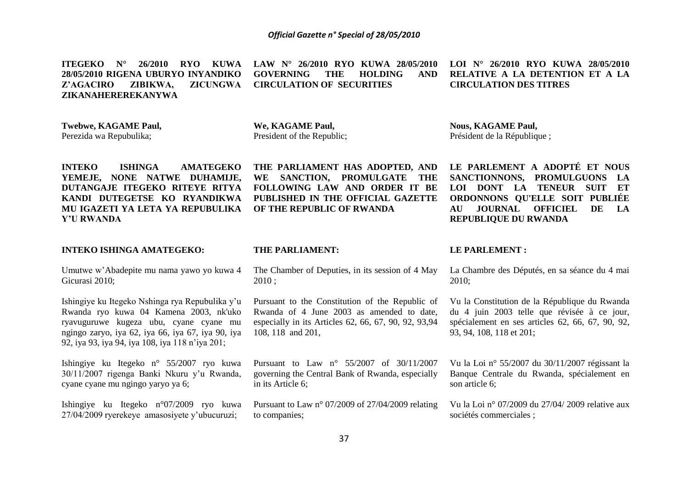**ITEGEKO N° 26/2010 RYO KUWA LAW N° 26/2010 RYO KUWA 28/05/2010 28/05/2010 RIGENA UBURYO INYANDIKO Z'AGACIRO ZIBIKWA, ZICUNGWA ZIKANAHEREREKANYWA GOVERNING THE HOLDING AND CIRCULATION OF SECURITIES** 

**Twebwe, KAGAME Paul,** Perezida wa Repubulika;

**We, KAGAME Paul,** President of the Republic; **Nous, KAGAME Paul,** Président de la République ;

**INTEKO ISHINGA AMATEGEKO YEMEJE, NONE NATWE DUHAMIJE, DUTANGAJE ITEGEKO RITEYE RITYA KANDI DUTEGETSE KO RYANDIKWA MU IGAZETI YA LETA YA REPUBULIKA Y'U RWANDA**

#### **INTEKO ISHINGA AMATEGEKO:**

Umutwe w"Abadepite mu nama yawo yo kuwa 4 Gicurasi 2010;

Ishingiye ku Itegeko Nshinga rya Repubulika y"u Rwanda ryo kuwa 04 Kamena 2003, nk'uko ryavuguruwe kugeza ubu, cyane cyane mu ngingo zaryo, iya 62, iya 66, iya 67, iya 90, iya 92, iya 93, iya 94, iya 108, iya 118 n"iya 201;

Ishingiye ku Itegeko n° 55/2007 ryo kuwa 30/11/2007 rigenga Banki Nkuru y"u Rwanda, cyane cyane mu ngingo yaryo ya 6;

Ishingiye ku Itegeko n°07/2009 ryo kuwa 27/04/2009 ryerekeye amasosiyete y"ubucuruzi;

**THE PARLIAMENT HAS ADOPTED, AND WE SANCTION, PROMULGATE THE FOLLOWING LAW AND ORDER IT BE PUBLISHED IN THE OFFICIAL GAZETTE OF THE REPUBLIC OF RWANDA**

**AU JOURNAL OFFICIEL DE LA REPUBLIQUE DU RWANDA**

**LE PARLEMENT A ADOPTÉ ET NOUS SANCTIONNONS, PROMULGUONS LA LOI DONT LA TENEUR SUIT ET ORDONNONS QU'ELLE SOIT PUBLIÉE** 

#### **THE PARLIAMENT:**

The Chamber of Deputies, in its session of 4 May 2010 ;

Pursuant to the Constitution of the Republic of Rwanda of 4 June 2003 as amended to date, especially in its Articles 62, 66, 67, 90, 92, 93,94 108, 118 and 201,

Pursuant to Law n° 55/2007 of 30/11/2007 governing the Central Bank of Rwanda, especially in its Article 6;

Pursuant to Law n° 07/2009 of 27/04/2009 relating to companies;

#### **LE PARLEMENT :**

La Chambre des Députés, en sa séance du 4 mai 2010;

Vu la Constitution de la République du Rwanda du 4 juin 2003 telle que révisée à ce jour, spécialement en ses articles 62, 66, 67, 90, 92, 93, 94, 108, 118 et 201;

Vu la Loi n° 55/2007 du 30/11/2007 régissant la Banque Centrale du Rwanda, spécialement en son article 6;

Vu la Loi n° 07/2009 du 27/04/ 2009 relative aux sociétés commerciales ;

**LOI N° 26/2010 RYO KUWA 28/05/2010 RELATIVE A LA DETENTION ET A LA CIRCULATION DES TITRES**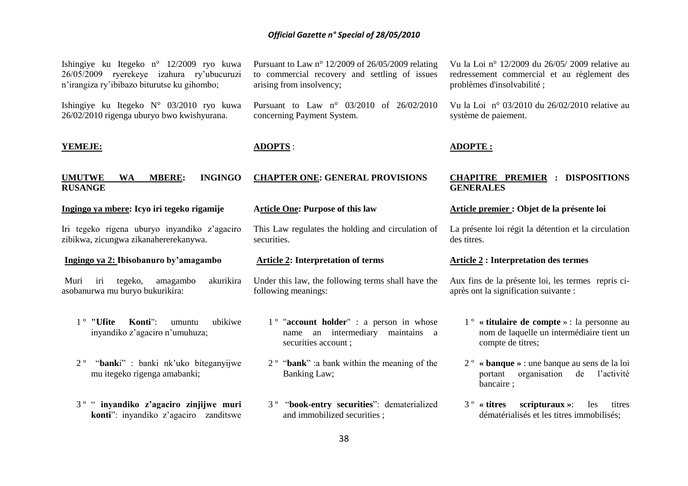| Ishingiye ku Itegeko n° 12/2009 ryo kuwa<br>ryerekeye izahura ry'ubucuruzi<br>26/05/2009<br>n'irangiza ry'ibibazo biturutse ku gihombo; | Pursuant to Law $n^{\circ}$ 12/2009 of 26/05/2009 relating<br>to commercial recovery and settling of issues<br>arising from insolvency; | Vu la Loi nº 12/2009 du 26/05/2009 relative au<br>redressement commercial et au règlement des<br>problèmes d'insolvabilité; |
|-----------------------------------------------------------------------------------------------------------------------------------------|-----------------------------------------------------------------------------------------------------------------------------------------|-----------------------------------------------------------------------------------------------------------------------------|
| Ishingiye ku Itegeko N° 03/2010 ryo kuwa<br>26/02/2010 rigenga uburyo bwo kwishyurana.                                                  | Pursuant to Law n° 03/2010 of 26/02/2010<br>concerning Payment System.                                                                  | Vu la Loi $n^{\circ}$ 03/2010 du 26/02/2010 relative au<br>système de paiement.                                             |
| YEMEJE:                                                                                                                                 | <b>ADOPTS:</b>                                                                                                                          | <b>ADOPTE:</b>                                                                                                              |
| <b>UMUTWE</b><br><b>INGINGO</b><br>WA<br><b>MBERE:</b><br><b>RUSANGE</b>                                                                | <b>CHAPTER ONE: GENERAL PROVISIONS</b>                                                                                                  | <b>CHAPITRE PREMIER : DISPOSITIONS</b><br><b>GENERALES</b>                                                                  |
| Ingingo ya mbere: Icyo iri tegeko rigamije                                                                                              | <b>Article One: Purpose of this law</b>                                                                                                 | Article premier : Objet de la présente loi                                                                                  |
| Iri tegeko rigena uburyo inyandiko z'agaciro<br>zibikwa, zicungwa zikanahererekanywa.                                                   | This Law regulates the holding and circulation of<br>securities.                                                                        | La présente loi régit la détention et la circulation<br>des titres.                                                         |
| Ingingo ya 2: Ibisobanuro by'amagambo                                                                                                   | <b>Article 2: Interpretation of terms</b>                                                                                               | <b>Article 2: Interpretation des termes</b>                                                                                 |
| akurikira<br>Muri<br>tegeko,<br>amagambo<br>iri<br>asobanurwa mu buryo bukurikira:                                                      | Under this law, the following terms shall have the<br>following meanings:                                                               | Aux fins de la présente loi, les termes repris ci-<br>après ont la signification suivante :                                 |
| $1°$ "Ufite<br>Konti":<br>ubikiwe<br>umuntu<br>inyandiko z'agaciro n'umuhuza;                                                           | $1^{\circ}$ "account holder" : a person in whose<br>name an intermediary<br>maintains a<br>securities account;                          | 1 <sup>°</sup> « titulaire de compte » : la personne au<br>nom de laquelle un intermédiaire tient un<br>compte de titres;   |
| $2^{\circ}$<br>"banki" : banki nk'uko biteganyijwe                                                                                      | $2^{\circ}$ "bank" : a bank within the meaning of the                                                                                   | $2^{\circ}$ « banque » : une banque au sens de la loi                                                                       |

- portant organisation de l"activité bancaire ;
- 3 º **« titres scripturaux »**: les titres dématérialisés et les titres immobilisés;

and immobilized securities ;

3 º "**book-entry securities**": dematerialized

Banking Law;

mu itegeko rigenga amabanki;

3 º " **inyandiko z'agaciro zinjijwe muri konti**": inyandiko z"agaciro zanditswe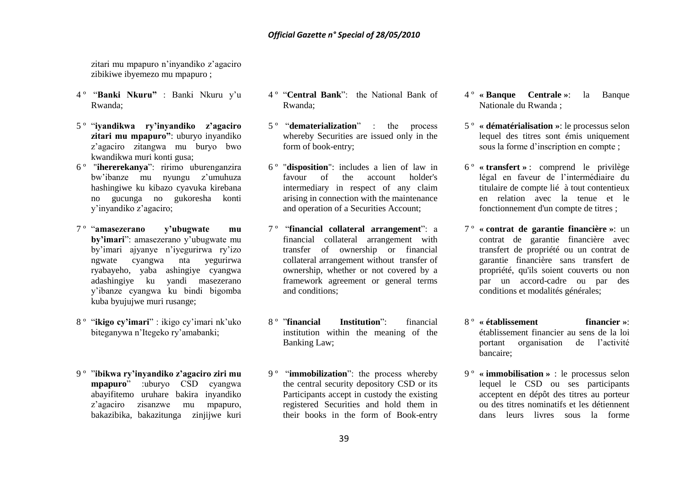zitari mu mpapuro n"inyandiko z"agaciro zibikiwe ibyemezo mu mpapuro ;

- 4 º "**Banki Nkuru"** : Banki Nkuru y"u Rwanda;
- 5 º "**iyandikwa ry'inyandiko z'agaciro zitari mu mpapuro"**: uburyo inyandiko z"agaciro zitangwa mu buryo bwo kwandikwa muri konti gusa;
- 6 º "**ihererekanya**": ririmo uburenganzira bw"ibanze mu nyungu z"umuhuza hashingiwe ku kibazo cyavuka kirebana no gucunga no gukoresha konti y"inyandiko z"agaciro;
- 7 º "**amasezerano y'ubugwate mu by'imari**": amasezerano y"ubugwate mu by"imari ajyanye n"iyegurirwa ry"izo ngwate cyangwa nta yegurirwa ryabayeho, yaba ashingiye cyangwa adashingiye ku yandi masezerano y"ibanze cyangwa ku bindi bigomba kuba byujujwe muri rusange;
- 8 º "**ikigo cy'imari**" : ikigo cy"imari nk"uko biteganywa n"Itegeko ry"amabanki;
- 9 º "**ibikwa ry'inyandiko z'agaciro ziri mu mpapuro**" :uburyo CSD cyangwa abayifitemo uruhare bakira inyandiko z"agaciro zisanzwe mu mpapuro, bakazibika, bakazitunga zinjijwe kuri
- 4 º "**Central Bank**": the National Bank of Rwanda;
- 5 º "**dematerialization**" : the process whereby Securities are issued only in the form of book-entry;
- 6 º "**disposition**": includes a lien of law in favour of the account holder's intermediary in respect of any claim arising in connection with the maintenance and operation of a Securities Account;
- 7 º "**financial collateral arrangement**": a financial collateral arrangement with transfer of ownership or financial collateral arrangement without transfer of ownership, whether or not covered by a framework agreement or general terms and conditions;
- 8 º "**financial Institution**": financial institution within the meaning of the Banking Law;
- 9 º "**immobilization**": the process whereby the central security depository CSD or its Participants accept in custody the existing registered Securities and hold them in their books in the form of Book-entry
- 4 º **« Banque Centrale »**: la Banque Nationale du Rwanda ;
- 5 º **« dématérialisation »**: le processus selon lequel des titres sont émis uniquement sous la forme d"inscription en compte ;
- 6 º **« transfert »** : comprend le privilège légal en faveur de l"intermédiaire du titulaire de compte lié à tout contentieux en relation avec la tenue et le fonctionnement d'un compte de titres ;
- 7 º **« contrat de garantie financière »**: un contrat de garantie financière avec transfert de propriété ou un contrat de garantie financière sans transfert de propriété, qu'ils soient couverts ou non par un accord-cadre ou par des conditions et modalités générales;
- 8 º **« établissement financier »**: établissement financier au sens de la loi portant organisation de l"activité bancaire;
- 9 º **« immobilisation »** : le processus selon lequel le CSD ou ses participants acceptent en dépôt des titres au porteur ou des titres nominatifs et les détiennent dans leurs livres sous la forme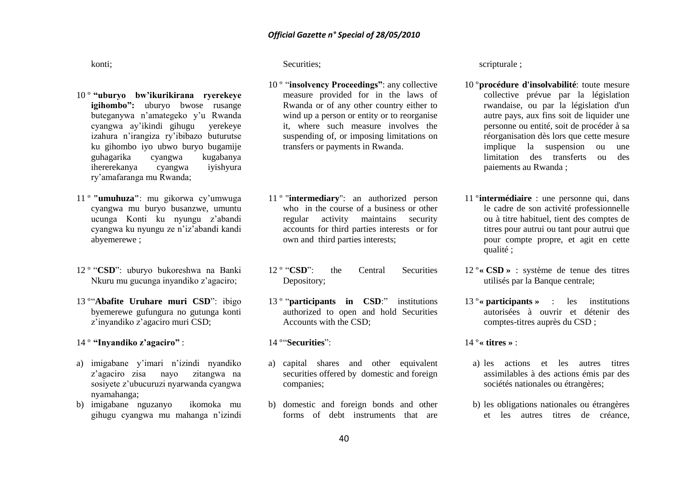konti;

- 10 º **"uburyo bw'ikurikirana ryerekeye igihombo":** uburyo bwose rusange buteganywa n"amategeko y"u Rwanda cyangwa ay"ikindi gihugu yerekeye izahura n"irangiza ry"ibibazo buturutse ku gihombo iyo ubwo buryo bugamije guhagarika cyangwa kugabanya ihererekanya cyangwa iyishyura ry"amafaranga mu Rwanda;
- 11 º **"umuhuza"**: mu gikorwa cy"umwuga cyangwa mu buryo busanzwe, umuntu ucunga Konti ku nyungu z"abandi cyangwa ku nyungu ze n"iz"abandi kandi abyemerewe ;
- 12 º "**CSD**": uburyo bukoreshwa na Banki Nkuru mu gucunga inyandiko z"agaciro;
- 13 º"**Abafite Uruhare muri CSD**": ibigo byemerewe gufungura no gutunga konti z"inyandiko z"agaciro muri CSD;
- 14 º **"Inyandiko z'agaciro"** :
- a) imigabane y"imari n"izindi nyandiko z"agaciro zisa nayo zitangwa na sosiyete z"ubucuruzi nyarwanda cyangwa nyamahanga;
- b) imigabane nguzanyo ikomoka mu gihugu cyangwa mu mahanga n"izindi

#### Securities:

- 10 º "**insolvency Proceedings"**: any collective measure provided for in the laws of Rwanda or of any other country either to wind up a person or entity or to reorganise it, where such measure involves the suspending of, or imposing limitations on transfers or payments in Rwanda.
- 11 º "**intermediary**": an authorized person who in the course of a business or other regular activity maintains security accounts for third parties interests or for own and third parties interests;
- 12 º "**CSD**": the Central Securities Depository;
- 13 º "**participants in CSD**:" institutions authorized to open and hold Securities Accounts with the CSD;

14 º"**Securities**":

- a) capital shares and other equivalent securities offered by domestic and foreign companies;
- b) domestic and foreign bonds and other forms of debt instruments that are

scripturale ;

- 10 º**procédure d'insolvabilité**: toute mesure collective prévue par la législation rwandaise, ou par la législation d'un autre pays, aux fins soit de liquider une personne ou entité, soit de procéder à sa réorganisation dès lors que cette mesure implique la suspension ou une limitation des transferts ou des paiements au Rwanda ;
- 11 º**intermédiaire** : une personne qui, dans le cadre de son activité professionnelle ou à titre habituel, tient des comptes de titres pour autrui ou tant pour autrui que pour compte propre, et agit en cette qualité ;
- 12 º**« CSD »** : système de tenue des titres utilisés par la Banque centrale;
- 13 º**« participants »** : les institutions autorisées à ouvrir et détenir des comptes-titres auprès du CSD ;

#### 14 º**« titres »** :

- a) les actions et les autres titres assimilables à des actions émis par des sociétés nationales ou étrangères;
- b) les obligations nationales ou étrangères et les autres titres de créance,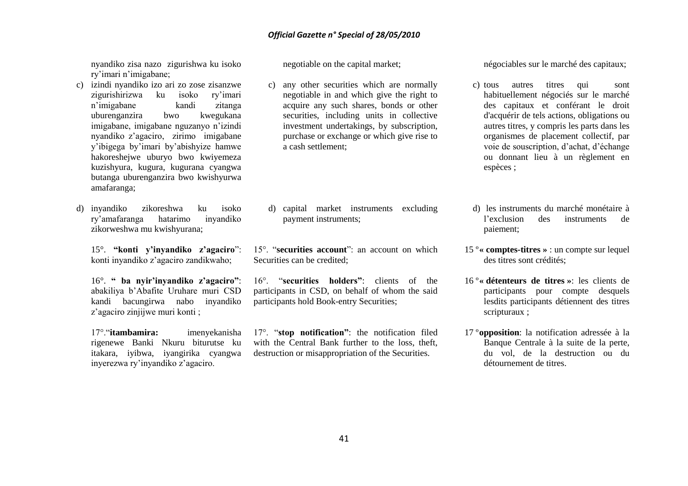nyandiko zisa nazo zigurishwa ku isoko ry"imari n"imigabane;

- c) izindi nyandiko izo ari zo zose zisanzwe zigurishirizwa ku isoko ry"imari n"imigabane kandi zitanga uburenganzira bwo kwegukana imigabane, imigabane nguzanyo n"izindi nyandiko z"agaciro, zirimo imigabane y"ibigega by"imari by"abishyize hamwe hakoreshejwe uburyo bwo kwiyemeza kuzishyura, kugura, kugurana cyangwa butanga uburenganzira bwo kwishyurwa amafaranga;
- d) inyandiko zikoreshwa ku isoko ry"amafaranga hatarimo inyandiko zikorweshwa mu kwishyurana;

15°. **"konti y'inyandiko z'agaciro**": konti inyandiko z"agaciro zandikwaho;

16°. **" ba nyir'inyandiko z'agaciro"**: abakiliya b"Abafite Uruhare muri CSD kandi bacungirwa nabo inyandiko z'agaciro zinijiwe muri konti :

17°."**itambamira:** imenyekanisha rigenewe Banki Nkuru biturutse ku itakara, iyibwa, iyangirika cyangwa inyerezwa ry"inyandiko z"agaciro.

negotiable on the capital market;

c) any other securities which are normally negotiable in and which give the right to acquire any such shares, bonds or other securities, including units in collective investment undertakings, by subscription, purchase or exchange or which give rise to a cash settlement;

d) capital market instruments excluding payment instruments;

15°. "**securities account**": an account on which Securities can be credited;

16°. "**securities holders"**: clients of the participants in CSD, on behalf of whom the said participants hold Book-entry Securities;

17°. "**stop notification"**: the notification filed with the Central Bank further to the loss, theft, destruction or misappropriation of the Securities.

négociables sur le marché des capitaux;

- c) tous autres titres qui sont habituellement négociés sur le marché des capitaux et conférant le droit d'acquérir de tels actions, obligations ou autres titres, y compris les parts dans les organismes de placement collectif, par voie de souscription, d"achat, d"échange ou donnant lieu à un règlement en espèces ;
- d) les instruments du marché monétaire à l"exclusion des instruments de paiement;
- 15 º**« comptes-titres »** : un compte sur lequel des titres sont crédités;
- 16 º**« détenteurs de titres »**: les clients de participants pour compte desquels lesdits participants détiennent des titres scripturaux ;
- 17 º**opposition**: la notification adressée à la Banque Centrale à la suite de la perte, du vol, de la destruction ou du détournement de titres.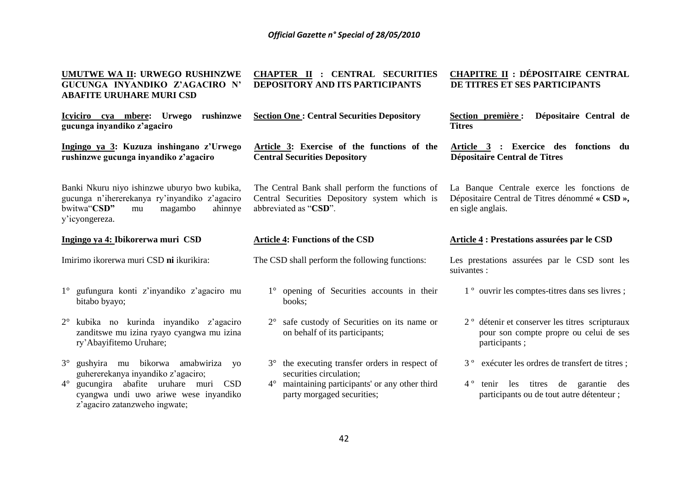| UMUTWE WA II: URWEGO RUSHINZWE<br>GUCUNGA INYANDIKO Z'AGACIRO N'<br><b>ABAFITE URUHARE MURI CSD</b>                                                        | <b>CHAPTER II : CENTRAL SECURITIES</b><br>DEPOSITORY AND ITS PARTICIPANTS                                                 | <b>CHAPITRE II : DÉPOSITAIRE CENTRAL</b><br>DE TITRES ET SES PARTICIPANTS                                             |
|------------------------------------------------------------------------------------------------------------------------------------------------------------|---------------------------------------------------------------------------------------------------------------------------|-----------------------------------------------------------------------------------------------------------------------|
| Icyiciro cya mbere: Urwego rushinzwe<br>gucunga inyandiko z'agaciro                                                                                        | <b>Section One: Central Securities Depository</b>                                                                         | Dépositaire Central de<br>Section première :<br><b>Titres</b>                                                         |
| Ingingo ya 3: Kuzuza inshingano z'Urwego<br>rushinzwe gucunga inyandiko z'agaciro                                                                          | Article 3: Exercise of the functions of the<br><b>Central Securities Depository</b>                                       | Article 3 : Exercice des fonctions du<br>Dépositaire Central de Titres                                                |
| Banki Nkuru niyo ishinzwe uburyo bwo kubika,<br>gucunga n'ihererekanya ry'inyandiko z'agaciro<br>bwitwa"CSD"<br>magambo<br>ahinnye<br>mu<br>y'icyongereza. | The Central Bank shall perform the functions of<br>Central Securities Depository system which is<br>abbreviated as "CSD". | La Banque Centrale exerce les fonctions de<br>Dépositaire Central de Titres dénommé « CSD »,<br>en sigle anglais.     |
| Ingingo ya 4: Ibikorerwa muri CSD                                                                                                                          | <b>Article 4: Functions of the CSD</b>                                                                                    | Article 4 : Prestations assurées par le CSD                                                                           |
| Imirimo ikorerwa muri CSD ni ikurikira:                                                                                                                    | The CSD shall perform the following functions:                                                                            | Les prestations assurées par le CSD sont les                                                                          |
|                                                                                                                                                            |                                                                                                                           | suivantes :                                                                                                           |
| 1° gufungura konti z'inyandiko z'agaciro mu<br>bitabo byayo;                                                                                               | 1° opening of Securities accounts in their<br>books;                                                                      | 1 <sup>°</sup> ouvrir les comptes-titres dans ses livres;                                                             |
| kubika no kurinda inyandiko z'agaciro<br>$2^{\circ}$<br>zanditswe mu izina ryayo cyangwa mu izina<br>ry'Abayifitemo Uruhare;                               | $2^{\circ}$ safe custody of Securities on its name or<br>on behalf of its participants;                                   | 2 <sup>°</sup> détenir et conserver les titres scripturaux<br>pour son compte propre ou celui de ses<br>participants; |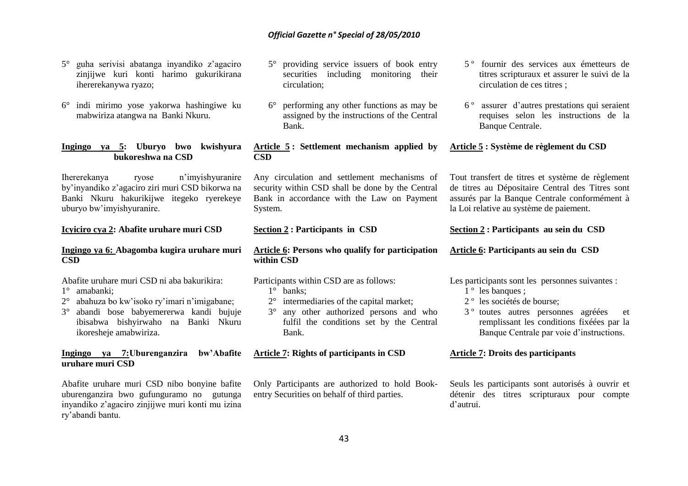- 5° guha serivisi abatanga inyandiko z"agaciro zinjijwe kuri konti harimo gukurikirana ihererekanywa ryazo;
- 6° indi mirimo yose yakorwa hashingiwe ku mabwiriza atangwa na Banki Nkuru.

#### **Ingingo ya 5: Uburyo bwo kwishyura bukoreshwa na CSD**

Ihererekanya ryose n"imyishyuranire by"inyandiko z"agaciro ziri muri CSD bikorwa na Banki Nkuru hakurikijwe itegeko ryerekeye uburyo bw"imyishyuranire.

#### **Icyiciro cya 2: Abafite uruhare muri CSD**

## **Ingingo ya 6: Abagomba kugira uruhare muri CSD**

Abafite uruhare muri CSD ni aba bakurikira:

- 1° amabanki;
- 2° abahuza bo kw"isoko ry"imari n"imigabane;
- 3° abandi bose babyemererwa kandi bujuje ibisabwa bishyirwaho na Banki Nkuru ikoresheje amabwiriza.

#### **Ingingo ya 7:Uburenganzira bw'Abafite uruhare muri CSD**

Abafite uruhare muri CSD nibo bonyine bafite uburenganzira bwo gufunguramo no gutunga inyandiko z"agaciro zinjijwe muri konti mu izina ry"abandi bantu.

- 5° providing service issuers of book entry securities including monitoring their circulation;
- 6° performing any other functions as may be assigned by the instructions of the Central Bank.

**Article 5 : Settlement mechanism applied by CSD**

Any circulation and settlement mechanisms of security within CSD shall be done by the Central Bank in accordance with the Law on Payment System.

#### **Section 2 : Participants in CSD**

### **Article 6: Persons who qualify for participation within CSD**

Participants within CSD are as follows:

- 1° banks;
- 2° intermediaries of the capital market;
- 3° any other authorized persons and who fulfil the conditions set by the Central Bank.

#### **Article 7: Rights of participants in CSD**

Only Participants are authorized to hold Bookentry Securities on behalf of third parties.

- 5 º fournir des services aux émetteurs de titres scripturaux et assurer le suivi de la circulation de ces titres ;
- 6 º assurer d"autres prestations qui seraient requises selon les instructions de la Banque Centrale.

#### **Article 5 : Système de règlement du CSD**

Tout transfert de titres et système de règlement de titres au Dépositaire Central des Titres sont assurés par la Banque Centrale conformément à la Loi relative au système de paiement.

#### **Section 2 : Participants au sein du CSD**

#### **Article 6: Participants au sein du CSD**

Les participants sont les personnes suivantes :

- $1^{\circ}$  les banques :
- 2 º les sociétés de bourse;
- 3 º toutes autres personnes agréées et remplissant les conditions fixéées par la Banque Centrale par voie d"instructions.

#### **Article 7: Droits des participants**

Seuls les participants sont autorisés à ouvrir et détenir des titres scripturaux pour compte d"autrui.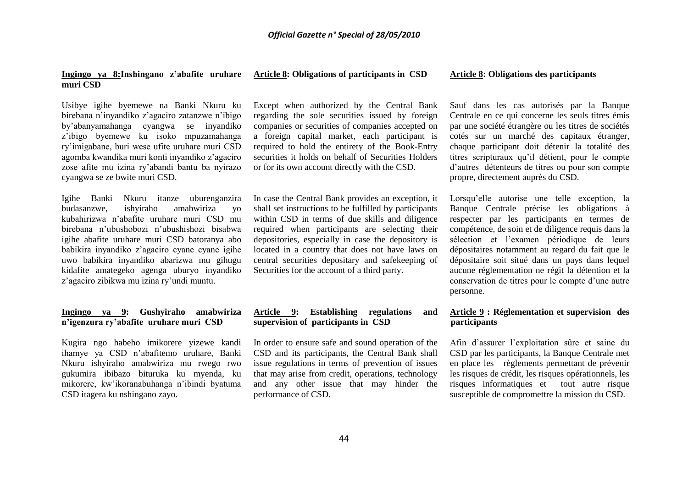#### **Ingingo ya 8:Inshingano z'abafite uruhare muri CSD**

**Article 8: Obligations of participants in CSD**

#### **Article 8: Obligations des participants**

Usibye igihe byemewe na Banki Nkuru ku birebana n"inyandiko z"agaciro zatanzwe n"ibigo by"abanyamahanga cyangwa se inyandiko z"ibigo byemewe ku isoko mpuzamahanga ry"imigabane, buri wese ufite uruhare muri CSD agomba kwandika muri konti inyandiko z"agaciro zose afite mu izina ry"abandi bantu ba nyirazo cyangwa se ze bwite muri CSD.

Igihe Banki Nkuru itanze uburenganzira budasanzwe, ishyiraho amabwiriza yo kubahirizwa n"abafite uruhare muri CSD mu birebana n"ubushobozi n"ubushishozi bisabwa igihe abafite uruhare muri CSD batoranya abo babikira inyandiko z"agaciro cyane cyane igihe uwo babikira inyandiko abarizwa mu gihugu kidafite amategeko agenga uburyo inyandiko z"agaciro zibikwa mu izina ry"undi muntu.

#### **Ingingo ya 9: Gushyiraho amabwiriza n'igenzura ry'abafite uruhare muri CSD**

Kugira ngo habeho imikorere yizewe kandi ihamye ya CSD n"abafitemo uruhare, Banki Nkuru ishyiraho amabwiriza mu rwego rwo gukumira ibibazo bituruka ku myenda, ku mikorere, kw"ikoranabuhanga n"ibindi byatuma CSD itagera ku nshingano zayo.

Except when authorized by the Central Bank regarding the sole securities issued by foreign companies or securities of companies accepted on a foreign capital market, each participant is required to hold the entirety of the Book-Entry securities it holds on behalf of Securities Holders or for its own account directly with the CSD.

In case the Central Bank provides an exception, it shall set instructions to be fulfilled by participants within CSD in terms of due skills and diligence required when participants are selecting their depositories, especially in case the depository is located in a country that does not have laws on central securities depositary and safekeeping of Securities for the account of a third party.

#### **Article 9: Establishing regulations and supervision of participants in CSD**

In order to ensure safe and sound operation of the CSD and its participants, the Central Bank shall issue regulations in terms of prevention of issues that may arise from credit, operations, technology and any other issue that may hinder the performance of CSD.

Sauf dans les cas autorisés par la Banque Centrale en ce qui concerne les seuls titres émis par une société étrangère ou les titres de sociétés cotés sur un marché des capitaux étranger, chaque participant doit détenir la totalité des titres scripturaux qu"il détient, pour le compte d"autres détenteurs de titres ou pour son compte propre, directement auprès du CSD.

Lorsqu"elle autorise une telle exception, la Banque Centrale précise les obligations à respecter par les participants en termes de compétence, de soin et de diligence requis dans la sélection et l"examen périodique de leurs dépositaires notamment au regard du fait que le dépositaire soit situé dans un pays dans lequel aucune réglementation ne régit la détention et la conservation de titres pour le compte d"une autre personne.

#### **Article 9 : Réglementation et supervision des participants**

Afin d"assurer l"exploitation sûre et saine du CSD par les participants, la Banque Centrale met en place les règlements permettant de prévenir les risques de crédit, les risques opérationnels, les risques informatiques et tout autre risque susceptible de compromettre la mission du CSD.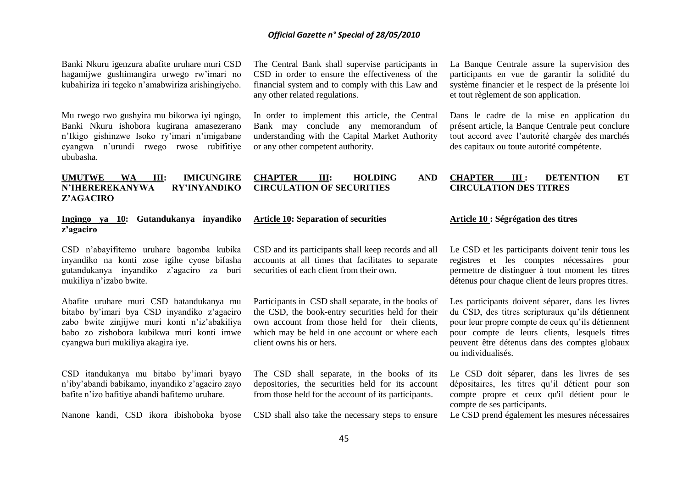Banki Nkuru igenzura abafite uruhare muri CSD hagamijwe gushimangira urwego rw"imari no kubahiriza iri tegeko n"amabwiriza arishingiyeho.

Mu rwego rwo gushyira mu bikorwa iyi ngingo, Banki Nkuru ishobora kugirana amasezerano n"Ikigo gishinzwe Isoko ry"imari n"imigabane cyangwa n"urundi rwego rwose rubifitiye ububasha.

**UMUTWE WA III: IMICUNGIRE N'IHEREREKANYWA RY'INYANDIKO** 

**Z'AGACIRO**

The Central Bank shall supervise participants in CSD in order to ensure the effectiveness of the financial system and to comply with this Law and any other related regulations.

In order to implement this article, the Central Bank may conclude any memorandum of understanding with the Capital Market Authority or any other competent authority.

La Banque Centrale assure la supervision des participants en vue de garantir la solidité du système financier et le respect de la présente loi et tout règlement de son application.

Dans le cadre de la mise en application du présent article, la Banque Centrale peut conclure tout accord avec l"autorité chargée des marchés des capitaux ou toute autorité compétente.

#### **CHAPTER III: HOLDING AND CHAPTER III : DETENTION ET CIRCULATION DES TITRES**

#### **Ingingo ya 10: Gutandukanya inyandiko z'agaciro**

CSD n"abayifitemo uruhare bagomba kubika inyandiko na konti zose igihe cyose bifasha gutandukanya inyandiko z"agaciro za buri mukiliya n"izabo bwite.

Abafite uruhare muri CSD batandukanya mu bitabo by"imari bya CSD inyandiko z"agaciro zabo bwite zinijiwe muri konti n'iz'abakiliya babo zo zishobora kubikwa muri konti imwe cyangwa buri mukiliya akagira iye.

CSD itandukanya mu bitabo by"imari byayo n"iby"abandi babikamo, inyandiko z"agaciro zayo bafite n"izo bafitiye abandi bafitemo uruhare.

Nanone kandi, CSD ikora ibishoboka byose

CSD and its participants shall keep records and all accounts at all times that facilitates to separate

**CIRCULATION OF SECURITIES**

**Article 10: Separation of securities**

securities of each client from their own.

Participants in CSD shall separate, in the books of the CSD, the book-entry securities held for their own account from those held for their clients, which may be held in one account or where each client owns his or hers.

The CSD shall separate, in the books of its depositories, the securities held for its account from those held for the account of its participants.

CSD shall also take the necessary steps to ensure

#### **Article 10 : Ségrégation des titres**

Le CSD et les participants doivent tenir tous les registres et les comptes nécessaires pour permettre de distinguer à tout moment les titres détenus pour chaque client de leurs propres titres.

Les participants doivent séparer, dans les livres du CSD, des titres scripturaux qu"ils détiennent pour leur propre compte de ceux qu"ils détiennent pour compte de leurs clients, lesquels titres peuvent être détenus dans des comptes globaux ou individualisés.

Le CSD doit séparer, dans les livres de ses dépositaires, les titres qu"il détient pour son compte propre et ceux qu'il détient pour le compte de ses participants.

Le CSD prend également les mesures nécessaires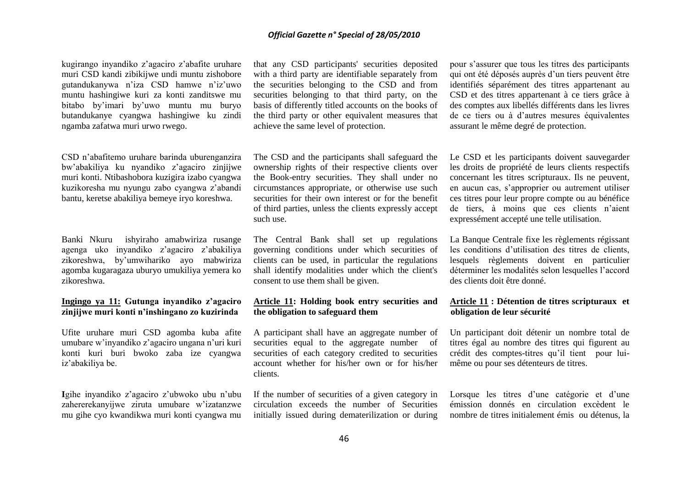kugirango inyandiko z"agaciro z"abafite uruhare muri CSD kandi zibikijwe undi muntu zishobore gutandukanywa n"iza CSD hamwe n"iz"uwo muntu hashingiwe kuri za konti zanditswe mu bitabo by"imari by"uwo muntu mu buryo butandukanye cyangwa hashingiwe ku zindi ngamba zafatwa muri urwo rwego.

CSD n"abafitemo uruhare barinda uburenganzira bw"abakiliya ku nyandiko z"agaciro zinjijwe muri konti. Ntibashobora kuzigira izabo cyangwa kuzikoresha mu nyungu zabo cyangwa z"abandi bantu, keretse abakiliya bemeye iryo koreshwa.

Banki Nkuru ishyiraho amabwiriza rusange agenga uko inyandiko z"agaciro z"abakiliya zikoreshwa, by"umwihariko ayo mabwiriza agomba kugaragaza uburyo umukiliya yemera ko zikoreshwa.

#### **Ingingo ya 11: Gutunga inyandiko z'agaciro zinjijwe muri konti n'inshingano zo kuzirinda**

Ufite uruhare muri CSD agomba kuba afite umubare w"inyandiko z"agaciro ungana n"uri kuri konti kuri buri bwoko zaba ize cyangwa iz"abakiliya be.

**I**gihe inyandiko z"agaciro z"ubwoko ubu n"ubu zahererekanyijwe ziruta umubare w"izatanzwe mu gihe cyo kwandikwa muri konti cyangwa mu

that any CSD participants' securities deposited with a third party are identifiable separately from the securities belonging to the CSD and from securities belonging to that third party, on the basis of differently titled accounts on the books of the third party or other equivalent measures that achieve the same level of protection.

The CSD and the participants shall safeguard the ownership rights of their respective clients over the Book-entry securities. They shall under no circumstances appropriate, or otherwise use such securities for their own interest or for the benefit of third parties, unless the clients expressly accept such use.

The Central Bank shall set up regulations governing conditions under which securities of clients can be used, in particular the regulations shall identify modalities under which the client's consent to use them shall be given.

### **Article 11: Holding book entry securities and the obligation to safeguard them**

A participant shall have an aggregate number of securities equal to the aggregate number of securities of each category credited to securities account whether for his/her own or for his/her clients.

If the number of securities of a given category in circulation exceeds the number of Securities initially issued during dematerilization or during

pour s"assurer que tous les titres des participants qui ont été déposés auprès d"un tiers peuvent être identifiés séparément des titres appartenant au CSD et des titres appartenant à ce tiers grâce à des comptes aux libellés différents dans les livres de ce tiers ou à d"autres mesures équivalentes assurant le même degré de protection.

Le CSD et les participants doivent sauvegarder les droits de propriété de leurs clients respectifs concernant les titres scripturaux. Ils ne peuvent, en aucun cas, s"approprier ou autrement utiliser ces titres pour leur propre compte ou au bénéfice de tiers, à moins que ces clients n"aient expressément accepté une telle utilisation.

La Banque Centrale fixe les règlements régissant les conditions d"utilisation des titres de clients, lesquels règlements doivent en particulier déterminer les modalités selon lesquelles l"accord des clients doit être donné.

### **Article 11 : Détention de titres scripturaux et obligation de leur sécurité**

Un participant doit détenir un nombre total de titres égal au nombre des titres qui figurent au crédit des comptes-titres qu"il tient pour luimême ou pour ses détenteurs de titres.

Lorsque les titres d'une catégorie et d'une émission donnés en circulation excèdent le nombre de titres initialement émis ou détenus, la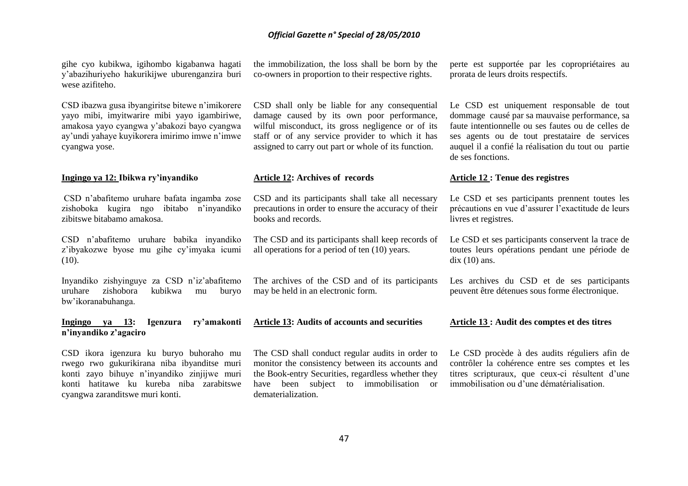gihe cyo kubikwa, igihombo kigabanwa hagati y"abazihuriyeho hakurikijwe uburenganzira buri wese azifiteho.

CSD ibazwa gusa ibyangiritse bitewe n"imikorere yayo mibi, imyitwarire mibi yayo igambiriwe, amakosa yayo cyangwa y"abakozi bayo cyangwa ay"undi yahaye kuyikorera imirimo imwe n"imwe cyangwa yose.

#### **Ingingo ya 12: Ibikwa ry'inyandiko**

CSD n"abafitemo uruhare bafata ingamba zose zishoboka kugira ngo ibitabo n"inyandiko zibitswe bitabamo amakosa.

CSD n"abafitemo uruhare babika inyandiko z"ibyakozwe byose mu gihe cy"imyaka icumi  $(10)$ .

Inyandiko zishyinguye za CSD n"iz"abafitemo uruhare zishobora kubikwa mu buryo bw"ikoranabuhanga.

**Ingingo ya 13: Igenzura ry'amakonti n'inyandiko z'agaciro**

CSD ikora igenzura ku buryo buhoraho mu rwego rwo gukurikirana niba ibyanditse muri konti zayo bihuye n"inyandiko zinjijwe muri konti hatitawe ku kureba niba zarabitswe cyangwa zaranditswe muri konti.

the immobilization, the loss shall be born by the co-owners in proportion to their respective rights.

CSD shall only be liable for any consequential damage caused by its own poor performance, wilful misconduct, its gross negligence or of its staff or of any service provider to which it has assigned to carry out part or whole of its function.

#### **Article 12: Archives of records**

CSD and its participants shall take all necessary precautions in order to ensure the accuracy of their books and records.

The CSD and its participants shall keep records of all operations for a period of ten (10) years.

The archives of the CSD and of its participants may be held in an electronic form.

**Article 13: Audits of accounts and securities**

The CSD shall conduct regular audits in order to monitor the consistency between its accounts and the Book-entry Securities, regardless whether they have been subject to immobilisation or dematerialization.

perte est supportée par les copropriétaires au prorata de leurs droits respectifs.

Le CSD est uniquement responsable de tout dommage causé par sa mauvaise performance, sa faute intentionnelle ou ses fautes ou de celles de ses agents ou de tout prestataire de services auquel il a confié la réalisation du tout ou partie de ses fonctions.

#### **Article 12 : Tenue des registres**

Le CSD et ses participants prennent toutes les précautions en vue d"assurer l"exactitude de leurs livres et registres.

Le CSD et ses participants conservent la trace de toutes leurs opérations pendant une période de  $\mathrm{d}$ ix (10) ans.

Les archives du CSD et de ses participants peuvent être détenues sous forme électronique.

#### **Article 13 : Audit des comptes et des titres**

Le CSD procède à des audits réguliers afin de contrôler la cohérence entre ses comptes et les titres scripturaux, que ceux-ci résultent d"une immobilisation ou d"une dématérialisation.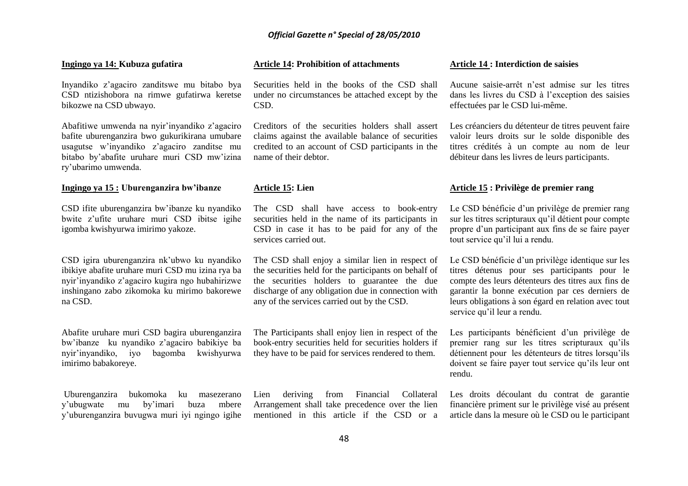#### **Ingingo ya 14: Kubuza gufatira**

Inyandiko z"agaciro zanditswe mu bitabo bya CSD ntizishobora na rimwe gufatirwa keretse bikozwe na CSD ubwayo.

Abafitiwe umwenda na nyir"inyandiko z"agaciro bafite uburenganzira bwo gukurikirana umubare usagutse w"inyandiko z"agaciro zanditse mu bitabo by"abafite uruhare muri CSD mw"izina ry"ubarimo umwenda.

#### **Ingingo ya 15 : Uburenganzira bw'ibanze**

CSD ifite uburenganzira bw"ibanze ku nyandiko bwite z"ufite uruhare muri CSD ibitse igihe igomba kwishyurwa imirimo yakoze.

CSD igira uburenganzira nk"ubwo ku nyandiko ibikiye abafite uruhare muri CSD mu izina rya ba nyir"inyandiko z"agaciro kugira ngo hubahirizwe inshingano zabo zikomoka ku mirimo bakorewe na CSD.

Abafite uruhare muri CSD bagira uburenganzira bw"ibanze ku nyandiko z"agaciro babikiye ba nyir"inyandiko, iyo bagomba kwishyurwa imirimo babakoreye.

Uburenganzira bukomoka ku masezerano y"ubugwate mu by"imari buza mbere y"uburenganzira buvugwa muri iyi ngingo igihe

#### **Article 14: Prohibition of attachments**

Securities held in the books of the CSD shall under no circumstances be attached except by the CSD.

Creditors of the securities holders shall assert claims against the available balance of securities credited to an account of CSD participants in the name of their debtor.

#### **Article 15: Lien**

The CSD shall have access to book-entry securities held in the name of its participants in CSD in case it has to be paid for any of the services carried out.

The CSD shall enjoy a similar lien in respect of the securities held for the participants on behalf of the securities holders to guarantee the due discharge of any obligation due in connection with any of the services carried out by the CSD.

The Participants shall enjoy lien in respect of the book-entry securities held for securities holders if they have to be paid for services rendered to them.

Lien deriving from Financial Collateral Arrangement shall take precedence over the lien mentioned in this article if the CSD or a

#### **Article 14 : Interdiction de saisies**

Aucune saisie-arrêt n"est admise sur les titres dans les livres du CSD à l"exception des saisies effectuées par le CSD lui-même.

Les créanciers du détenteur de titres peuvent faire valoir leurs droits sur le solde disponible des titres crédités à un compte au nom de leur débiteur dans les livres de leurs participants.

#### **Article 15 : Privilège de premier rang**

Le CSD bénéficie d'un privilège de premier rang sur les titres scripturaux qu"il détient pour compte propre d"un participant aux fins de se faire payer tout service qu"il lui a rendu.

Le CSD bénéficie d'un privilège identique sur les titres détenus pour ses participants pour le compte des leurs détenteurs des titres aux fins de garantir la bonne exécution par ces derniers de leurs obligations à son égard en relation avec tout service qu'il leur a rendu.

Les participants bénéficient d'un privilège de premier rang sur les titres scripturaux qu"ils détiennent pour les détenteurs de titres lorsqu"ils doivent se faire payer tout service qu"ils leur ont rendu.

Les droits découlant du contrat de garantie financière priment sur le privilège visé au présent article dans la mesure où le CSD ou le participant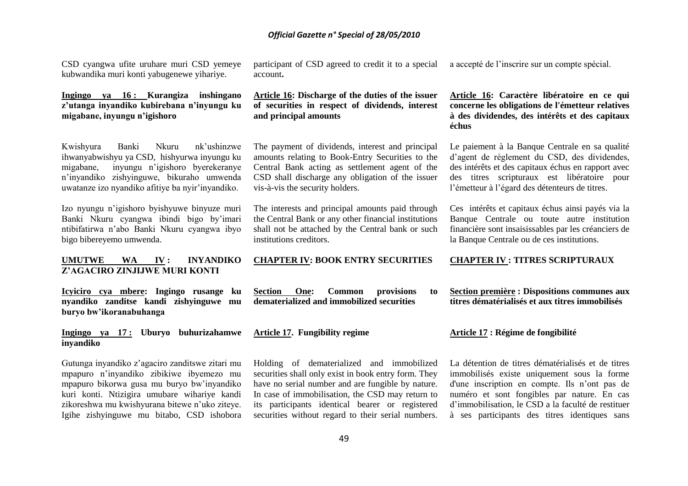CSD cyangwa ufite uruhare muri CSD yemeye kubwandika muri konti yabugenewe yihariye.

## **Ingingo ya 16 : Kurangiza inshingano z'utanga inyandiko kubirebana n'inyungu ku migabane, inyungu n'igishoro**

Kwishyura Banki Nkuru nk"ushinzwe ihwanyabwishyu ya CSD, hishyurwa inyungu ku migabane, inyungu n"igishoro byerekeranye n"inyandiko zishyinguwe, bikuraho umwenda uwatanze izo nyandiko afitiye ba nyir"inyandiko.

Izo nyungu n"igishoro byishyuwe binyuze muri Banki Nkuru cyangwa ibindi bigo by"imari ntibifatirwa n"abo Banki Nkuru cyangwa ibyo bigo bibereyemo umwenda.

#### **UMUTWE WA IV : INYANDIKO Z'AGACIRO ZINJIJWE MURI KONTI**

**Icyiciro cya mbere: Ingingo rusange ku nyandiko zanditse kandi zishyinguwe mu buryo bw'ikoranabuhanga**

#### **Ingingo ya 17 : Uburyo buhurizahamwe inyandiko**

Gutunga inyandiko z"agaciro zanditswe zitari mu mpapuro n"inyandiko zibikiwe ibyemezo mu mpapuro bikorwa gusa mu buryo bw"inyandiko kuri konti. Ntizigira umubare wihariye kandi zikoreshwa mu kwishyurana bitewe n"uko ziteye. Igihe zishyinguwe mu bitabo, CSD ishobora participant of CSD agreed to credit it to a special account**.**

#### **Article 16: Discharge of the duties of the issuer of securities in respect of dividends, interest and principal amounts**

The payment of dividends, interest and principal amounts relating to Book-Entry Securities to the Central Bank acting as settlement agent of the CSD shall discharge any obligation of the issuer vis-à-vis the security holders.

The interests and principal amounts paid through the Central Bank or any other financial institutions shall not be attached by the Central bank or such institutions creditors.

## **CHAPTER IV: BOOK ENTRY SECURITIES**

**Section One: Common provisions to dematerialized and immobilized securities**

#### **Article 17. Fungibility regime**

Holding of dematerialized and immobilized securities shall only exist in book entry form. They have no serial number and are fungible by nature. In case of immobilisation, the CSD may return to its participants identical bearer or registered securities without regard to their serial numbers. a accepté de l"inscrire sur un compte spécial.

#### **Article 16: Caractère libératoire en ce qui concerne les obligations de l'émetteur relatives à des dividendes, des intérêts et des capitaux échus**

Le paiement à la Banque Centrale en sa qualité d"agent de règlement du CSD, des dividendes, des intérêts et des capitaux échus en rapport avec des titres scripturaux est libératoire pour l"émetteur à l"égard des détenteurs de titres.

Ces intérêts et capitaux échus ainsi payés via la Banque Centrale ou toute autre institution financière sont insaisissables par les créanciers de la Banque Centrale ou de ces institutions.

#### **CHAPTER IV : TITRES SCRIPTURAUX**

**Section première : Dispositions communes aux titres dématérialisés et aux titres immobilisés**

#### **Article 17 : Régime de fongibilité**

La détention de titres dématérialisés et de titres immobilisés existe uniquement sous la forme d'une inscription en compte. Ils n"ont pas de numéro et sont fongibles par nature. En cas d"immobilisation, le CSD a la faculté de restituer à ses participants des titres identiques sans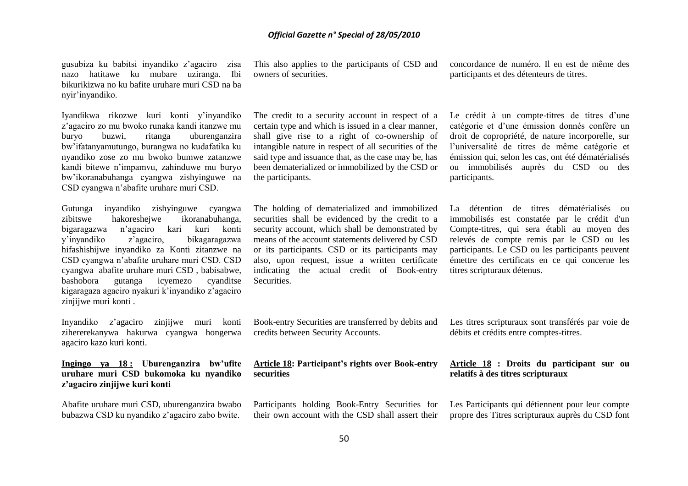gusubiza ku babitsi inyandiko z"agaciro zisa nazo hatitawe ku mubare uziranga. Ibi bikurikizwa no ku bafite uruhare muri CSD na ba nyir"inyandiko.

Iyandikwa rikozwe kuri konti y"inyandiko z"agaciro zo mu bwoko runaka kandi itanzwe mu buryo buzwi, ritanga uburenganzira bw"ifatanyamutungo, burangwa no kudafatika ku nyandiko zose zo mu bwoko bumwe zatanzwe kandi bitewe n"impamvu, zahinduwe mu buryo bw"ikoranabuhanga cyangwa zishyinguwe na CSD cyangwa n"abafite uruhare muri CSD.

Gutunga inyandiko zishyinguwe cyangwa zibitswe hakoreshejwe ikoranabuhanga, bigaragazwa n"agaciro kari kuri konti y"inyandiko z"agaciro, bikagaragazwa hifashishijwe inyandiko za Konti zitanzwe na CSD cyangwa n"abafite uruhare muri CSD. CSD cyangwa abafite uruhare muri CSD , babisabwe, bashobora gutanga icyemezo cyanditse kigaragaza agaciro nyakuri k"inyandiko z"agaciro zinjijwe muri konti .

Inyandiko z"agaciro zinjijwe muri konti zihererekanywa hakurwa cyangwa hongerwa agaciro kazo kuri konti.

### **Ingingo ya 18 : Uburenganzira bw'ufite uruhare muri CSD bukomoka ku nyandiko z'agaciro zinjijwe kuri konti**

Abafite uruhare muri CSD, uburenganzira bwabo bubazwa CSD ku nyandiko z"agaciro zabo bwite.

This also applies to the participants of CSD and owners of securities.

The credit to a security account in respect of a certain type and which is issued in a clear manner, shall give rise to a right of co-ownership of intangible nature in respect of all securities of the said type and issuance that, as the case may be, has been dematerialized or immobilized by the CSD or the participants.

The holding of dematerialized and immobilized securities shall be evidenced by the credit to a security account, which shall be demonstrated by means of the account statements delivered by CSD or its participants. CSD or its participants may also, upon request, issue a written certificate indicating the actual credit of Book-entry **Securities** 

Book-entry Securities are transferred by debits and credits between Security Accounts.

#### **Article 18: Participant's rights over Book-entry securities**

Participants holding Book-Entry Securities for their own account with the CSD shall assert their concordance de numéro. Il en est de même des participants et des détenteurs de titres.

Le crédit à un compte-titres de titres d'une catégorie et d"une émission donnés confère un droit de copropriété, de nature incorporelle, sur l"universalité de titres de même catégorie et émission qui, selon les cas, ont été dématérialisés ou immobilisés auprès du CSD ou des participants.

La détention de titres dématérialisés ou immobilisés est constatée par le crédit d'un Compte-titres, qui sera établi au moyen des relevés de compte remis par le CSD ou les participants. Le CSD ou les participants peuvent émettre des certificats en ce qui concerne les titres scripturaux détenus.

Les titres scripturaux sont transférés par voie de débits et crédits entre comptes-titres.

#### **Article 18 : Droits du participant sur ou relatifs à des titres scripturaux**

Les Participants qui détiennent pour leur compte propre des Titres scripturaux auprès du CSD font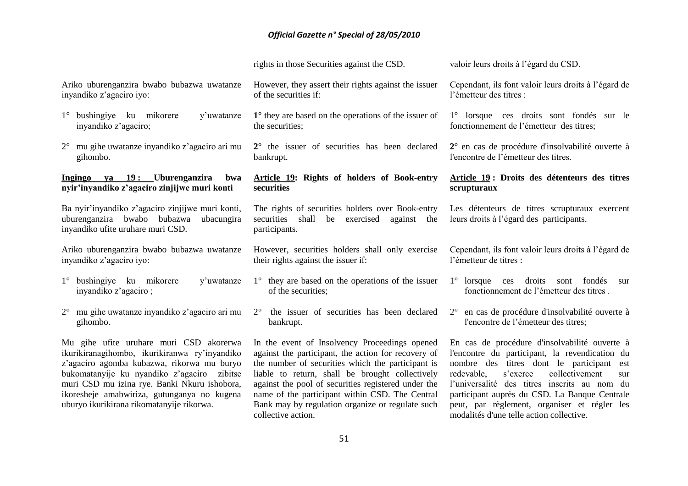|                                                                                                                                                                                                                                                                                                                                   | rights in those Securities against the CSD.                                                                                                                                                                                                                                                                                                                                                      | valoir leurs droits à l'égard du CSD.                                                                                                                                                                                                                                                                                                                                                           |
|-----------------------------------------------------------------------------------------------------------------------------------------------------------------------------------------------------------------------------------------------------------------------------------------------------------------------------------|--------------------------------------------------------------------------------------------------------------------------------------------------------------------------------------------------------------------------------------------------------------------------------------------------------------------------------------------------------------------------------------------------|-------------------------------------------------------------------------------------------------------------------------------------------------------------------------------------------------------------------------------------------------------------------------------------------------------------------------------------------------------------------------------------------------|
| Ariko uburenganzira bwabo bubazwa uwatanze<br>inyandiko z'agaciro iyo:                                                                                                                                                                                                                                                            | However, they assert their rights against the issuer<br>of the securities if:                                                                                                                                                                                                                                                                                                                    | Cependant, ils font valoir leurs droits à l'égard de<br>l'émetteur des titres :                                                                                                                                                                                                                                                                                                                 |
| 1° bushingiye ku mikorere<br>y'uwatanze<br>inyandiko z'agaciro;                                                                                                                                                                                                                                                                   | $1^\circ$ they are based on the operations of the issuer of<br>the securities;                                                                                                                                                                                                                                                                                                                   | 1° lorsque ces droits sont fondés sur le<br>fonctionnement de l'émetteur des titres;                                                                                                                                                                                                                                                                                                            |
| $2^{\circ}$ mu gihe uwatanze inyandiko z'agaciro ari mu<br>gihombo.                                                                                                                                                                                                                                                               | 2° the issuer of securities has been declared<br>bankrupt.                                                                                                                                                                                                                                                                                                                                       | 2° en cas de procédure d'insolvabilité ouverte à<br>l'encontre de l'émetteur des titres.                                                                                                                                                                                                                                                                                                        |
| Ingingo ya 19: Uburenganzira<br>bwa<br>nyir'inyandiko z'agaciro zinjijwe muri konti                                                                                                                                                                                                                                               | Article 19: Rights of holders of Book-entry<br>securities                                                                                                                                                                                                                                                                                                                                        | Article 19: Droits des détenteurs des titres<br>scrupturaux                                                                                                                                                                                                                                                                                                                                     |
| Ba nyir'inyandiko z'agaciro zinjijwe muri konti,<br>uburenganzira bwabo bubazwa<br>ubacungira<br>inyandiko ufite uruhare muri CSD.                                                                                                                                                                                                | The rights of securities holders over Book-entry<br>securities shall be exercised against the<br>participants.                                                                                                                                                                                                                                                                                   | Les détenteurs de titres scrupturaux exercent<br>leurs droits à l'égard des participants.                                                                                                                                                                                                                                                                                                       |
| Ariko uburenganzira bwabo bubazwa uwatanze<br>inyandiko z'agaciro iyo:                                                                                                                                                                                                                                                            | However, securities holders shall only exercise<br>their rights against the issuer if:                                                                                                                                                                                                                                                                                                           | Cependant, ils font valoir leurs droits à l'égard de<br>l'émetteur de titres :                                                                                                                                                                                                                                                                                                                  |
| $1^\circ$ bushingiye ku mikorere<br>y'uwatanze<br>inyandiko z'agaciro;                                                                                                                                                                                                                                                            | 1° they are based on the operations of the issuer<br>of the securities;                                                                                                                                                                                                                                                                                                                          | $1^\circ$ lorsque<br>droits<br>fondés<br>ces<br>sont<br>sur<br>fonctionnement de l'émetteur des titres.                                                                                                                                                                                                                                                                                         |
| $2^{\circ}$ mu gihe uwatanze inyandiko z'agaciro ari mu<br>gihombo.                                                                                                                                                                                                                                                               | the issuer of securities has been declared<br>$2^{\circ}$<br>bankrupt.                                                                                                                                                                                                                                                                                                                           | 2° en cas de procédure d'insolvabilité ouverte à<br>l'encontre de l'émetteur des titres;                                                                                                                                                                                                                                                                                                        |
| Mu gihe ufite uruhare muri CSD akorerwa<br>ikurikiranagihombo, ikurikiranwa ry'inyandiko<br>z'agaciro agomba kubazwa, rikorwa mu buryo<br>bukomatanyije ku nyandiko z'agaciro zibitse<br>muri CSD mu izina rye. Banki Nkuru ishobora,<br>ikoresheje amabwiriza, gutunganya no kugena<br>uburyo ikurikirana rikomatanyije rikorwa. | In the event of Insolvency Proceedings opened<br>against the participant, the action for recovery of<br>the number of securities which the participant is<br>liable to return, shall be brought collectively<br>against the pool of securities registered under the<br>name of the participant within CSD. The Central<br>Bank may by regulation organize or regulate such<br>collective action. | En cas de procédure d'insolvabilité ouverte à<br>l'encontre du participant, la revendication du<br>nombre des titres dont le participant<br>est<br>redevable,<br>s'exerce<br>collectivement<br>sur<br>l'universalité des titres inscrits au nom du<br>participant auprès du CSD. La Banque Centrale<br>peut, par règlement, organiser et régler les<br>modalités d'une telle action collective. |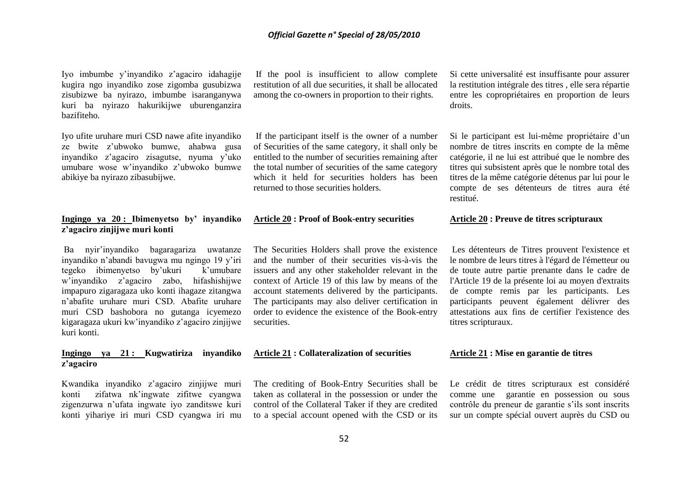Iyo imbumbe y"inyandiko z"agaciro idahagije kugira ngo inyandiko zose zigomba gusubizwa zisubizwe ba nyirazo, imbumbe isaranganywa kuri ba nyirazo hakurikijwe uburenganzira bazifiteho.

Iyo ufite uruhare muri CSD nawe afite inyandiko ze bwite z"ubwoko bumwe, ahabwa gusa inyandiko z"agaciro zisagutse, nyuma y"uko umubare wose w"inyandiko z"ubwoko bumwe abikiye ba nyirazo zibasubijwe.

#### **Ingingo ya 20 : Ibimenyetso by' inyandiko z'agaciro zinjijwe muri konti**

Ba nyir"inyandiko bagaragariza uwatanze inyandiko n"abandi bavugwa mu ngingo 19 y"iri tegeko ibimenyetso by"ukuri k"umubare w"inyandiko z"agaciro zabo, hifashishijwe impapuro zigaragaza uko konti ihagaze zitangwa n"abafite uruhare muri CSD. Abafite uruhare muri CSD bashobora no gutanga icyemezo kigaragaza ukuri kw"inyandiko z"agaciro zinjijwe kuri konti.

#### **Ingingo ya 21 : Kugwatiriza inyandiko z'agaciro**

Kwandika inyandiko z"agaciro zinjijwe muri konti zifatwa nk"ingwate zifitwe cyangwa zigenzurwa n"ufata ingwate iyo zanditswe kuri konti yihariye iri muri CSD cyangwa iri mu

If the pool is insufficient to allow complete restitution of all due securities, it shall be allocated among the co-owners in proportion to their rights.

If the participant itself is the owner of a number of Securities of the same category, it shall only be entitled to the number of securities remaining after the total number of securities of the same category which it held for securities holders has been returned to those securities holders.

# **Article 20 : Proof of Book-entry securities**

The Securities Holders shall prove the existence and the number of their securities vis-à-vis the issuers and any other stakeholder relevant in the context of Article 19 of this law by means of the account statements delivered by the participants. The participants may also deliver certification in order to evidence the existence of the Book-entry securities.

#### **Article 21 : Collateralization of securities**

The crediting of Book-Entry Securities shall be taken as collateral in the possession or under the control of the Collateral Taker if they are credited to a special account opened with the CSD or its

Si cette universalité est insuffisante pour assurer la restitution intégrale des titres , elle sera répartie entre les copropriétaires en proportion de leurs droits.

Si le participant est lui-même propriétaire d'un nombre de titres inscrits en compte de la même catégorie, il ne lui est attribué que le nombre des titres qui subsistent après que le nombre total des titres de la même catégorie détenus par lui pour le compte de ses détenteurs de titres aura été restitué.

#### **Article 20 : Preuve de titres scripturaux**

Les détenteurs de Titres prouvent l'existence et le nombre de leurs titres à l'égard de l'émetteur ou de toute autre partie prenante dans le cadre de l'Article 19 de la présente loi au moyen d'extraits de compte remis par les participants. Les participants peuvent également délivrer des attestations aux fins de certifier l'existence des titres scripturaux.

#### **Article 21 : Mise en garantie de titres**

Le crédit de titres scripturaux est considéré comme une garantie en possession ou sous contrôle du preneur de garantie s"ils sont inscrits sur un compte spécial ouvert auprès du CSD ou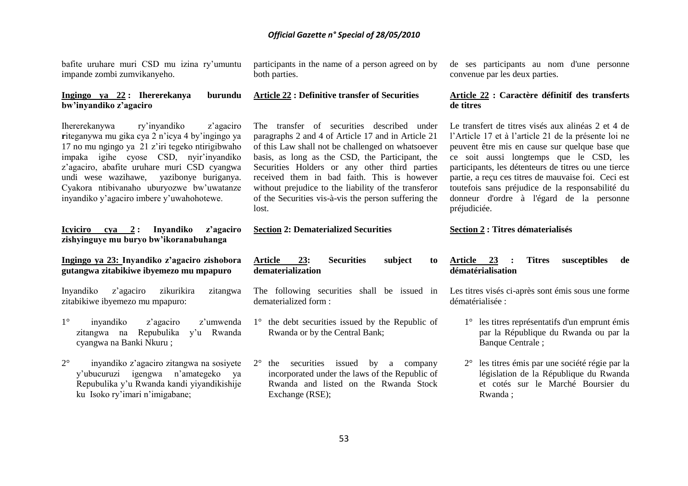bafite uruhare muri CSD mu izina ry"umuntu impande zombi zumvikanyeho.

#### **Ingingo ya 22 : Ihererekanya burundu bw'inyandiko z'agaciro**

Ihererekanywa ry"inyandiko z"agaciro **r**iteganywa mu gika cya 2 n"icya 4 by"ingingo ya 17 no mu ngingo ya 21 z"iri tegeko ntirigibwaho impaka igihe cyose CSD, nyir"inyandiko z"agaciro, abafite uruhare muri CSD cyangwa undi wese wazihawe, yazibonye buriganya. Cyakora ntibivanaho uburyozwe bw"uwatanze inyandiko y"agaciro imbere y"uwahohotewe.

#### **Icyiciro cya 2 : Inyandiko z'agaciro zishyinguye mu buryo bw'ikoranabuhanga**

**Ingingo ya 23: Inyandiko z'agaciro zishobora gutangwa zitabikiwe ibyemezo mu mpapuro**

Inyandiko z"agaciro zikurikira zitangwa zitabikiwe ibyemezo mu mpapuro:

- 1° inyandiko z"agaciro z"umwenda zitangwa na Repubulika y'u Rwanda cyangwa na Banki Nkuru ;
- 2° inyandiko z"agaciro zitangwa na sosiyete y"ubucuruzi igengwa n"amategeko ya Repubulika y"u Rwanda kandi yiyandikishije ku Isoko ry'imari n'imigabane;

participants in the name of a person agreed on by both parties.

# **Article 22 : Definitive transfer of Securities**

The transfer of securities described under paragraphs 2 and 4 of Article 17 and in Article 21 of this Law shall not be challenged on whatsoever basis, as long as the CSD, the Participant, the Securities Holders or any other third parties received them in bad faith. This is however without prejudice to the liability of the transferor of the Securities vis-à-vis the person suffering the lost.

#### **Section 2: Dematerialized Securities**

**Article 23: Securities subject to dematerialization**

The following securities shall be issued in dematerialized form :

- 1° the debt securities issued by the Republic of Rwanda or by the Central Bank;
- 2° the securities issued by a company incorporated under the laws of the Republic of Rwanda and listed on the Rwanda Stock Exchange (RSE);

de ses participants au nom d'une personne convenue par les deux parties.

#### **Article 22 : Caractère définitif des transferts de titres**

Le transfert de titres visés aux alinéas 2 et 4 de l"Article 17 et à l"article 21 de la présente loi ne peuvent être mis en cause sur quelque base que ce soit aussi longtemps que le CSD, les participants, les détenteurs de titres ou une tierce partie, a reçu ces titres de mauvaise foi. Ceci est toutefois sans préjudice de la responsabilité du donneur d'ordre à l'égard de la personne préjudiciée.

#### **Section 2 : Titres dématerialisés**

#### **Article 23 : Titres susceptibles de dématérialisation**

Les titres visés ci-après sont émis sous une forme dématérialisée :

- 1° les titres représentatifs d'un emprunt émis par la République du Rwanda ou par la Banque Centrale ;
- 2° les titres émis par une société régie par la législation de la République du Rwanda et cotés sur le Marché Boursier du Rwanda ;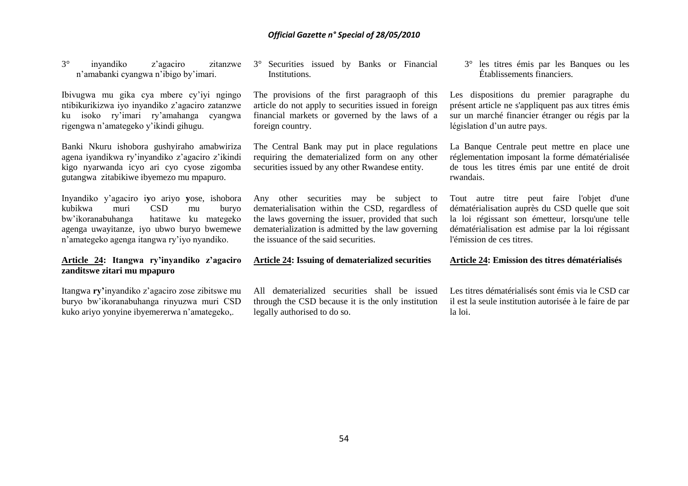3° inyandiko z"agaciro zitanzwe n"amabanki cyangwa n"ibigo by"imari.

Ibivugwa mu gika cya mbere cy"iyi ngingo ntibikurikizwa iyo inyandiko z"agaciro zatanzwe ku isoko ry"imari ry"amahanga cyangwa rigengwa n"amategeko y"ikindi gihugu.

Banki Nkuru ishobora gushyiraho amabwiriza agena iyandikwa ry"inyandiko z"agaciro z"ikindi kigo nyarwanda icyo ari cyo cyose zigomba gutangwa zitabikiwe ibyemezo mu mpapuro.

Inyandiko y"agaciro i**y**o ariyo **y**ose, ishobora kubikwa muri CSD mu buryo bw"ikoranabuhanga hatitawe ku mategeko agenga uwayitanze, iyo ubwo buryo bwemewe n"amategeko agenga itangwa ry"iyo nyandiko.

## **Article 24: Itangwa ry'inyandiko z'agaciro zanditswe zitari mu mpapuro**

Itangwa **ry'**inyandiko z"agaciro zose zibitswe mu buryo bw"ikoranabuhanga rinyuzwa muri CSD kuko ariyo yonyine ibyemererwa n"amategeko,.

3° Securities issued by Banks or Financial **Institutions** 

The provisions of the first paragraoph of this article do not apply to securities issued in foreign financial markets or governed by the laws of a foreign country.

The Central Bank may put in place regulations requiring the dematerialized form on any other securities issued by any other Rwandese entity.

Any other securities may be subject to dematerialisation within the CSD, regardless of the laws governing the issuer, provided that such dematerialization is admitted by the law governing the issuance of the said securities.

**Article 24: Issuing of dematerialized securities**

All dematerialized securities shall be issued through the CSD because it is the only institution legally authorised to do so.

3° les titres émis par les Banques ou les Établissements financiers.

Les dispositions du premier paragraphe du présent article ne s'appliquent pas aux titres émis sur un marché financier étranger ou régis par la législation d'un autre pays.

La Banque Centrale peut mettre en place une réglementation imposant la forme dématérialisée de tous les titres émis par une entité de droit rwandais.

Tout autre titre peut faire l'objet d'une dématérialisation auprès du CSD quelle que soit la loi régissant son émetteur, lorsqu'une telle dématérialisation est admise par la loi régissant l'émission de ces titres.

**Article 24: Emission des titres dématérialisés**

Les titres dématérialisés sont émis via le CSD car il est la seule institution autorisée à le faire de par la loi.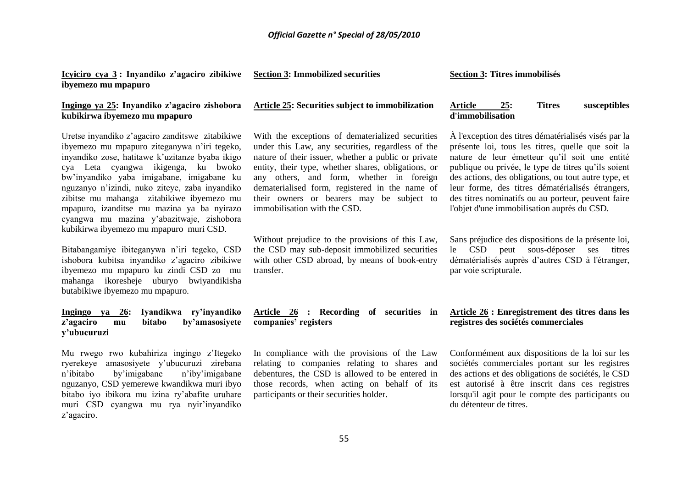| <u>Icyiciro cya 3:</u> Inyandiko z'agaciro zibikiwe Section 3: Immobilized securities |  |
|---------------------------------------------------------------------------------------|--|
| ibyemezo mu mpapuro                                                                   |  |

### **Ingingo ya 25: Inyandiko z'agaciro zishobora kubikirwa ibyemezo mu mpapuro**

Uretse inyandiko z"agaciro zanditswe zitabikiwe ibyemezo mu mpapuro ziteganywa n"iri tegeko, inyandiko zose, hatitawe k"uzitanze byaba ikigo cya Leta cyangwa ikigenga, ku bwoko bw"inyandiko yaba imigabane, imigabane ku nguzanyo n"izindi, nuko ziteye, zaba inyandiko zibitse mu mahanga zitabikiwe ibyemezo mu mpapuro, izanditse mu mazina ya ba nyirazo cyangwa mu mazina y"abazitwaje, zishobora kubikirwa ibyemezo mu mpapuro muri CSD.

Bitabangamiye ibiteganywa n'iri tegeko, CSD ishobora kubitsa inyandiko z"agaciro zibikiwe ibyemezo mu mpapuro ku zindi CSD zo mu mahanga ikoresheje uburyo bwiyandikisha butabikiwe ibyemezo mu mpapuro.

#### **Ingingo ya 26: Iyandikwa ry'inyandiko z'agaciro mu bitabo by'amasosiyete y'ubucuruzi**

Mu rwego rwo kubahiriza ingingo z"Itegeko ryerekeye amasosiyete y"ubucuruzi zirebana n"ibitabo by"imigabane n"iby"imigabane nguzanyo, CSD yemerewe kwandikwa muri ibyo bitabo iyo ibikora mu izina ry"abafite uruhare muri CSD cyangwa mu rya nyir"inyandiko z"agaciro.

## **Article 25: Securities subject to immobilization**

With the exceptions of dematerialized securities under this Law, any securities, regardless of the nature of their issuer, whether a public or private entity, their type, whether shares, obligations, or any others, and form, whether in foreign dematerialised form, registered in the name of their owners or bearers may be subject to immobilisation with the CSD.

Without prejudice to the provisions of this Law, the CSD may sub-deposit immobilized securities with other CSD abroad, by means of book-entry transfer.

**Article 26 : Recording of securities in companies' registers**

In compliance with the provisions of the Law relating to companies relating to shares and debentures, the CSD is allowed to be entered in those records, when acting on behalf of its participants or their securities holder.

#### **Section 3: Titres immobilisés**

#### **Article 25: Titres susceptibles d'immobilisation**

À l'exception des titres dématérialisés visés par la présente loi, tous les titres, quelle que soit la nature de leur émetteur qu"il soit une entité publique ou privée, le type de titres qu"ils soient des actions, des obligations, ou tout autre type, et leur forme, des titres dématérialisés étrangers, des titres nominatifs ou au porteur, peuvent faire l'objet d'une immobilisation auprès du CSD.

Sans préjudice des dispositions de la présente loi, le CSD peut sous-déposer ses titres dématérialisés auprès d"autres CSD à l'étranger, par voie scripturale.

#### **Article 26 : Enregistrement des titres dans les registres des sociétés commerciales**

Conformément aux dispositions de la loi sur les sociétés commerciales portant sur les registres des actions et des obligations de sociétés, le CSD est autorisé à être inscrit dans ces registres lorsqu'il agit pour le compte des participants ou du détenteur de titres.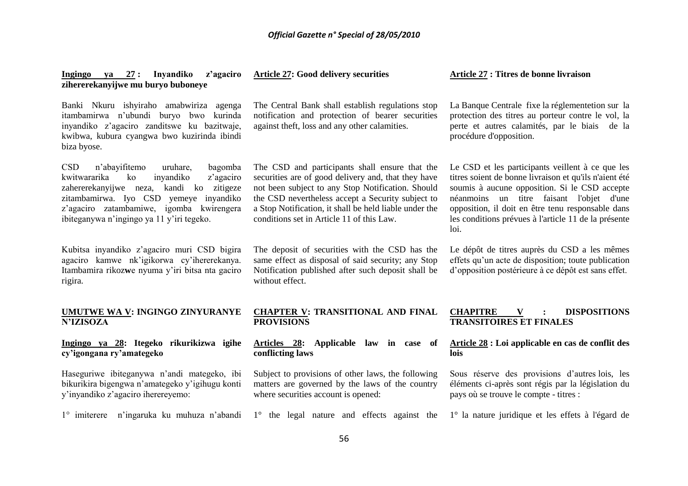| ya 27: Inyandiko z'agaciro<br><b>Ingingo</b><br>zihererekanyijwe mu buryo buboneye                                                                                                                                                                                                      | <b>Article 27: Good delivery securities</b>                                                                                                                                                                                                                                                                            | Article 27 : Titres de bonne livraison                                                                                                                                                                                                                                                                                       |
|-----------------------------------------------------------------------------------------------------------------------------------------------------------------------------------------------------------------------------------------------------------------------------------------|------------------------------------------------------------------------------------------------------------------------------------------------------------------------------------------------------------------------------------------------------------------------------------------------------------------------|------------------------------------------------------------------------------------------------------------------------------------------------------------------------------------------------------------------------------------------------------------------------------------------------------------------------------|
| Banki Nkuru ishyiraho amabwiriza agenga<br>itambamirwa n'ubundi buryo bwo kurinda<br>inyandiko z'agaciro zanditswe ku bazitwaje,<br>kwibwa, kubura cyangwa bwo kuzirinda ibindi<br>biza byose.                                                                                          | The Central Bank shall establish regulations stop<br>notification and protection of bearer securities<br>against theft, loss and any other calamities.                                                                                                                                                                 | La Banque Centrale fixe la réglementetion sur la<br>protection des titres au porteur contre le vol, la<br>perte et autres calamités, par le biais de la<br>procédure d'opposition.                                                                                                                                           |
| <b>CSD</b><br>n'abayifitemo<br>bagomba<br>uruhare,<br>inyandiko<br>z'agaciro<br>kwitwararika<br>ko<br>ko zitigeze<br>zahererekanyijwe neza, kandi<br>zitambamirwa. Iyo CSD yemeye inyandiko<br>z'agaciro zatambamiwe, igomba<br>kwirengera<br>ibiteganywa n'ingingo ya 11 y'iri tegeko. | The CSD and participants shall ensure that the<br>securities are of good delivery and, that they have<br>not been subject to any Stop Notification. Should<br>the CSD nevertheless accept a Security subject to<br>a Stop Notification, it shall be held liable under the<br>conditions set in Article 11 of this Law. | Le CSD et les participants veillent à ce que les<br>titres soient de bonne livraison et qu'ils n'aient été<br>soumis à aucune opposition. Si le CSD accepte<br>néanmoins un titre faisant l'objet d'une<br>opposition, il doit en être tenu responsable dans<br>les conditions prévues à l'article 11 de la présente<br>loi. |
| Kubitsa inyandiko z'agaciro muri CSD bigira<br>agaciro kamwe nk'igikorwa cy'ihererekanya.<br>Itambamira rikozwe nyuma y'iri bitsa nta gaciro<br>rigira.                                                                                                                                 | The deposit of securities with the CSD has the<br>same effect as disposal of said security; any Stop<br>Notification published after such deposit shall be<br>without effect.                                                                                                                                          | Le dépôt de titres auprès du CSD a les mêmes<br>effets qu'un acte de disposition; toute publication<br>d'opposition postérieure à ce dépôt est sans effet.                                                                                                                                                                   |
| UMUTWE WA V: INGINGO ZINYURANYE<br><b>N'IZISOZA</b>                                                                                                                                                                                                                                     | <b>CHAPTER V: TRANSITIONAL AND FINAL</b><br><b>PROVISIONS</b>                                                                                                                                                                                                                                                          | <b>CHAPITRE</b><br><b>DISPOSITIONS</b><br>V<br><b>TRANSITOIRES ET FINALES</b>                                                                                                                                                                                                                                                |
| Ingingo ya 28: Itegeko rikurikizwa igihe<br>cy'igongana ry'amategeko                                                                                                                                                                                                                    | Articles 28: Applicable law in case of<br>conflicting laws                                                                                                                                                                                                                                                             | Article 28 : Loi applicable en cas de conflit des<br>lois                                                                                                                                                                                                                                                                    |
| Haseguriwe ibiteganywa n'andi mategeko, ibi<br>bikurikira bigengwa n'amategeko y'igihugu konti<br>y'inyandiko z'agaciro iherereyemo:                                                                                                                                                    | Subject to provisions of other laws, the following<br>matters are governed by the laws of the country<br>where securities account is opened:                                                                                                                                                                           | Sous réserve des provisions d'autres lois, les<br>éléments ci-après sont régis par la législation du<br>pays où se trouve le compte - titres :                                                                                                                                                                               |
| 1° imiterere n'ingaruka ku muhuza n'abandi                                                                                                                                                                                                                                              | 1° the legal nature and effects against the                                                                                                                                                                                                                                                                            | 1° la nature juridique et les effets à l'égard de                                                                                                                                                                                                                                                                            |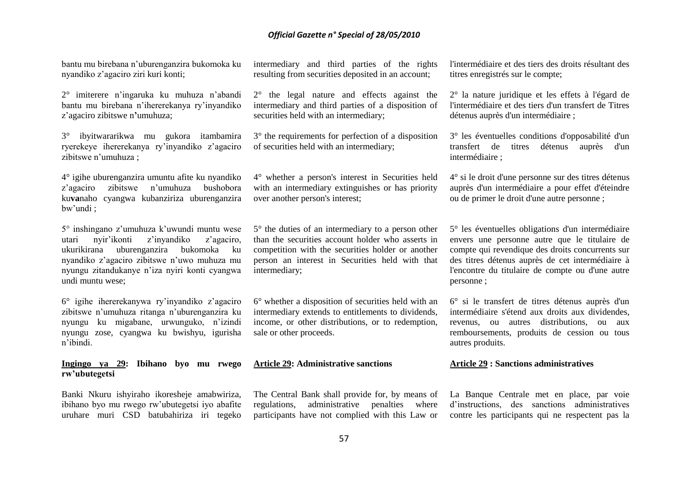bantu mu birebana n"uburenganzira bukomoka ku nyandiko z"agaciro ziri kuri konti;

2° imiterere n"ingaruka ku muhuza n"abandi bantu mu birebana n"ihererekanya ry"inyandiko z"agaciro zibitswe n**'**umuhuza;

3° ibyitwararikwa mu gukora itambamira ryerekeye ihererekanya ry"inyandiko z"agaciro zibitswe n"umuhuza ;

4° igihe uburenganzira umuntu afite ku nyandiko z"agaciro zibitswe n"umuhuza bushobora ku**va**naho cyangwa kubanziriza uburenganzira bw"undi ;

5° inshingano z"umuhuza k"uwundi muntu wese utari nyir"ikonti z"inyandiko z"agaciro, ukurikirana uburenganzira bukomoka ku nyandiko z"agaciro zibitswe n"uwo muhuza mu nyungu zitandukanye n"iza nyiri konti cyangwa undi muntu wese;

6° igihe ihererekanywa ry"inyandiko z"agaciro zibitswe n"umuhuza ritanga n"uburenganzira ku nyungu ku migabane, urwunguko, n"izindi nyungu zose, cyangwa ku bwishyu, igurisha n"ibindi.

**Ingingo ya 29: Ibihano byo mu rwego rw'ubutegetsi**

Banki Nkuru ishyiraho ikoresheje amabwiriza, ibihano byo mu rwego rw"ubutegetsi iyo abafite uruhare muri CSD batubahiriza iri tegeko intermediary and third parties of the rights resulting from securities deposited in an account;

2° the legal nature and effects against the intermediary and third parties of a disposition of securities held with an intermediary;

3° the requirements for perfection of a disposition of securities held with an intermediary;

4° whether a person's interest in Securities held with an intermediary extinguishes or has priority over another person's interest;

5° the duties of an intermediary to a person other than the securities account holder who asserts in competition with the securities holder or another person an interest in Securities held with that intermediary;

6° whether a disposition of securities held with an intermediary extends to entitlements to dividends, income, or other distributions, or to redemption, sale or other proceeds.

#### **Article 29: Administrative sanctions**

The Central Bank shall provide for, by means of regulations, administrative penalties where participants have not complied with this Law or

l'intermédiaire et des tiers des droits résultant des titres enregistrés sur le compte;

2° la nature juridique et les effets à l'égard de l'intermédiaire et des tiers d'un transfert de Titres détenus auprès d'un intermédiaire ;

3° les éventuelles conditions d'opposabilité d'un transfert de titres détenus auprès d'un intermédiaire ;

4° si le droit d'une personne sur des titres détenus auprès d'un intermédiaire a pour effet d'éteindre ou de primer le droit d'une autre personne ;

5° les éventuelles obligations d'un intermédiaire envers une personne autre que le titulaire de compte qui revendique des droits concurrents sur des titres détenus auprès de cet intermédiaire à l'encontre du titulaire de compte ou d'une autre personne ;

6° si le transfert de titres détenus auprès d'un intermédiaire s'étend aux droits aux dividendes, revenus, ou autres distributions, ou aux remboursements, produits de cession ou tous autres produits.

#### **Article 29 : Sanctions administratives**

La Banque Centrale met en place, par voie d"instructions, des sanctions administratives contre les participants qui ne respectent pas la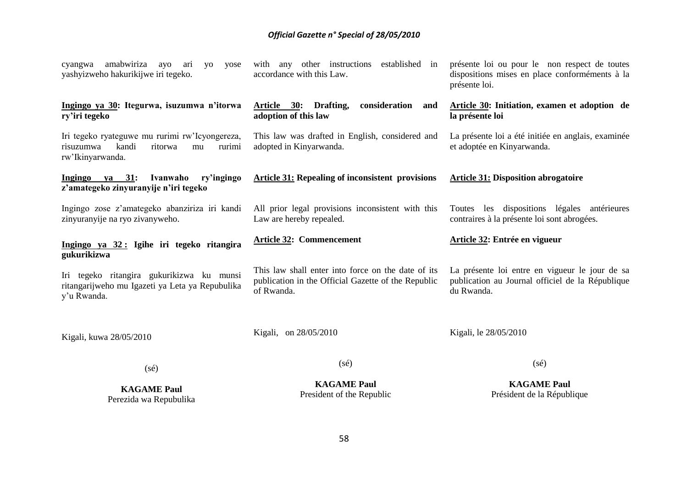| <b>KAGAME Paul</b><br>Perezida wa Repubulika                                                                        | <b>KAGAME Paul</b><br>President of the Republic                                                                         | <b>KAGAME Paul</b><br>Président de la République                                                                 |
|---------------------------------------------------------------------------------------------------------------------|-------------------------------------------------------------------------------------------------------------------------|------------------------------------------------------------------------------------------------------------------|
| $(s\acute{e})$                                                                                                      | $(s\acute{e})$                                                                                                          | $(s\acute{e})$                                                                                                   |
| Kigali, kuwa 28/05/2010                                                                                             | Kigali, on 28/05/2010                                                                                                   | Kigali, le 28/05/2010                                                                                            |
| Iri tegeko ritangira gukurikizwa ku munsi<br>ritangarijweho mu Igazeti ya Leta ya Repubulika<br>y'u Rwanda.         | This law shall enter into force on the date of its<br>publication in the Official Gazette of the Republic<br>of Rwanda. | La présente loi entre en vigueur le jour de sa<br>publication au Journal officiel de la République<br>du Rwanda. |
| Ingingo ya 32: Igihe iri tegeko ritangira<br>gukurikizwa                                                            | <b>Article 32: Commencement</b>                                                                                         | Article 32: Entrée en vigueur                                                                                    |
| Ingingo zose z'amategeko abanziriza iri kandi<br>zinyuranyije na ryo zivanyweho.                                    | All prior legal provisions inconsistent with this<br>Law are hereby repealed.                                           | Toutes les dispositions légales antérieures<br>contraires à la présente loi sont abrogées.                       |
| Ingingo ya 31:<br>Ivanwaho<br>ry'ingingo<br>z'amategeko zinyuranyije n'iri tegeko                                   | <b>Article 31: Repealing of inconsistent provisions</b>                                                                 | <b>Article 31: Disposition abrogatoire</b>                                                                       |
| Iri tegeko ryateguwe mu rurimi rw'Icyongereza,<br>kandi<br>risuzumwa<br>ritorwa<br>rurimi<br>mu<br>rw'Ikinyarwanda. | This law was drafted in English, considered and<br>adopted in Kinyarwanda.                                              | La présente loi a été initiée en anglais, examinée<br>et adoptée en Kinyarwanda.                                 |
| Ingingo ya 30: Itegurwa, isuzumwa n'itorwa<br>ry'iri tegeko                                                         | Article 30:<br>Drafting,<br>consideration<br>and<br>adoption of this law                                                | Article 30: Initiation, examen et adoption de<br>la présente loi                                                 |
| amabwiriza<br>ayo<br>ari<br>yo<br>yose<br>cyangwa<br>yashyizweho hakurikijwe iri tegeko.                            | with any other instructions<br>established in<br>accordance with this Law.                                              | présente loi ou pour le non respect de toutes<br>dispositions mises en place conforméments à la<br>présente loi. |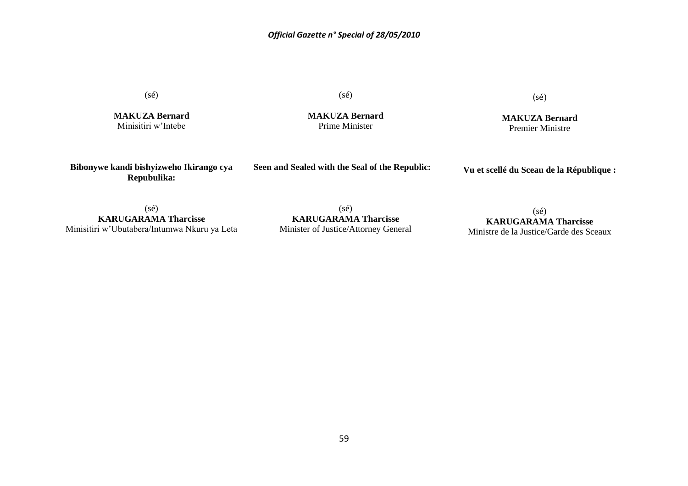(sé)

**MAKUZA Bernard** Minisitiri w"Intebe

(sé)

**MAKUZA Bernard** Prime Minister

(sé)

**MAKUZA Bernard** Premier Ministre

**Bibonywe kandi bishyizweho Ikirango cya Repubulika:**

**Seen and Sealed with the Seal of the Republic:**

**Vu et scellé du Sceau de la République :**

(sé) **KARUGARAMA Tharcisse** Minisitiri w"Ubutabera/Intumwa Nkuru ya Leta

(sé) **KARUGARAMA Tharcisse** Minister of Justice/Attorney General

(sé) **KARUGARAMA Tharcisse** Ministre de la Justice/Garde des Sceaux

59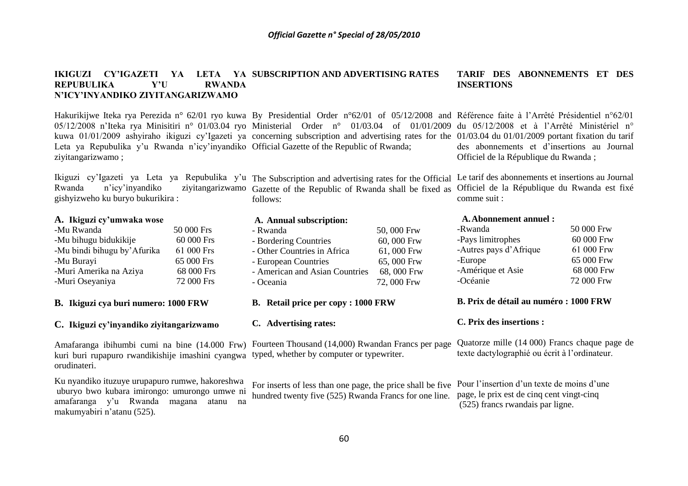#### **IKIGUZI CY'IGAZETI YA LETA YA SUBSCRIPTION AND ADVERTISING RATES REPUBULIKA Y'U RWANDA N'ICY'INYANDIKO ZIYITANGARIZWAMO TARIF DES ABONNEMENTS ET DES INSERTIONS**

Hakurikijwe Iteka rya Perezida n° 62/01 ryo kuwa By Presidential Order n°62/01 of 05/12/2008 and Référence faite à l'Arrêté Présidentiel n°62/01 05/12/2008 n'Iteka rya Minisitiri n° 01/03.04 ryo Ministerial Order n° 01/03.04 of 01/01/2009 du 05/12/2008 et à l'Arrêté Ministériel n° kuwa 01/01/2009 ashyiraho ikiguzi cy"Igazeti ya concerning subscription and advertising rates for the 01/03.04 du 01/01/2009 portant fixation du tarif Leta ya Repubulika y'u Rwanda n'icy'inyandiko Official Gazette of the Republic of Rwanda; ziyitangarizwamo ;

gishyizweho ku buryo bukurikira :

#### **A. Ikiguzi cy'umwaka wose**

| -Mu Rwanda                  | 50 000 Frs |
|-----------------------------|------------|
| -Mu bihugu bidukikije       | 60 000 Frs |
| -Mu bindi bihugu by'Afurika | 61 000 Frs |
| -Mu Burayi                  | 65 000 Frs |
| -Muri Amerika na Aziya      | 68 000 Frs |
| -Muri Oseyaniya             | 72 000 Frs |

#### **B. Ikiguzi cya buri numero: 1000 FRW**

## **C. Ikiguzi cy'inyandiko ziyitangarizwamo**

kuri buri rupapuro rwandikishije imashini cyangwa typed, whether by computer or typewriter. orudinateri.

Ku nyandiko ituzuye urupapuro rumwe, hakoreshwa uburyo bwo kubara imirongo: umurongo umwe ni amafaranga y"u Rwanda magana atanu na makumyabiri n"atanu (525).

Rwanda n"icy"inyandiko ziyitangarizwamo Gazette of the Republic of Rwanda shall be fixed as Officiel de la République du Rwanda est fixé follows:

#### **A. Annual subscription:**

| - Bordering Countries          | 60,000 Frw |
|--------------------------------|------------|
| - Other Countries in Africa    | 61,000 Frw |
| - European Countries           | 65,000 Frw |
| - American and Asian Countries | 68,000 Frw |
| - Oceania                      | 72,000 Frw |
|                                |            |

**B. Retail price per copy : 1000 FRW**

#### **C. Advertising rates:**

Amafaranga ibihumbi cumi na bine (14.000 Frw) Fourteen Thousand (14,000) Rwandan Francs per page

For inserts of less than one page, the price shall be five hundred twenty five (525) Rwanda Francs for one line. page, le prix est de cinq cent vingt-cinq

des abonnements et d"insertions au Journal Officiel de la République du Rwanda ;

Ikiguzi cy'Igazeti ya Leta ya Repubulika y'u The Subscription and advertising rates for the Official Le tarif des abonnements et insertions au Journal comme suit :

#### **A.Abonnement annuel :**

| -Rwanda                | 50 000 Frw |
|------------------------|------------|
| -Pays limitrophes      | 60 000 Frw |
| -Autres pays d'Afrique | 61 000 Frw |
| -Europe                | 65 000 Frw |
| -Amérique et Asie      | 68 000 Frw |
| -Océanie               | 72 000 Frw |
|                        |            |

#### **B. Prix de détail au numéro : 1000 FRW**

#### **C. Prix des insertions :**

Quatorze mille (14 000) Francs chaque page de texte dactylographié ou écrit à l"ordinateur.

Pour l'insertion d'un texte de moins d'une (525) francs rwandais par ligne.